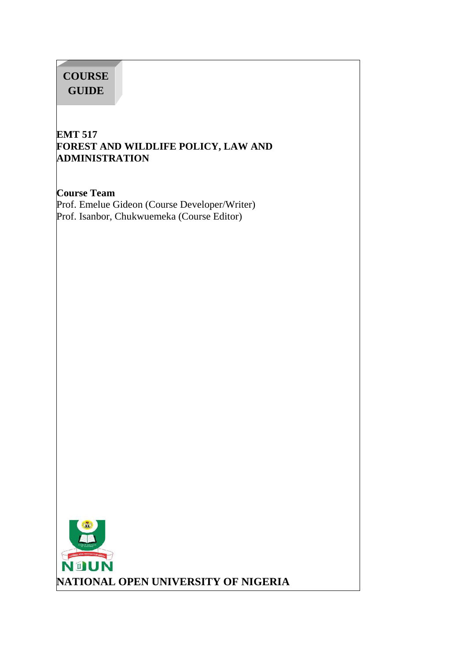# **COURSE GUIDE**

## **EMT 517 FOREST AND WILDLIFE POLICY, LAW AND ADMINISTRATION**

**Course Team** Prof. Emelue Gideon (Course Developer/Writer) Prof. Isanbor, Chukwuemeka (Course Editor)

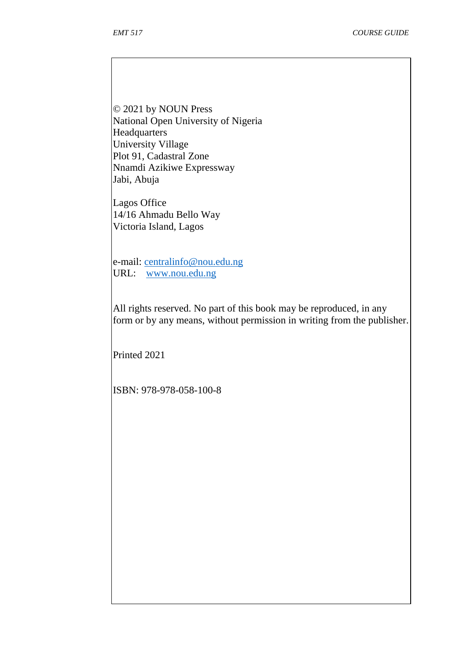© 2021 by NOUN Press National Open University of Nigeria **Headquarters** University Village Plot 91, Cadastral Zone Nnamdi Azikiwe Expressway Jabi, Abuja

Lagos Office 14/16 Ahmadu Bello Way Victoria Island, Lagos

e-mail: centralinfo@nou.edu.ng URL: www.nou.edu.ng

All rights reserved. No part of this book may be reproduced, in any form or by any means, without permission in writing from the publisher.

Printed 2021

ISBN: 978-978-058-100-8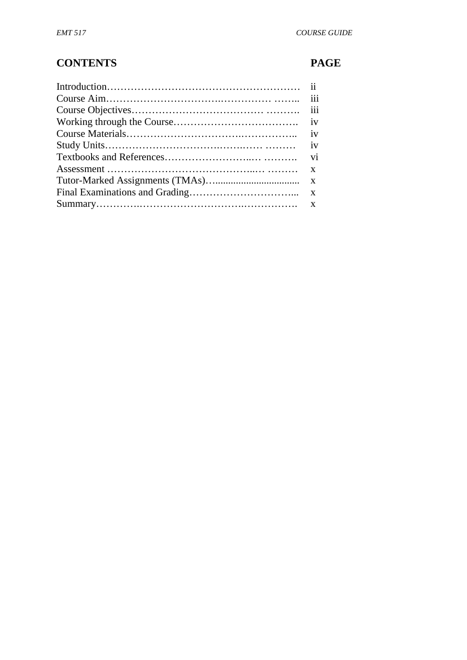# **CONTENTS PAGE**

| $\cdots$ |
|----------|
|          |
|          |
|          |
|          |
|          |
|          |
|          |
|          |
|          |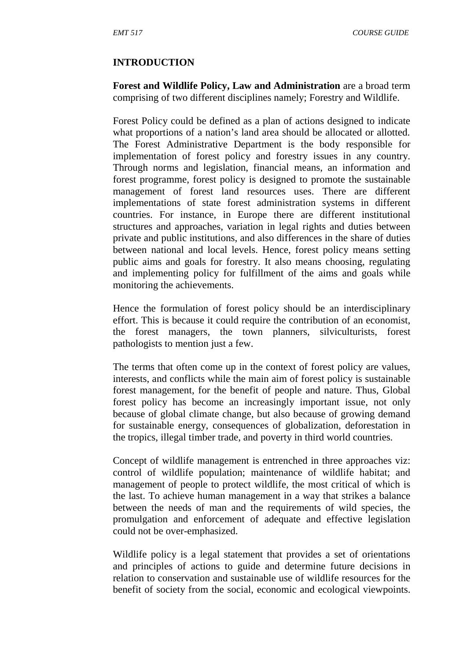#### **INTRODUCTION**

**Forest and Wildlife Policy, Law and Administration** are a broad term comprising of two different disciplines namely; Forestry and Wildlife.

Forest Policy could be defined as a plan of actions designed to indicate what proportions of a nation's land area should be allocated or allotted. The Forest Administrative Department is the body responsible for implementation of forest policy and forestry issues in any country. Through norms and legislation, financial means, an information and forest programme, forest policy is designed to promote the sustainable management of forest land resources uses. There are different implementations of state forest administration systems in different countries. For instance, in Europe there are different institutional structures and approaches, variation in legal rights and duties between private and public institutions, and also differences in the share of duties between national and local levels. Hence, forest policy means setting public aims and goals for forestry. It also means choosing, regulating and implementing policy for fulfillment of the aims and goals while monitoring the achievements.

Hence the formulation of forest policy should be an interdisciplinary effort. This is because it could require the contribution of an economist, the forest managers, the town planners, silviculturists, forest pathologists to mention just a few.

The terms that often come up in the context of forest policy are values, interests, and conflicts while the main aim of forest policy is sustainable forest management, for the benefit of people and nature. Thus, Global forest policy has become an increasingly important issue, not only because of global climate change, but also because of growing demand for sustainable energy, consequences of globalization, deforestation in the tropics, illegal timber trade, and poverty in third world countries.

Concept of wildlife management is entrenched in three approaches viz: control of wildlife population; maintenance of wildlife habitat; and management of people to protect wildlife, the most critical of which is the last. To achieve human management in a way that strikes a balance between the needs of man and the requirements of wild species, the promulgation and enforcement of adequate and effective legislation could not be over-emphasized.

Wildlife policy is a legal statement that provides a set of orientations and principles of actions to guide and determine future decisions in relation to conservation and sustainable use of wildlife resources for the benefit of society from the social, economic and ecological viewpoints.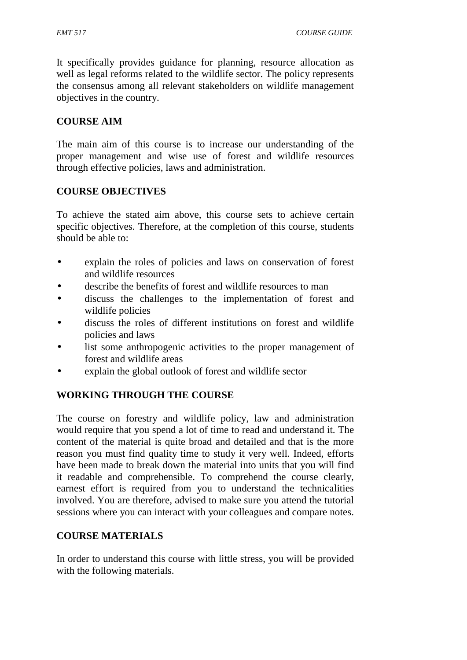It specifically provides guidance for planning, resource allocation as well as legal reforms related to the wildlife sector. The policy represents the consensus among all relevant stakeholders on wildlife management objectives in the country.

## **COURSE AIM**

The main aim of this course is to increase our understanding of the proper management and wise use of forest and wildlife resources through effective policies, laws and administration.

## **COURSE OBJECTIVES**

To achieve the stated aim above, this course sets to achieve certain specific objectives. Therefore, at the completion of this course, students should be able to:

- explain the roles of policies and laws on conservation of forest and wildlife resources
- describe the benefits of forest and wildlife resources to man
- discuss the challenges to the implementation of forest and wildlife policies
- discuss the roles of different institutions on forest and wildlife policies and laws
- list some anthropogenic activities to the proper management of forest and wildlife areas
- explain the global outlook of forest and wildlife sector

## **WORKING THROUGH THE COURSE**

The course on forestry and wildlife policy, law and administration would require that you spend a lot of time to read and understand it. The content of the material is quite broad and detailed and that is the more reason you must find quality time to study it very well. Indeed, efforts have been made to break down the material into units that you will find it readable and comprehensible. To comprehend the course clearly, earnest effort is required from you to understand the technicalities involved. You are therefore, advised to make sure you attend the tutorial sessions where you can interact with your colleagues and compare notes.

## **COURSE MATERIALS**

In order to understand this course with little stress, you will be provided with the following materials.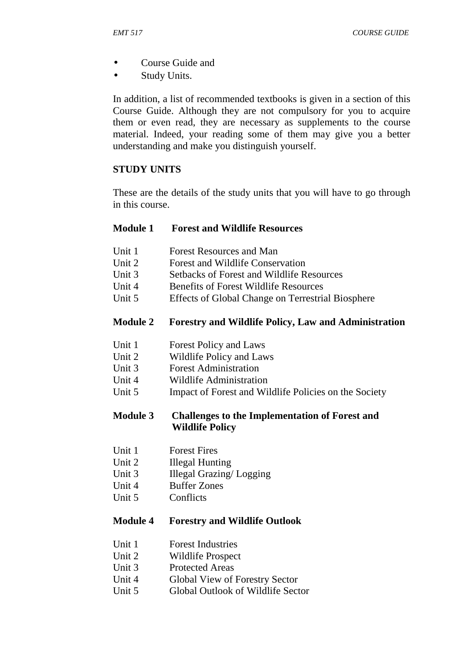- Course Guide and
- Study Units.

In addition, a list of recommended textbooks is given in a section of this Course Guide. Although they are not compulsory for you to acquire them or even read, they are necessary as supplements to the course material. Indeed, your reading some of them may give you a better understanding and make you distinguish yourself.

#### **STUDY UNITS**

These are the details of the study units that you will have to go through in this course.

#### **Module 1 Forest and Wildlife Resources**

- Unit 1 Forest Resources and Man<br>
Unit 2 Forest and Wildlife Conser
- Forest and Wildlife Conservation
- Unit 3 Setbacks of Forest and Wildlife Resources
- Unit 4 Benefits of Forest Wildlife Resources
- Unit 5 Effects of Global Change on Terrestrial Biosphere

#### **Module 2 Forestry and Wildlife Policy, Law and Administration**

- Unit 1 Forest Policy and Laws
- Unit 2 Wildlife Policy and Laws
- Unit 3 Forest Administration
- Unit 4 Wildlife Administration
- Unit 5 Impact of Forest and Wildlife Policies on the Society

#### **Module 3 Challenges to the Implementation of Forest and Wildlife Policy**

- Unit 1 Forest Fires
- Unit 2 Illegal Hunting
- Unit 3 Illegal Grazing/ Logging
- Unit 4 Buffer Zones
- Unit 5 Conflicts

#### **Module 4 Forestry and Wildlife Outlook**

- Unit 1 Forest Industries
- Unit 2 Wildlife Prospect
- Unit 3 Protected Areas
- Unit 4 Global View of Forestry Sector
- Unit 5 Global Outlook of Wildlife Sector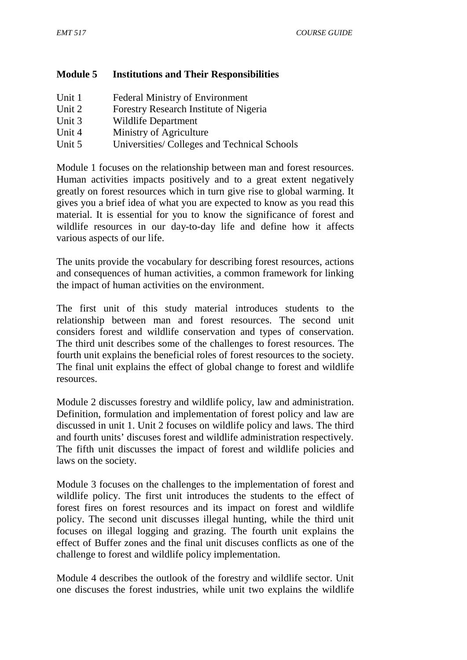## **Module 5 Institutions and Their Responsibilities**

| Unit 1 | <b>Federal Ministry of Environment</b>      |  |
|--------|---------------------------------------------|--|
| Unit 2 | Forestry Research Institute of Nigeria      |  |
| Unit 3 | Wildlife Department                         |  |
| Unit 4 | Ministry of Agriculture                     |  |
| Unit 5 | Universities/Colleges and Technical Schools |  |

Module 1 focuses on the relationship between man and forest resources. Human activities impacts positively and to a great extent negatively greatly on forest resources which in turn give rise to global warming. It gives you a brief idea of what you are expected to know as you read this material. It is essential for you to know the significance of forest and wildlife resources in our day-to-day life and define how it affects various aspects of our life.

The units provide the vocabulary for describing forest resources, actions and consequences of human activities, a common framework for linking the impact of human activities on the environment.

The first unit of this study material introduces students to the relationship between man and forest resources. The second unit considers forest and wildlife conservation and types of conservation. The third unit describes some of the challenges to forest resources. The fourth unit explains the beneficial roles of forest resources to the society. The final unit explains the effect of global change to forest and wildlife resources.

Module 2 discusses forestry and wildlife policy, law and administration. Definition, formulation and implementation of forest policy and law are discussed in unit 1. Unit 2 focuses on wildlife policy and laws. The third and fourth units' discuses forest and wildlife administration respectively. The fifth unit discusses the impact of forest and wildlife policies and laws on the society.

Module 3 focuses on the challenges to the implementation of forest and wildlife policy. The first unit introduces the students to the effect of forest fires on forest resources and its impact on forest and wildlife policy. The second unit discusses illegal hunting, while the third unit focuses on illegal logging and grazing. The fourth unit explains the effect of Buffer zones and the final unit discuses conflicts as one of the challenge to forest and wildlife policy implementation.

Module 4 describes the outlook of the forestry and wildlife sector. Unit one discuses the forest industries, while unit two explains the wildlife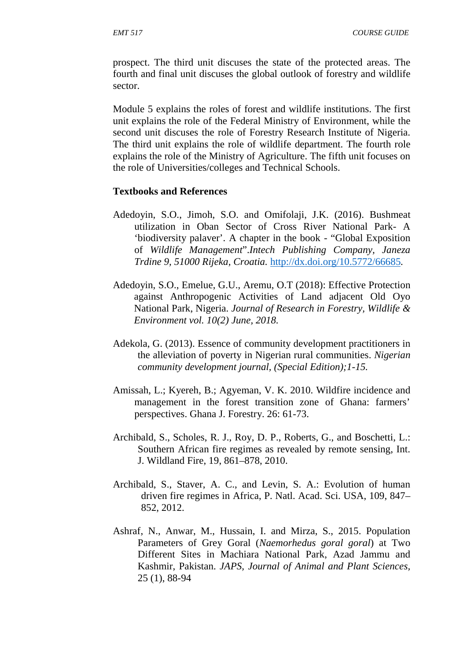prospect. The third unit discuses the state of the protected areas. The fourth and final unit discuses the global outlook of forestry and wildlife sector.

Module 5 explains the roles of forest and wildlife institutions. The first unit explains the role of the Federal Ministry of Environment, while the second unit discuses the role of Forestry Research Institute of Nigeria. The third unit explains the role of wildlife department. The fourth role explains the role of the Ministry of Agriculture. The fifth unit focuses on the role of Universities/colleges and Technical Schools.

#### **Textbooks and References**

- Adedoyin, S.O., Jimoh, S.O. and Omifolaji, J.K. (2016). Bushmeat utilization in Oban Sector of Cross River National Park- A 'biodiversity palaver'. A chapter in the book - "Global Exposition of *Wildlife Management*".*Intech Publishing Company, Janeza Trdine 9, 51000 Rijeka, Croatia.* http://dx.doi.org/10.5772/66685*.*
- Adedoyin, S.O., Emelue, G.U., Aremu, O.T (2018): Effective Protection against Anthropogenic Activities of Land adjacent Old Oyo National Park, Nigeria. *Journal of Research in Forestry, Wildlife & Environment vol. 10(2) June, 2018.*
- Adekola, G. (2013). Essence of community development practitioners in the alleviation of poverty in Nigerian rural communities. *Nigerian community development journal, (Special Edition);1-15.*
- Amissah, L.; Kyereh, B.; Agyeman, V. K. 2010. Wildfire incidence and management in the forest transition zone of Ghana: farmers' perspectives. Ghana J. Forestry. 26: 61-73.
- Archibald, S., Scholes, R. J., Roy, D. P., Roberts, G., and Boschetti, L.: Southern African fire regimes as revealed by remote sensing, Int. J. Wildland Fire, 19, 861–878, 2010.
- Archibald, S., Staver, A. C., and Levin, S. A.: Evolution of human driven fire regimes in Africa, P. Natl. Acad. Sci. USA, 109, 847– 852, 2012.
- Ashraf, N., Anwar, M., Hussain, I. and Mirza, S., 2015. Population Parameters of Grey Goral (*Naemorhedus goral goral*) at Two Different Sites in Machiara National Park, Azad Jammu and Kashmir, Pakistan. *JAPS, Journal of Animal and Plant Sciences,* 25 (1), 88-94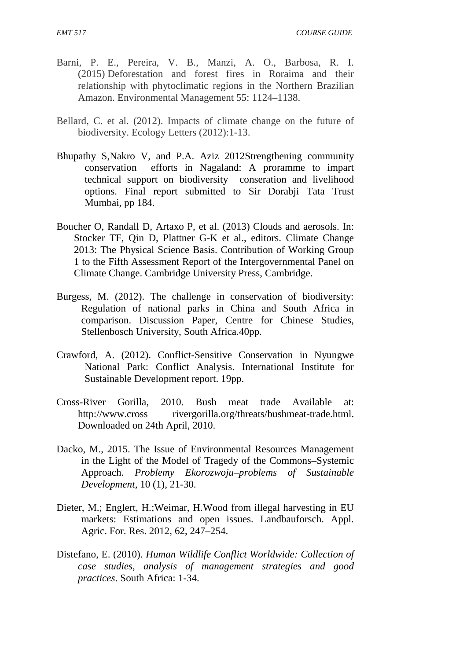- Barni, P. E., Pereira, V. B., Manzi, A. O., Barbosa, R. I. (2015) Deforestation and forest fires in Roraima and their relationship with phytoclimatic regions in the Northern Brazilian Amazon. Environmental Management 55: 1124–1138.
- Bellard, C. et al. (2012). Impacts of climate change on the future of biodiversity. Ecology Letters (2012):1-13.
- Bhupathy S,Nakro V, and P.A. Aziz 2012Strengthening community conservation efforts in Nagaland: A proramme to impart technical support on biodiversity conseration and livelihood options. Final report submitted to Sir Dorabji Tata Trust Mumbai, pp 184.
- Boucher O, Randall D, Artaxo P, et al. (2013) Clouds and aerosols. In: Stocker TF, Qin D, Plattner G-K et al., editors. Climate Change 2013: The Physical Science Basis. Contribution of Working Group 1 to the Fifth Assessment Report of the Intergovernmental Panel on Climate Change. Cambridge University Press, Cambridge.
- Burgess, M. (2012). The challenge in conservation of biodiversity: Regulation of national parks in China and South Africa in comparison. Discussion Paper, Centre for Chinese Studies, Stellenbosch University, South Africa.40pp.
- Crawford, A. (2012). Conflict-Sensitive Conservation in Nyungwe National Park: Conflict Analysis. International Institute for Sustainable Development report. 19pp.
- Cross-River Gorilla, 2010. Bush meat trade Available at: http://www.cross rivergorilla.org/threats/bushmeat-trade.html. Downloaded on 24th April, 2010.
- Dacko, M., 2015. The Issue of Environmental Resources Management in the Light of the Model of Tragedy of the Commons–Systemic Approach. *Problemy Ekorozwoju–problems of Sustainable Development,* 10 (1), 21-30.
- Dieter, M.; Englert, H.;Weimar, H.Wood from illegal harvesting in EU markets: Estimations and open issues. Landbauforsch. Appl. Agric. For. Res. 2012, 62, 247–254.
- Distefano, E. (2010). *Human Wildlife Conflict Worldwide: Collection of case studies, analysis of management strategies and good practices*. South Africa: 1-34.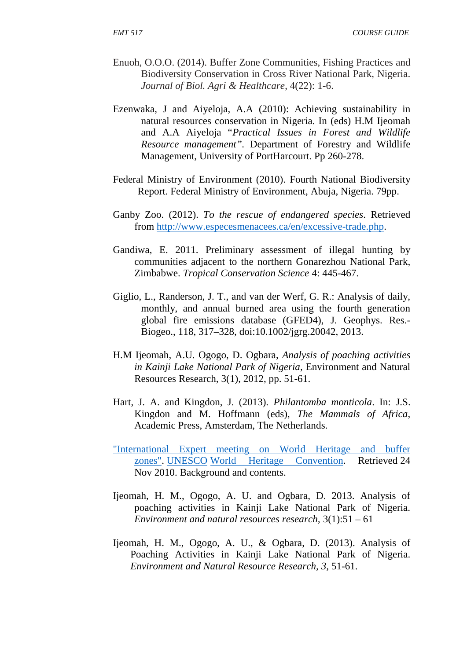*EMT 517 COURSE GUIDE*

- Enuoh, O.O.O. (2014). Buffer Zone Communities, Fishing Practices and Biodiversity Conservation in Cross River National Park, Nigeria. *Journal of Biol. Agri & Healthcare*, 4(22): 1-6.
- Ezenwaka, J and Aiyeloja, A.A (2010): Achieving sustainability in natural resources conservation in Nigeria. In (eds) H.M Ijeomah and A.A Aiyeloja "*Practical Issues in Forest and Wildlife Resource management".* Department of Forestry and Wildlife Management, University of PortHarcourt. Pp 260-278.
- Federal Ministry of Environment (2010). Fourth National Biodiversity Report. Federal Ministry of Environment, Abuja, Nigeria. 79pp.
- Ganby Zoo. (2012). *To the rescue of endangered species*. Retrieved from http://www.especesmenacees.ca/en/excessive-trade.php.
- Gandiwa, E. 2011. Preliminary assessment of illegal hunting by communities adjacent to the northern Gonarezhou National Park, Zimbabwe. *Tropical Conservation Science* 4: 445-467.
- Giglio, L., Randerson, J. T., and van der Werf, G. R.: Analysis of daily, monthly, and annual burned area using the fourth generation global fire emissions database (GFED4), J. Geophys. Res.- Biogeo., 118, 317–328, doi:10.1002/jgrg.20042, 2013.
- H.M Ijeomah, A.U. Ogogo, D. Ogbara, *Analysis of poaching activities in Kainji Lake National Park of Nigeria,* Environment and Natural Resources Research, 3(1), 2012, pp. 51-61.
- Hart, J. A. and Kingdon, J. (2013). *Philantomba monticola*. In: J.S. Kingdon and M. Hoffmann (eds), *The Mammals of Africa*, Academic Press, Amsterdam, The Netherlands.
- "International Expert meeting on World Heritage and buffer zones". UNESCO World Heritage Convention. Retrieved 24 Nov 2010. Background and contents.
- Ijeomah, H. M., Ogogo, A. U. and Ogbara, D. 2013. Analysis of poaching activities in Kainji Lake National Park of Nigeria. *Environment and natural resources research,* 3(1):51 – 61
- Ijeomah, H. M., Ogogo, A. U., & Ogbara, D. (2013). Analysis of Poaching Activities in Kainji Lake National Park of Nigeria. *Environment and Natural Resource Research, 3,* 51-61.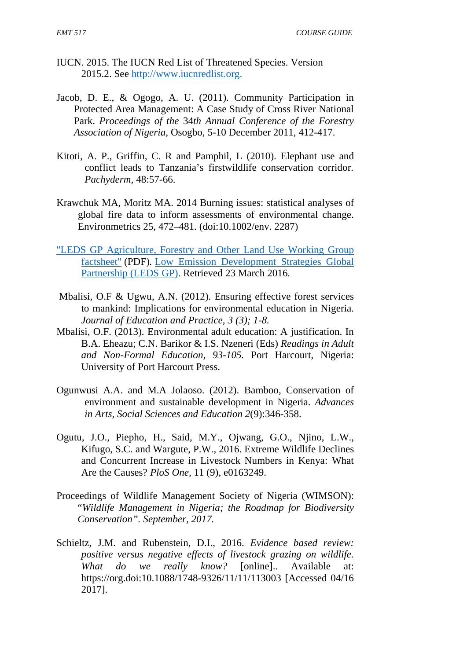- IUCN. 2015. The IUCN Red List of Threatened Species. Version 2015.2. See http://www.iucnredlist.org.
- Jacob, D. E., & Ogogo, A. U. (2011). Community Participation in Protected Area Management: A Case Study of Cross River National Park. *Proceedings of the* 34*th Annual Conference of the Forestry Association of Nigeria*, Osogbo, 5-10 December 2011, 412-417.
- Kitoti, A. P., Griffin, C. R and Pamphil, L (2010). Elephant use and conflict leads to Tanzania's firstwildlife conservation corridor. *Pachyderm,* 48:57-66.
- Krawchuk MA, Moritz MA. 2014 Burning issues: statistical analyses of global fire data to inform assessments of environmental change. Environmetrics 25, 472–481. (doi:10.1002/env. 2287)
- "LEDS GP Agriculture, Forestry and Other Land Use Working Group factsheet" (PDF)*.* Low Emission Development Strategies Global Partnership (LEDS GP). Retrieved 23 March 2016*.*
- Mbalisi, O.F & Ugwu, A.N. (2012). Ensuring effective forest services to mankind: Implications for environmental education in Nigeria. *Journal of Education and Practice, 3 (3); 1-8.*
- Mbalisi, O.F. (2013). Environmental adult education: A justification. In B.A. Eheazu; C.N. Barikor & I.S. Nzeneri (Eds) *Readings in Adult and Non-Formal Education, 93-105.* Port Harcourt, Nigeria: University of Port Harcourt Press.
- Ogunwusi A.A. and M.A Jolaoso. (2012). Bamboo, Conservation of environment and sustainable development in Nigeria. *Advances in Arts, Social Sciences and Education 2*(9):346-358.
- Ogutu, J.O., Piepho, H., Said, M.Y., Ojwang, G.O., Njino, L.W., Kifugo, S.C. and Wargute, P.W., 2016. Extreme Wildlife Declines and Concurrent Increase in Livestock Numbers in Kenya: What Are the Causes? *PloS One,* 11 (9), e0163249.
- Proceedings of Wildlife Management Society of Nigeria (WIMSON): "*Wildlife Management in Nigeria; the Roadmap for Biodiversity Conservation". September, 2017.*
- Schieltz, J.M. and Rubenstein, D.I., 2016. *Evidence based review: positive versus negative effects of livestock grazing on wildlife. What do we really know?* [online].. Available at: https://org.doi:10.1088/1748-9326/11/11/113003 [Accessed 04/16 2017].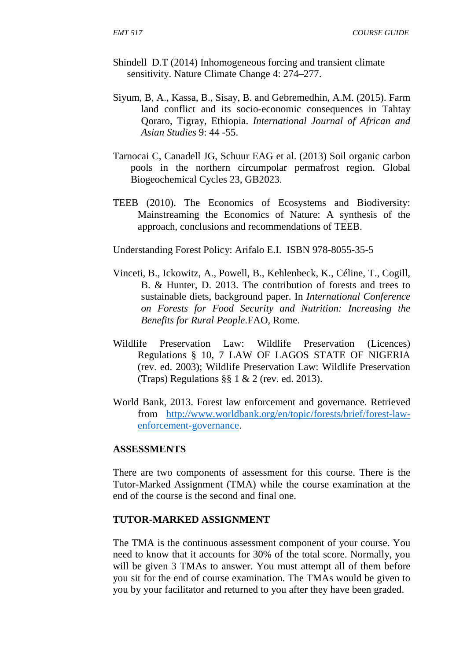- Shindell D.T (2014) Inhomogeneous forcing and transient climate sensitivity. Nature Climate Change 4: 274–277.
- Siyum, B, A., Kassa, B., Sisay, B. and Gebremedhin, A.M. (2015). Farm land conflict and its socio-economic consequences in Tahtay Qoraro, Tigray, Ethiopia. *International Journal of African and Asian Studies* 9: 44 -55.
- Tarnocai C, Canadell JG, Schuur EAG et al. (2013) Soil organic carbon pools in the northern circumpolar permafrost region. Global Biogeochemical Cycles 23, GB2023.
- TEEB (2010). The Economics of Ecosystems and Biodiversity: Mainstreaming the Economics of Nature: A synthesis of the approach, conclusions and recommendations of TEEB.

Understanding Forest Policy: Arifalo E.I. ISBN 978-8055-35-5

- Vinceti, B., Ickowitz, A., Powell, B., Kehlenbeck, K., Céline, T., Cogill, B. & Hunter, D. 2013. The contribution of forests and trees to sustainable diets, background paper. In *International Conference on Forests for Food Security and Nutrition: Increasing the Benefits for Rural People*.FAO, Rome.
- Wildlife Preservation Law: Wildlife Preservation (Licences) Regulations § 10, 7 LAW OF LAGOS STATE OF NIGERIA (rev. ed. 2003); Wildlife Preservation Law: Wildlife Preservation (Traps) Regulations §§ 1 & 2 (rev. ed. 2013).
- World Bank, 2013. Forest law enforcement and governance. Retrieved from http://www.worldbank.org/en/topic/forests/brief/forest-law enforcement-governance.

#### **ASSESSMENTS**

There are two components of assessment for this course. There is the Tutor-Marked Assignment (TMA) while the course examination at the end of the course is the second and final one.

#### **TUTOR-MARKED ASSIGNMENT**

The TMA is the continuous assessment component of your course. You need to know that it accounts for 30% of the total score. Normally, you will be given 3 TMAs to answer. You must attempt all of them before you sit for the end of course examination. The TMAs would be given to you by your facilitator and returned to you after they have been graded.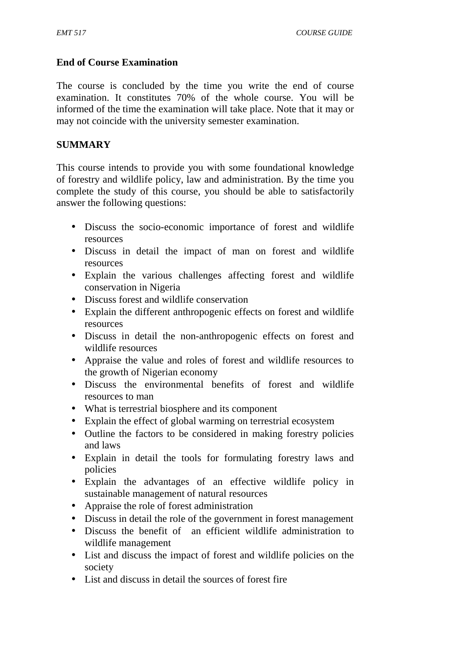## **End of Course Examination**

The course is concluded by the time you write the end of course examination. It constitutes 70% of the whole course. You will be informed of the time the examination will take place. Note that it may or may not coincide with the university semester examination.

## **SUMMARY**

This course intends to provide you with some foundational knowledge of forestry and wildlife policy, law and administration. By the time you complete the study of this course, you should be able to satisfactorily answer the following questions:

- Discuss the socio-economic importance of forest and wildlife resources
- Discuss in detail the impact of man on forest and wildlife resources
- Explain the various challenges affecting forest and wildlife conservation in Nigeria
- Discuss forest and wildlife conservation
- Explain the different anthropogenic effects on forest and wildlife resources
- Discuss in detail the non-anthropogenic effects on forest and wildlife resources
- Appraise the value and roles of forest and wildlife resources to the growth of Nigerian economy
- Discuss the environmental benefits of forest and wildlife resources to man
- What is terrestrial biosphere and its component
- Explain the effect of global warming on terrestrial ecosystem
- Outline the factors to be considered in making forestry policies and laws
- Explain in detail the tools for formulating forestry laws and policies
- Explain the advantages of an effective wildlife policy in sustainable management of natural resources
- Appraise the role of forest administration
- Discuss in detail the role of the government in forest management
- Discuss the benefit of an efficient wildlife administration to wildlife management
- List and discuss the impact of forest and wildlife policies on the society
- List and discuss in detail the sources of forest fire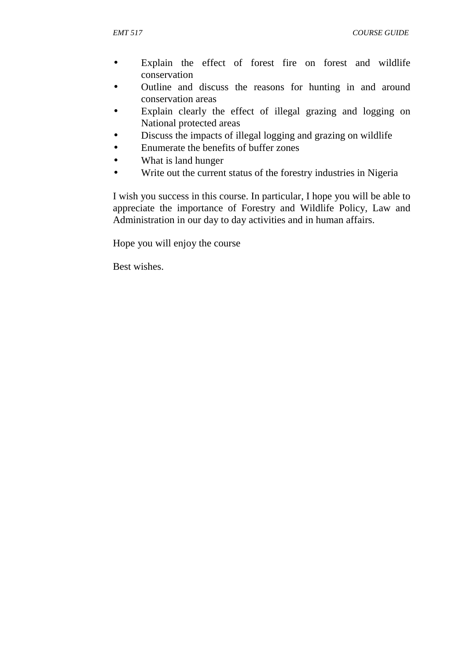- Explain the effect of forest fire on forest and wildlife conservation
- Outline and discuss the reasons for hunting in and around conservation areas
- Explain clearly the effect of illegal grazing and logging on National protected areas
- Discuss the impacts of illegal logging and grazing on wildlife
- Enumerate the benefits of buffer zones
- What is land hunger
- Write out the current status of the forestry industries in Nigeria

I wish you success in this course. In particular, I hope you will be able to appreciate the importance of Forestry and Wildlife Policy, Law and Administration in our day to day activities and in human affairs.

Hope you will enjoy the course

Best wishes.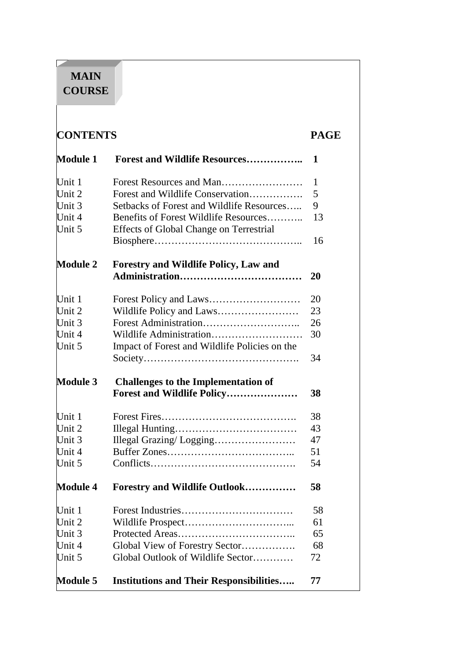# **MAIN COURSE**

**The Common** 

| <b>CONTENTS</b>  |                                                                                  |           |
|------------------|----------------------------------------------------------------------------------|-----------|
| <b>Module 1</b>  | <b>Forest and Wildlife Resources</b>                                             | 1         |
| Unit 1           |                                                                                  | 1         |
| Unit 2           | Forest and Wildlife Conservation                                                 | 5         |
| Unit 3           | Setbacks of Forest and Wildlife Resources                                        | 9         |
| Unit 4<br>Unit 5 | Benefits of Forest Wildlife Resources<br>Effects of Global Change on Terrestrial | 13        |
|                  |                                                                                  | 16        |
| <b>Module 2</b>  | Forestry and Wildlife Policy, Law and                                            | <b>20</b> |
| Unit 1           |                                                                                  | 20        |
| Unit 2           |                                                                                  | 23        |
| Unit 3           |                                                                                  | 26        |
| Unit 4           |                                                                                  | 30        |
| Unit 5           | Impact of Forest and Wildlife Policies on the                                    |           |
|                  |                                                                                  | 34        |
| <b>Module 3</b>  | <b>Challenges to the Implementation of</b>                                       |           |
|                  | Forest and Wildlife Policy                                                       | 38        |
| Unit 1           |                                                                                  | 38        |
| Unit 2           |                                                                                  | 43        |
| Unit 3           |                                                                                  | 47        |
| Unit 4           |                                                                                  | 51        |
| Unit 5           |                                                                                  | 54        |
| <b>Module 4</b>  | Forestry and Wildlife Outlook                                                    | 58        |
| Unit 1           |                                                                                  | 58        |
| Unit 2           |                                                                                  | 61        |
| Unit 3           |                                                                                  | 65        |
| Unit 4           | Global View of Forestry Sector                                                   | 68        |
| Unit 5           | Global Outlook of Wildlife Sector                                                | 72        |
| <b>Module 5</b>  | <b>Institutions and Their Responsibilities</b>                                   | 77        |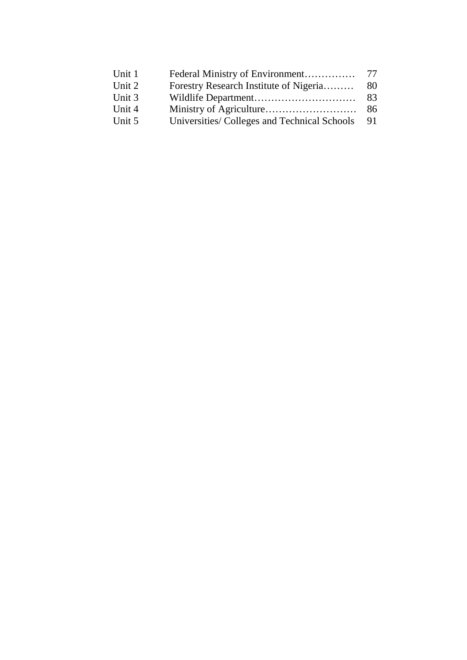| Unit 1 |                                             |      |
|--------|---------------------------------------------|------|
| Unit 2 | Forestry Research Institute of Nigeria      | 80   |
| Unit 3 |                                             | - 83 |
| Unit 4 |                                             |      |
| Unit 5 | Universities/Colleges and Technical Schools | - 91 |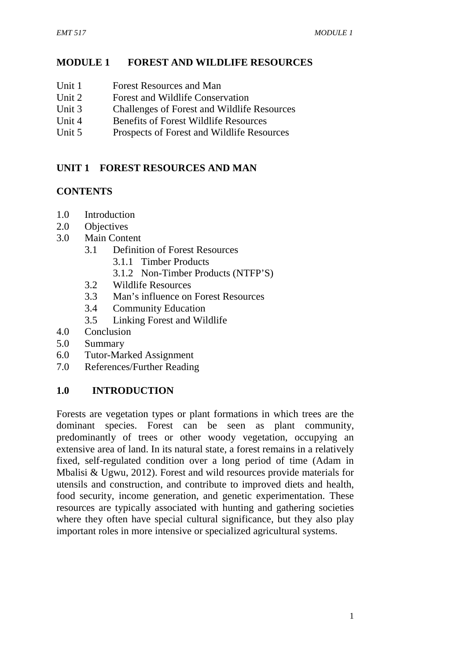## **MODULE 1 FOREST AND WILDLIFE RESOURCES**

- Unit 1 Forest Resources and Man
- Unit 2 Forest and Wildlife Conservation
- Unit 3 Challenges of Forest and Wildlife Resources
- Unit 4 Benefits of Forest Wildlife Resources
- Unit 5 Prospects of Forest and Wildlife Resources

# **UNIT 1 FOREST RESOURCES AND MAN**

## **CONTENTS**

- 1.0 Introduction
- 2.0 Objectives
- 3.0 Main Content
	- 3.1 Definition of Forest Resources
		- 3.1.1 Timber Products
		- 3.1.2 Non-Timber Products (NTFP'S)
	- 3.2 Wildlife Resources
	- 3.3 Man's influence on Forest Resources
	- 3.4 Community Education
	- 3.5 Linking Forest and Wildlife
- 4.0 Conclusion
- 5.0 Summary
- 6.0 Tutor-Marked Assignment
- 7.0 References/Further Reading

## **1.0 INTRODUCTION**

Forests are vegetation types or plant formations in which trees are the dominant species. Forest can be seen as plant community, predominantly of trees or other woody vegetation, occupying an extensive area of land. In its natural state, a forest remains in a relatively fixed, self-regulated condition over a long period of time (Adam in Mbalisi & Ugwu, 2012). Forest and wild resources provide materials for utensils and construction, and contribute to improved diets and health, food security, income generation, and genetic experimentation. These resources are typically associated with hunting and gathering societies where they often have special cultural significance, but they also play important roles in more intensive or specialized agricultural systems.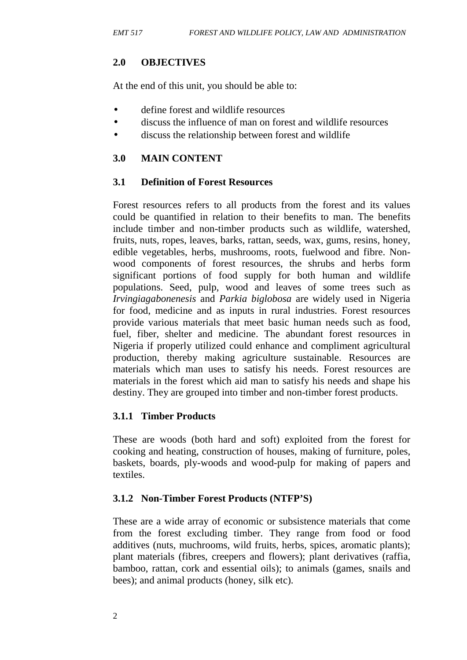## **2.0 OBJECTIVES**

At the end of this unit, you should be able to:

- define forest and wildlife resources
- discuss the influence of man on forest and wildlife resources
- discuss the relationship between forest and wildlife

## **3.0 MAIN CONTENT**

## **3.1 Definition of Forest Resources**

Forest resources refers to all products from the forest and its values could be quantified in relation to their benefits to man. The benefits include timber and non-timber products such as wildlife, watershed, fruits, nuts, ropes, leaves, barks, rattan, seeds, wax, gums, resins, honey, edible vegetables, herbs, mushrooms, roots, fuelwood and fibre. Non wood components of forest resources, the shrubs and herbs form significant portions of food supply for both human and wildlife populations. Seed, pulp, wood and leaves of some trees such as *Irvingiagabonenesis* and *Parkia biglobosa* are widely used in Nigeria for food, medicine and as inputs in rural industries. Forest resources provide various materials that meet basic human needs such as food, fuel, fiber, shelter and medicine. The abundant forest resources in Nigeria if properly utilized could enhance and compliment agricultural production, thereby making agriculture sustainable. Resources are materials which man uses to satisfy his needs. Forest resources are materials in the forest which aid man to satisfy his needs and shape his destiny. They are grouped into timber and non-timber forest products.

## **3.1.1 Timber Products**

These are woods (both hard and soft) exploited from the forest for cooking and heating, construction of houses, making of furniture, poles, baskets, boards, ply-woods and wood-pulp for making of papers and textiles.

## **3.1.2 Non-Timber Forest Products (NTFP'S)**

These are a wide array of economic or subsistence materials that come from the forest excluding timber. They range from food or food additives (nuts, muchrooms, wild fruits, herbs, spices, aromatic plants); plant materials (fibres, creepers and flowers); plant derivatives (raffia, bamboo, rattan, cork and essential oils); to animals (games, snails and bees); and animal products (honey, silk etc).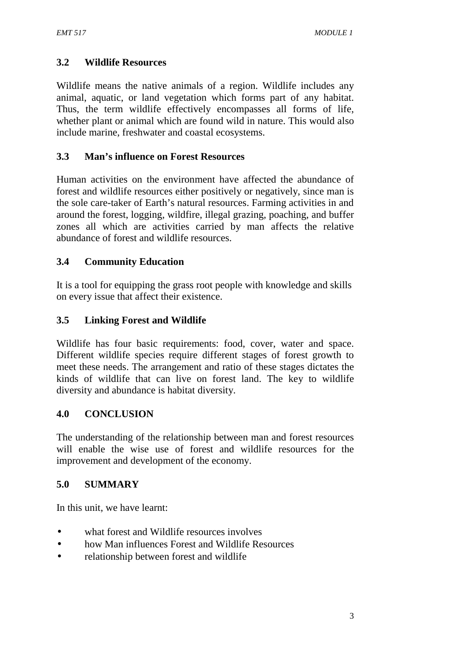## **3.2 Wildlife Resources**

Wildlife means the native animals of a region. Wildlife includes any animal, aquatic, or land vegetation which forms part of any habitat. Thus, the term wildlife effectively encompasses all forms of life, whether plant or animal which are found wild in nature. This would also include marine, freshwater and coastal ecosystems.

## **3.3 Man's influence on Forest Resources**

Human activities on the environment have affected the abundance of forest and wildlife resources either positively or negatively, since man is the sole care-taker of Earth's natural resources. Farming activities in and around the forest, logging, wildfire, illegal grazing, poaching, and buffer zones all which are activities carried by man affects the relative abundance of forest and wildlife resources.

## **3.4 Community Education**

It is a tool for equipping the grass root people with knowledge and skills on every issue that affect their existence.

## **3.5 Linking Forest and Wildlife**

Wildlife has four basic requirements: food, cover, water and space. Different wildlife species require different stages of forest growth to meet these needs. The arrangement and ratio of these stages dictates the kinds of wildlife that can live on forest land. The key to wildlife diversity and abundance is habitat diversity.

## **4.0 CONCLUSION**

The understanding of the relationship between man and forest resources will enable the wise use of forest and wildlife resources for the improvement and development of the economy.

## **5.0 SUMMARY**

In this unit, we have learnt:

- what forest and Wildlife resources involves
- how Man influences Forest and Wildlife Resources
- relationship between forest and wildlife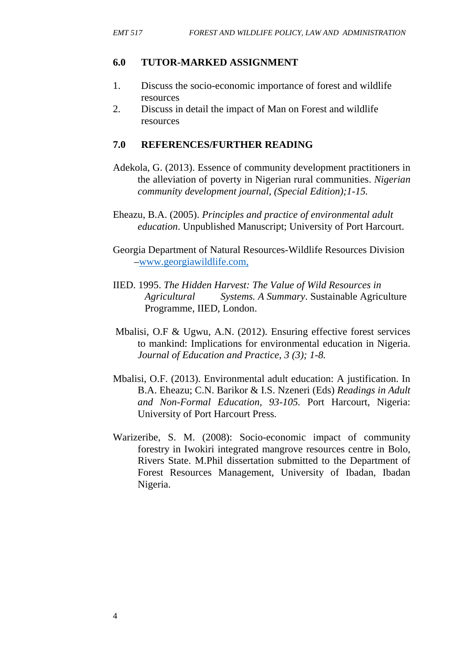## **6.0 TUTOR-MARKED ASSIGNMENT**

- 1. Discuss the socio-economic importance of forest and wildlife resources
- 2. Discuss in detail the impact of Man on Forest and wildlife resources

## **7.0 REFERENCES/FURTHER READING**

- Adekola, G. (2013). Essence of community development practitioners in the alleviation of poverty in Nigerian rural communities. *Nigerian community development journal, (Special Edition);1-15.*
- Eheazu, B.A. (2005). *Principles and practice of environmental adult education*. Unpublished Manuscript; University of Port Harcourt.
- Georgia Department of Natural Resources-Wildlife Resources Division –www.georgiawildlife.com,
- IIED. 1995. *The Hidden Harvest: The Value of Wild Resources in Agricultural Systems. A Summary*. Sustainable Agriculture Programme, IIED, London.
- Mbalisi, O.F & Ugwu, A.N. (2012). Ensuring effective forest services to mankind: Implications for environmental education in Nigeria. *Journal of Education and Practice, 3 (3); 1-8.*
- Mbalisi, O.F. (2013). Environmental adult education: A justification. In B.A. Eheazu; C.N. Barikor & I.S. Nzeneri (Eds) *Readings in Adult and Non-Formal Education, 93-105.* Port Harcourt, Nigeria: University of Port Harcourt Press.
- Warizeribe, S. M. (2008): Socio-economic impact of community forestry in Iwokiri integrated mangrove resources centre in Bolo, Rivers State. M.Phil dissertation submitted to the Department of Forest Resources Management, University of Ibadan, Ibadan Nigeria.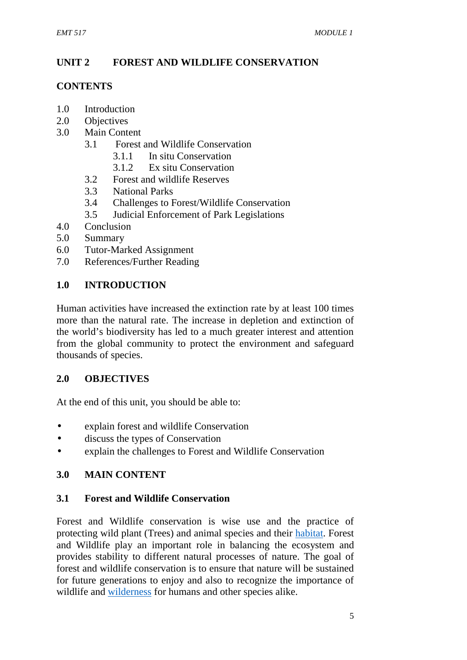# **UNIT 2 FOREST AND WILDLIFE CONSERVATION**

## **CONTENTS**

- 1.0 Introduction
- 2.0 Objectives
- 3.0 Main Content
	- 3.1 Forest and Wildlife Conservation
		- 3.1.1 In situ Conservation
		- 3.1.2 Ex situ Conservation
	- 3.2 Forest and wildlife Reserves
	- 3.3 National Parks
	- 3.4 Challenges to Forest/Wildlife Conservation
	- 3.5 Judicial Enforcement of Park Legislations
- 4.0 Conclusion
- 5.0 Summary
- 6.0 Tutor-Marked Assignment
- 7.0 References/Further Reading

## **1.0 INTRODUCTION**

Human activities have increased the extinction rate by at least 100 times more than the natural rate. The increase in depletion and extinction of the world's biodiversity has led to a much greater interest and attention from the global community to protect the environment and safeguard thousands of species.

## **2.0 OBJECTIVES**

At the end of this unit, you should be able to:

- explain forest and wildlife Conservation
- discuss the types of Conservation
- explain the challenges to Forest and Wildlife Conservation

## **3.0 MAIN CONTENT**

## **3.1 Forest and Wildlife Conservation**

Forest and Wildlife conservation is wise use and the practice of protecting wild plant (Trees) and animal species and their habitat. Forest and Wildlife play an important role in balancing the ecosystem and provides stability to different natural processes of nature. The goal of forest and wildlife conservation is to ensure that nature will be sustained for future generations to enjoy and also to recognize the importance of wildlife and wilderness for humans and other species alike.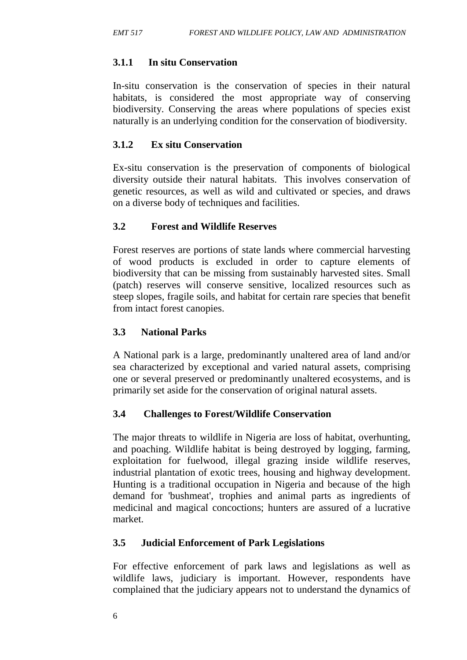# **3.1.1 In situ Conservation**

In-situ conservation is the conservation of species in their natural habitats, is considered the most appropriate way of conserving biodiversity. Conserving the areas where populations of species exist naturally is an underlying condition for the conservation of biodiversity.

# **3.1.2 Ex situ Conservation**

Ex-situ conservation is the preservation of components of biological diversity outside their natural habitats. This involves conservation of genetic resources, as well as wild and cultivated or species, and draws on a diverse body of techniques and facilities.

# **3.2 Forest and Wildlife Reserves**

Forest reserves are portions of state lands where commercial harvesting of wood products is excluded in order to capture elements of biodiversity that can be missing from sustainably harvested sites. Small (patch) reserves will conserve sensitive, localized resources such as steep slopes, fragile soils, and habitat for certain rare species that benefit from intact forest canopies.

# **3.3 National Parks**

A National park is a large, predominantly unaltered area of land and/or sea characterized by exceptional and varied natural assets, comprising one or several preserved or predominantly unaltered ecosystems, and is primarily set aside for the conservation of original natural assets.

## **3.4 Challenges to Forest/Wildlife Conservation**

The major threats to wildlife in Nigeria are loss of habitat, overhunting, and poaching. Wildlife habitat is being destroyed by logging, farming, exploitation for fuelwood, illegal grazing inside wildlife reserves, industrial plantation of exotic trees, housing and highway development. Hunting is a traditional occupation in Nigeria and because of the high demand for 'bushmeat', trophies and animal parts as ingredients of medicinal and magical concoctions; hunters are assured of a lucrative market.

## **3.5 Judicial Enforcement of Park Legislations**

For effective enforcement of park laws and legislations as well as wildlife laws, judiciary is important. However, respondents have complained that the judiciary appears not to understand the dynamics of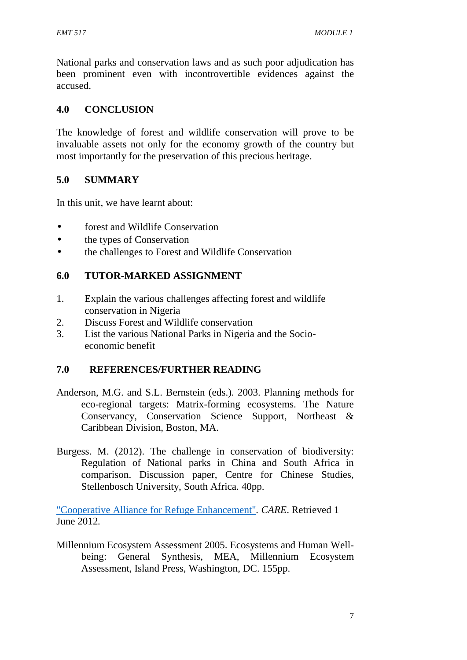National parks and conservation laws and as such poor adjudication has been prominent even with incontrovertible evidences against the accused.

#### **4.0 CONCLUSION**

The knowledge of forest and wildlife conservation will prove to be invaluable assets not only for the economy growth of the country but most importantly for the preservation of this precious heritage.

## **5.0 SUMMARY**

In this unit, we have learnt about:

- forest and Wildlife Conservation
- the types of Conservation
- the challenges to Forest and Wildlife Conservation

## **6.0 TUTOR-MARKED ASSIGNMENT**

- 1. Explain the various challenges affecting forest and wildlife conservation in Nigeria
- 2. Discuss Forest and Wildlife conservation
- 3. List the various National Parks in Nigeria and the Socio economic benefit

## **7.0 REFERENCES/FURTHER READING**

- Anderson, M.G. and S.L. Bernstein (eds.). 2003. Planning methods for eco-regional targets: Matrix-forming ecosystems. The Nature Conservancy, Conservation Science Support, Northeast & Caribbean Division, Boston, MA.
- Burgess. M. (2012). The challenge in conservation of biodiversity: Regulation of National parks in China and South Africa in comparison. Discussion paper, Centre for Chinese Studies, Stellenbosch University, South Africa. 40pp.

"Cooperative Alliance for Refuge Enhancement"*. CARE*. Retrieved 1 June 2012*.*

Millennium Ecosystem Assessment 2005. Ecosystems and Human Well being: General Synthesis, MEA, Millennium Ecosystem Assessment, Island Press, Washington, DC. 155pp.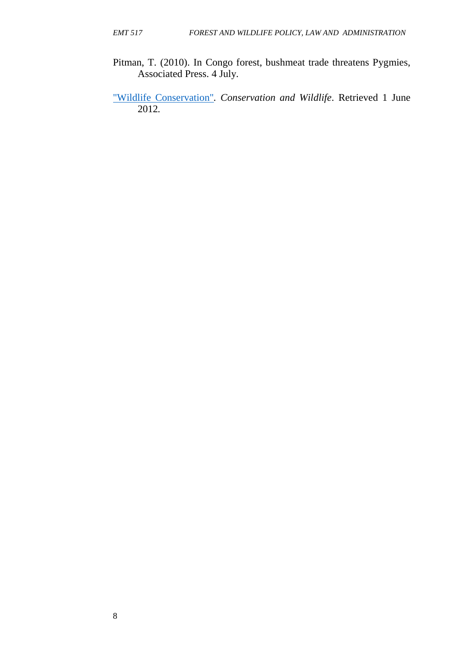- Pitman, T. (2010). In Congo forest, bushmeat trade threatens Pygmies, Associated Press. 4 July.
- "Wildlife Conservation"*. Conservation and Wildlife*. Retrieved 1 June 2012*.*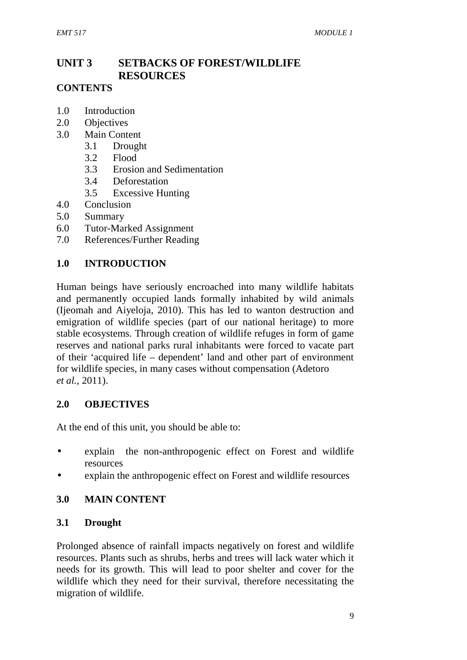# **UNIT 3 SETBACKS OF FOREST/WILDLIFE RESOURCES**

## **CONTENTS**

- 1.0 Introduction
- 2.0 Objectives
- 3.0 Main Content
	- 3.1 Drought
	- 3.2 Flood
	- 3.3 Erosion and Sedimentation
	- 3.4 Deforestation
	- 3.5 Excessive Hunting
- 4.0 Conclusion
- 5.0 Summary
- 6.0 Tutor-Marked Assignment
- 7.0 References/Further Reading

## **1.0 INTRODUCTION**

Human beings have seriously encroached into many wildlife habitats and permanently occupied lands formally inhabited by wild animals (Ijeomah and Aiyeloja, 2010). This has led to wanton destruction and emigration of wildlife species (part of our national heritage) to more stable ecosystems. Through creation of wildlife refuges in form of game reserves and national parks rural inhabitants were forced to vacate part of their 'acquired life – dependent' land and other part of environment for wildlife species, in many cases without compensation (Adetoro *et al.*, 2011).

## **2.0 OBJECTIVES**

At the end of this unit, you should be able to:

- explain the non-anthropogenic effect on Forest and wildlife resources
- explain the anthropogenic effect on Forest and wildlife resources

## **3.0 MAIN CONTENT**

## **3.1 Drought**

Prolonged absence of rainfall impacts negatively on forest and wildlife resources. Plants such as shrubs, herbs and trees will lack water which it needs for its growth. This will lead to poor shelter and cover for the wildlife which they need for their survival, therefore necessitating the migration of wildlife.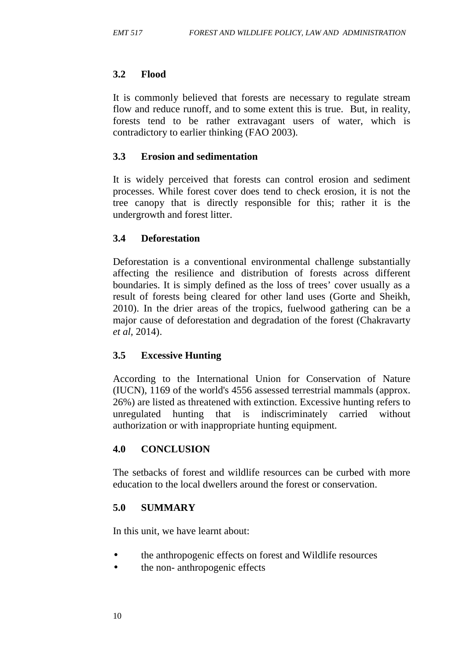## **3.2 Flood**

It is commonly believed that forests are necessary to regulate stream flow and reduce runoff, and to some extent this is true. But, in reality, forests tend to be rather extravagant users of water, which is contradictory to earlier thinking (FAO 2003).

## **3.3 Erosion and sedimentation**

It is widely perceived that forests can control erosion and sediment processes. While forest cover does tend to check erosion, it is not the tree canopy that is directly responsible for this; rather it is the undergrowth and forest litter.

## **3.4 Deforestation**

Deforestation is a conventional environmental challenge substantially affecting the resilience and distribution of forests across different boundaries. It is simply defined as the loss of trees' cover usually as a result of forests being cleared for other land uses (Gorte and Sheikh, 2010). In the drier areas of the tropics, fuelwood gathering can be a major cause of deforestation and degradation of the forest (Chakravarty *et al,* 2014).

## **3.5 Excessive Hunting**

According to the International Union for Conservation of Nature (IUCN), 1169 of the world's 4556 assessed terrestrial mammals (approx. 26%) are listed as threatened with extinction. Excessive hunting refers to unregulated hunting that is indiscriminately carried without authorization or with inappropriate hunting equipment.

## **4.0 CONCLUSION**

The setbacks of forest and wildlife resources can be curbed with more education to the local dwellers around the forest or conservation.

## **5.0 SUMMARY**

In this unit, we have learnt about:

- the anthropogenic effects on forest and Wildlife resources
- the non- anthropogenic effects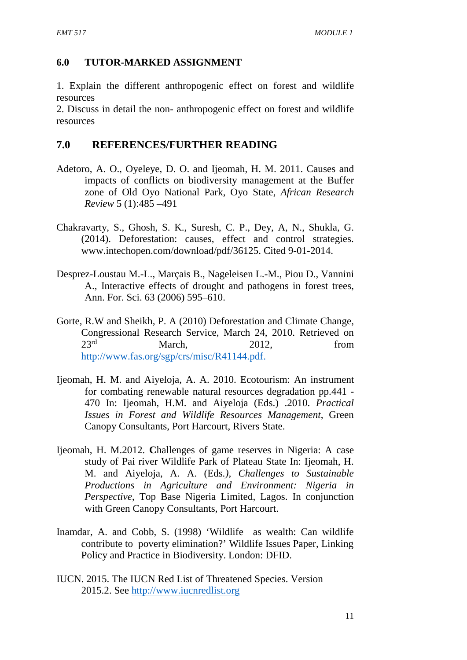#### **6.0 TUTOR-MARKED ASSIGNMENT**

1. Explain the different anthropogenic effect on forest and wildlife resources

2. Discuss in detail the non- anthropogenic effect on forest and wildlife resources

#### **7.0 REFERENCES/FURTHER READING**

- Adetoro, A. O., Oyeleye, D. O. and Ijeomah, H. M. 2011. Causes and impacts of conflicts on biodiversity management at the Buffer zone of Old Oyo National Park, Oyo State, *African Research Review* 5 (1):485 –491
- Chakravarty, S., Ghosh, S. K., Suresh, C. P., Dey, A, N., Shukla, G. (2014). Deforestation: causes, effect and control strategies. www.intechopen.com/download/pdf/36125. Cited 9-01-2014.
- Desprez-Loustau M.-L., Marçais B., Nageleisen L.-M., Piou D., Vannini A., Interactive effects of drought and pathogens in forest trees, Ann. For. Sci. 63 (2006) 595–610.
- Gorte, R.W and Sheikh, P. A (2010) Deforestation and Climate Change, Congressional Research Service, March 24, 2010. Retrieved on  $23<sup>rd</sup>$  March,  $2012$ , from http://www.fas.org/sgp/crs/misc/R41144.pdf.
- Ijeomah, H. M. and Aiyeloja, A. A. 2010. Ecotourism: An instrument for combating renewable natural resources degradation pp.441 - 470 In: Ijeomah, H.M. and Aiyeloja (Eds.) .2010. *Practical Issues in Forest and Wildlife Resources Management*, Green Canopy Consultants, Port Harcourt, Rivers State.
- Ijeomah, H. M.2012. **C**hallenges of game reserves in Nigeria: A case study of Pai river Wildlife Park of Plateau State In: Ijeomah, H. M. and Aiyeloja, A. A. (Eds*.), Challenges to Sustainable Productions in Agriculture and Environment: Nigeria in Perspective*, Top Base Nigeria Limited, Lagos. In conjunction with Green Canopy Consultants, Port Harcourt.
- Inamdar, A. and Cobb, S. (1998) 'Wildlife as wealth: Can wildlife contribute to poverty elimination?' Wildlife Issues Paper, Linking Policy and Practice in Biodiversity. London: DFID.
- IUCN. 2015. The IUCN Red List of Threatened Species. Version 2015.2. See http://www.iucnredlist.org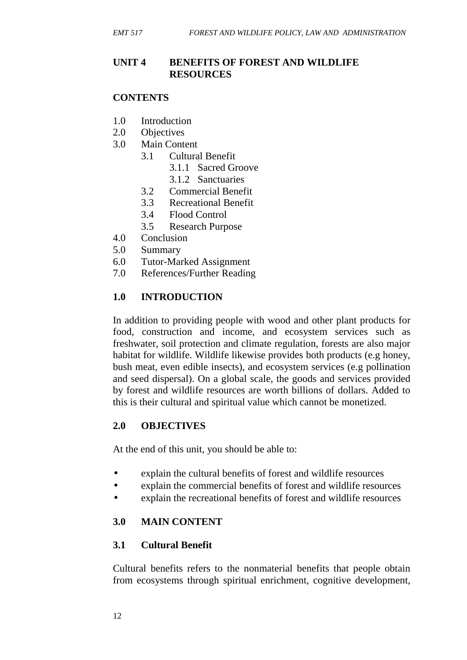## **UNIT 4 BENEFITS OF FOREST AND WILDLIFE RESOURCES**

#### **CONTENTS**

- 1.0 Introduction
- 2.0 Objectives
- 3.0 Main Content
	- 3.1 Cultural Benefit
		- 3.1.1 Sacred Groove
		- 3.1.2 Sanctuaries
	- 3.2 Commercial Benefit
	- 3.3 Recreational Benefit
	- 3.4 Flood Control
	- 3.5 Research Purpose
- 4.0 Conclusion
- 5.0 Summary
- 6.0 Tutor-Marked Assignment
- 7.0 References/Further Reading

#### **1.0 INTRODUCTION**

In addition to providing people with wood and other plant products for food, construction and income, and ecosystem services such as freshwater, soil protection and climate regulation, forests are also major habitat for wildlife. Wildlife likewise provides both products (e.g honey, bush meat, even edible insects), and ecosystem services (e.g pollination and seed dispersal). On a global scale, the goods and services provided by forest and wildlife resources are worth billions of dollars. Added to this is their cultural and spiritual value which cannot be monetized.

#### **2.0 OBJECTIVES**

At the end of this unit, you should be able to:

- explain the cultural benefits of forest and wildlife resources
- explain the commercial benefits of forest and wildlife resources
- explain the recreational benefits of forest and wildlife resources

#### **3.0 MAIN CONTENT**

#### **3.1 Cultural Benefit**

Cultural benefits refers to the nonmaterial benefits that people obtain from ecosystems through spiritual enrichment, cognitive development,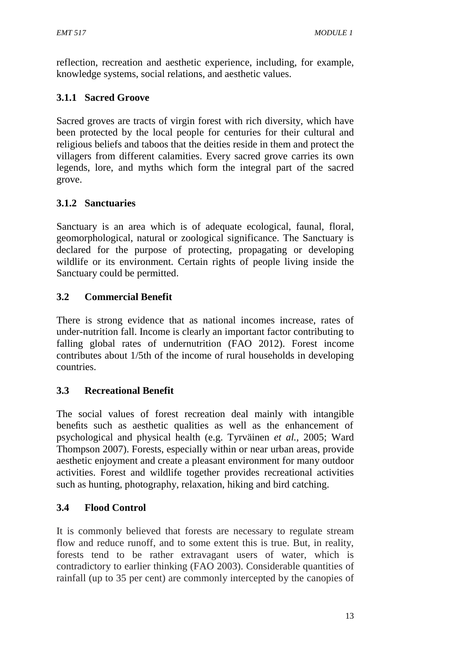reflection, recreation and aesthetic experience, including, for example, knowledge systems, social relations, and aesthetic values.

# **3.1.1 Sacred Groove**

Sacred groves are tracts of virgin forest with rich diversity, which have been protected by the local people for centuries for their cultural and religious beliefs and taboos that the deities reside in them and protect the villagers from different calamities. Every sacred grove carries its own legends, lore, and myths which form the integral part of the sacred grove.

## **3.1.2 Sanctuaries**

Sanctuary is an area which is of adequate ecological, faunal, floral, geomorphological, natural or zoological significance. The Sanctuary is declared for the purpose of protecting, propagating or developing wildlife or its environment. Certain rights of people living inside the Sanctuary could be permitted.

# **3.2 Commercial Benefit**

There is strong evidence that as national incomes increase, rates of under-nutrition fall. Income is clearly an important factor contributing to falling global rates of undernutrition (FAO 2012). Forest income contributes about 1/5th of the income of rural households in developing countries.

## **3.3 Recreational Benefit**

The social values of forest recreation deal mainly with intangible benefits such as aesthetic qualities as well as the enhancement of psychological and physical health (e.g. Tyrväinen *et al.,* 2005; Ward Thompson 2007). Forests, especially within or near urban areas, provide aesthetic enjoyment and create a pleasant environment for many outdoor activities. Forest and wildlife together provides recreational activities such as hunting, photography, relaxation, hiking and bird catching.

## **3.4 Flood Control**

It is commonly believed that forests are necessary to regulate stream flow and reduce runoff, and to some extent this is true. But, in reality, forests tend to be rather extravagant users of water, which is contradictory to earlier thinking (FAO 2003). Considerable quantities of rainfall (up to 35 per cent) are commonly intercepted by the canopies of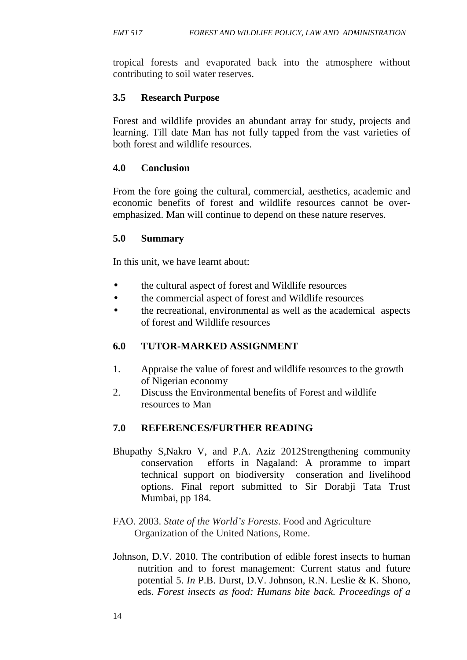tropical forests and evaporated back into the atmosphere without contributing to soil water reserves.

## **3.5 Research Purpose**

Forest and wildlife provides an abundant array for study, projects and learning. Till date Man has not fully tapped from the vast varieties of both forest and wildlife resources.

## **4.0 Conclusion**

From the fore going the cultural, commercial, aesthetics, academic and economic benefits of forest and wildlife resources cannot be over emphasized. Man will continue to depend on these nature reserves.

## **5.0 Summary**

In this unit, we have learnt about:

- the cultural aspect of forest and Wildlife resources
- the commercial aspect of forest and Wildlife resources
- the recreational, environmental as well as the academical aspects of forest and Wildlife resources

## **6.0 TUTOR-MARKED ASSIGNMENT**

- 1. Appraise the value of forest and wildlife resources to the growth of Nigerian economy
- 2. Discuss the Environmental benefits of Forest and wildlife resources to Man

## **7.0 REFERENCES/FURTHER READING**

- Bhupathy S,Nakro V, and P.A. Aziz 2012Strengthening community conservation efforts in Nagaland: A proramme to impart technical support on biodiversity conseration and livelihood options. Final report submitted to Sir Dorabji Tata Trust Mumbai, pp 184.
- FAO. 2003. *State of the World's Forests*. Food and Agriculture Organization of the United Nations, Rome.
- Johnson, D.V. 2010. The contribution of edible forest insects to human nutrition and to forest management: Current status and future potential 5. *In* P.B. Durst, D.V. Johnson, R.N. Leslie & K. Shono, eds. *Forest insects as food: Humans bite back. Proceedings of a*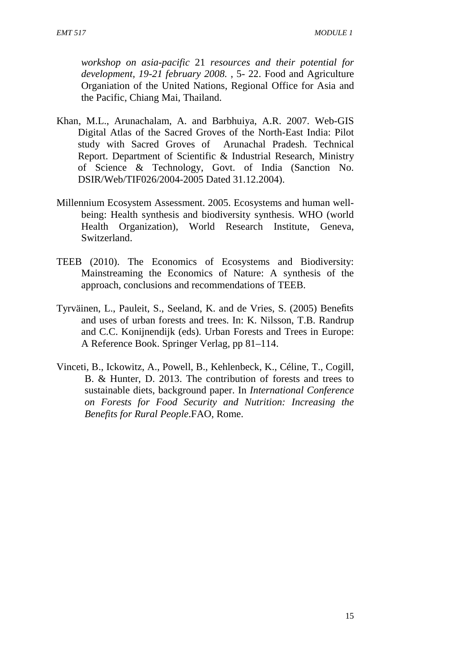*workshop on asia-pacific* 21 *resources and their potential for development, 19-21 february 2008.* , 5- 22. Food and Agriculture Organiation of the United Nations, Regional Office for Asia and the Pacific, Chiang Mai, Thailand.

- Khan, M.L., Arunachalam, A. and Barbhuiya, A.R. 2007. Web-GIS Digital Atlas of the Sacred Groves of the North-East India: Pilot study with Sacred Groves of Arunachal Pradesh. Technical Report. Department of Scientific & Industrial Research, Ministry of Science & Technology, Govt. of India (Sanction No. DSIR/Web/TIF026/2004-2005 Dated 31.12.2004).
- Millennium Ecosystem Assessment. 2005. Ecosystems and human well being: Health synthesis and biodiversity synthesis. WHO (world Health Organization), World Research Institute, Geneva, Switzerland.
- TEEB (2010). The Economics of Ecosystems and Biodiversity: Mainstreaming the Economics of Nature: A synthesis of the approach, conclusions and recommendations of TEEB.
- Tyrväinen, L., Pauleit, S., Seeland, K. and de Vries, S. (2005) Benefits and uses of urban forests and trees. In: K. Nilsson, T.B. Randrup and C.C. Konijnendijk (eds). Urban Forests and Trees in Europe: A Reference Book. Springer Verlag, pp 81–114.
- Vinceti, B., Ickowitz, A., Powell, B., Kehlenbeck, K., Céline, T., Cogill, B. & Hunter, D. 2013. The contribution of forests and trees to sustainable diets, background paper. In *International Conference on Forests for Food Security and Nutrition: Increasing the Benefits for Rural People*.FAO, Rome.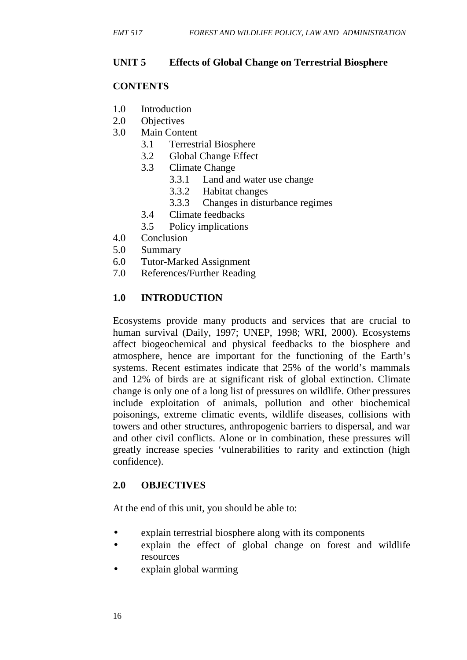## **UNIT 5 Effects of Global Change on Terrestrial Biosphere**

## **CONTENTS**

- 1.0 Introduction
- 2.0 Objectives
- 3.0 Main Content
	- 3.1 Terrestrial Biosphere
	- 3.2 Global Change Effect
	- 3.3 Climate Change
		- 3.3.1 Land and water use change
		- 3.3.2 Habitat changes
		- 3.3.3 Changes in disturbance regimes
	- 3.4 Climate feedbacks
	- 3.5 Policy implications
- 4.0 Conclusion
- 5.0 Summary
- 6.0 Tutor-Marked Assignment
- 7.0 References/Further Reading

## **1.0 INTRODUCTION**

Ecosystems provide many products and services that are crucial to human survival (Daily, 1997; UNEP, 1998; WRI, 2000). Ecosystems affect biogeochemical and physical feedbacks to the biosphere and atmosphere, hence are important for the functioning of the Earth's systems. Recent estimates indicate that 25% of the world's mammals and 12% of birds are at significant risk of global extinction. Climate change is only one of a long list of pressures on wildlife. Other pressures include exploitation of animals, pollution and other biochemical poisonings, extreme climatic events, wildlife diseases, collisions with towers and other structures, anthropogenic barriers to dispersal, and war and other civil conflicts. Alone or in combination, these pressures will greatly increase species 'vulnerabilities to rarity and extinction (high confidence).

## **2.0 OBJECTIVES**

At the end of this unit, you should be able to:

- explain terrestrial biosphere along with its components
- explain the effect of global change on forest and wildlife resources
- explain global warming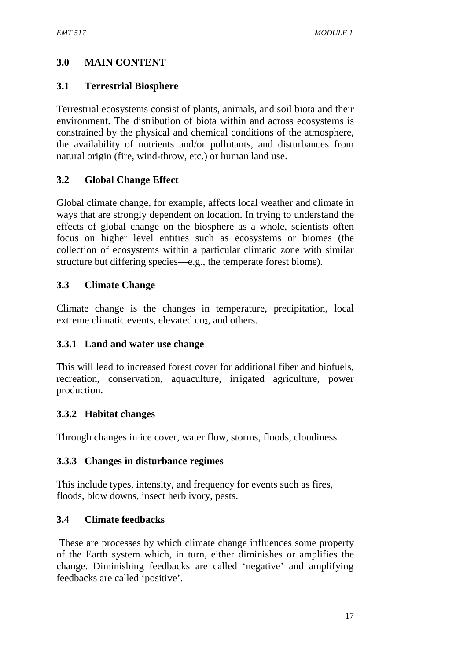# **3.0 MAIN CONTENT**

## **3.1 Terrestrial Biosphere**

Terrestrial ecosystems consist of plants, animals, and soil biota and their environment. The distribution of biota within and across ecosystems is constrained by the physical and chemical conditions of the atmosphere, the availability of nutrients and/or pollutants, and disturbances from natural origin (fire, wind-throw, etc.) or human land use.

## **3.2 Global Change Effect**

Global climate change, for example, affects local weather and climate in ways that are strongly dependent on location. In trying to understand the effects of global change on the biosphere as a whole, scientists often focus on higher level entities such as ecosystems or biomes (the collection of ecosystems within a particular climatic zone with similar structure but differing species—e.g., the temperate forest biome).

## **3.3 Climate Change**

Climate change is the changes in temperature, precipitation, local extreme climatic events, elevated co<sub>2</sub>, and others.

## **3.3.1 Land and water use change**

This will lead to increased forest cover for additional fiber and biofuels, recreation, conservation, aquaculture, irrigated agriculture, power production.

## **3.3.2 Habitat changes**

Through changes in ice cover, water flow, storms, floods, cloudiness.

## **3.3.3 Changes in disturbance regimes**

This include types, intensity, and frequency for events such as fires, floods, blow downs, insect herb ivory, pests.

## **3.4 Climate feedbacks**

These are processes by which climate change influences some property of the Earth system which, in turn, either diminishes or amplifies the change. Diminishing feedbacks are called 'negative' and amplifying feedbacks are called 'positive'.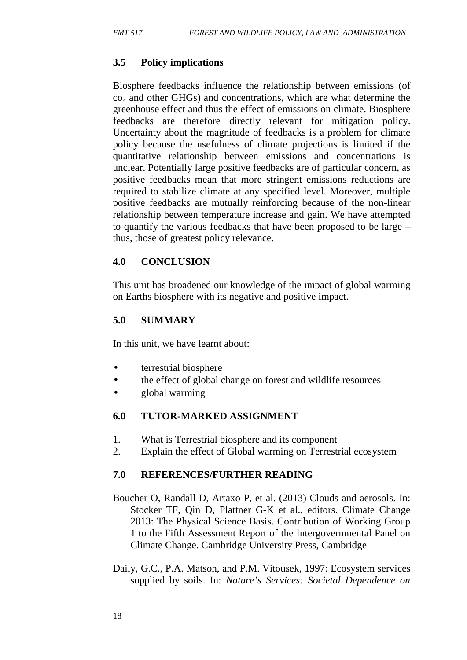## **3.5 Policy implications**

Biosphere feedbacks influence the relationship between emissions (of co<sup>2</sup> and other GHGs) and concentrations, which are what determine the greenhouse effect and thus the effect of emissions on climate. Biosphere feedbacks are therefore directly relevant for mitigation policy. Uncertainty about the magnitude of feedbacks is a problem for climate policy because the usefulness of climate projections is limited if the quantitative relationship between emissions and concentrations is unclear. Potentially large positive feedbacks are of particular concern, as positive feedbacks mean that more stringent emissions reductions are required to stabilize climate at any specified level. Moreover, multiple positive feedbacks are mutually reinforcing because of the non-linear relationship between temperature increase and gain. We have attempted to quantify the various feedbacks that have been proposed to be large – thus, those of greatest policy relevance.

## **4.0 CONCLUSION**

This unit has broadened our knowledge of the impact of global warming on Earths biosphere with its negative and positive impact.

## **5.0 SUMMARY**

In this unit, we have learnt about:

- terrestrial biosphere
- the effect of global change on forest and wildlife resources
- global warming

## **6.0 TUTOR-MARKED ASSIGNMENT**

- 1. What is Terrestrial biosphere and its component
- 2. Explain the effect of Global warming on Terrestrial ecosystem

## **7.0 REFERENCES/FURTHER READING**

- Boucher O, Randall D, Artaxo P, et al. (2013) Clouds and aerosols. In: Stocker TF, Qin D, Plattner G-K et al., editors. Climate Change 2013: The Physical Science Basis. Contribution of Working Group 1 to the Fifth Assessment Report of the Intergovernmental Panel on Climate Change. Cambridge University Press, Cambridge
- Daily, G.C., P.A. Matson, and P.M. Vitousek, 1997: Ecosystem services supplied by soils. In: *Nature's Services: Societal Dependence on*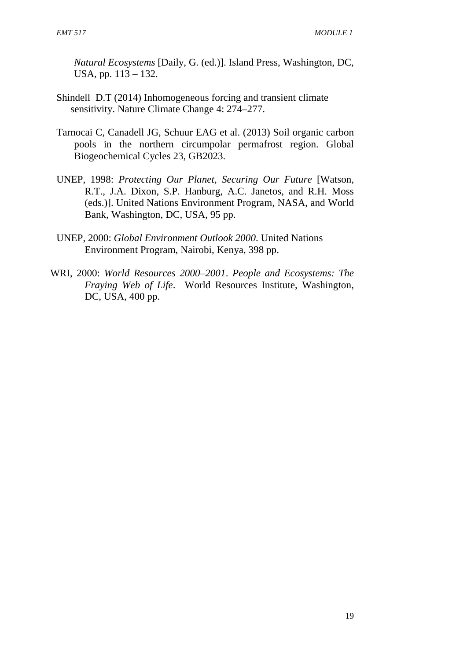*Natural Ecosystems* [Daily, G. (ed.)]. Island Press, Washington, DC, USA, pp. 113 – 132.

- Shindell D.T (2014) Inhomogeneous forcing and transient climate sensitivity. Nature Climate Change 4: 274–277.
- Tarnocai C, Canadell JG, Schuur EAG et al. (2013) Soil organic carbon pools in the northern circumpolar permafrost region. Global Biogeochemical Cycles 23, GB2023.
- UNEP, 1998: *Protecting Our Planet, Securing Our Future* [Watson, R.T., J.A. Dixon, S.P. Hanburg, A.C. Janetos, and R.H. Moss (eds.)]. United Nations Environment Program, NASA, and World Bank, Washington, DC, USA, 95 pp.
- UNEP, 2000: *Global Environment Outlook 2000*. United Nations Environment Program, Nairobi, Kenya, 398 pp.
- WRI, 2000: *World Resources 2000–2001*. *People and Ecosystems: The Fraying Web of Life*. World Resources Institute, Washington, DC, USA, 400 pp.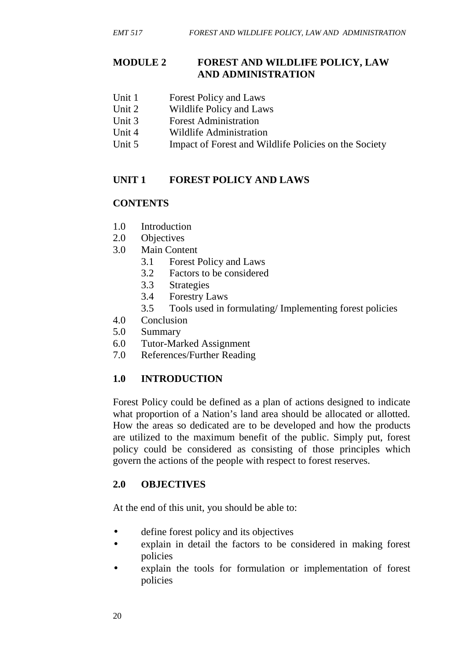#### **MODULE 2 FOREST AND WILDLIFE POLICY, LAW AND ADMINISTRATION**

- Unit 1 Forest Policy and Laws
- Unit 2 Wildlife Policy and Laws
- Unit 3 Forest Administration
- Unit 4 Wildlife Administration
- Unit 5 Impact of Forest and Wildlife Policies on the Society

## **UNIT 1 FOREST POLICY AND LAWS**

## **CONTENTS**

- 1.0 Introduction
- 2.0 Objectives
- 3.0 Main Content
	- 3.1 Forest Policy and Laws
	- 3.2 Factors to be considered
	- 3.3 Strategies
	- 3.4 Forestry Laws
	- 3.5 Tools used in formulating/ Implementing forest policies
- 4.0 Conclusion
- 5.0 Summary
- 6.0 Tutor-Marked Assignment
- 7.0 References/Further Reading

## **1.0 INTRODUCTION**

Forest Policy could be defined as a plan of actions designed to indicate what proportion of a Nation's land area should be allocated or allotted. How the areas so dedicated are to be developed and how the products are utilized to the maximum benefit of the public. Simply put, forest policy could be considered as consisting of those principles which govern the actions of the people with respect to forest reserves.

## **2.0 OBJECTIVES**

At the end of this unit, you should be able to:

- define forest policy and its objectives
- explain in detail the factors to be considered in making forest policies
- explain the tools for formulation or implementation of forest policies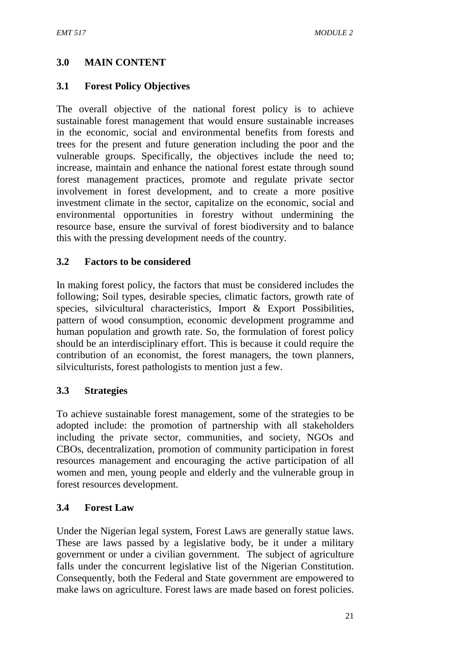# **3.0 MAIN CONTENT**

# **3.1 Forest Policy Objectives**

The overall objective of the national forest policy is to achieve sustainable forest management that would ensure sustainable increases in the economic, social and environmental benefits from forests and trees for the present and future generation including the poor and the vulnerable groups. Specifically, the objectives include the need to; increase, maintain and enhance the national forest estate through sound forest management practices, promote and regulate private sector involvement in forest development, and to create a more positive investment climate in the sector, capitalize on the economic, social and environmental opportunities in forestry without undermining the resource base, ensure the survival of forest biodiversity and to balance this with the pressing development needs of the country.

### **3.2 Factors to be considered**

In making forest policy, the factors that must be considered includes the following; Soil types, desirable species, climatic factors, growth rate of species, silvicultural characteristics, Import & Export Possibilities, pattern of wood consumption, economic development programme and human population and growth rate. So, the formulation of forest policy should be an interdisciplinary effort. This is because it could require the contribution of an economist, the forest managers, the town planners, silviculturists, forest pathologists to mention just a few.

### **3.3 Strategies**

To achieve sustainable forest management, some of the strategies to be adopted include: the promotion of partnership with all stakeholders including the private sector, communities, and society, NGOs and CBOs, decentralization, promotion of community participation in forest resources management and encouraging the active participation of all women and men, young people and elderly and the vulnerable group in forest resources development.

### **3.4 Forest Law**

Under the Nigerian legal system, Forest Laws are generally statue laws. These are laws passed by a legislative body, be it under a military government or under a civilian government. The subject of agriculture falls under the concurrent legislative list of the Nigerian Constitution. Consequently, both the Federal and State government are empowered to make laws on agriculture. Forest laws are made based on forest policies.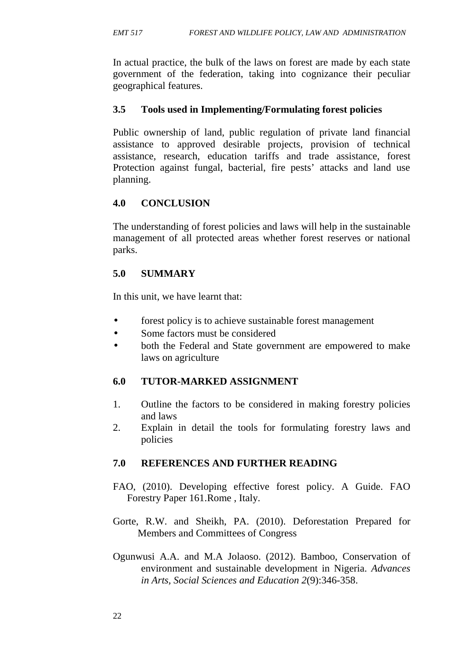In actual practice, the bulk of the laws on forest are made by each state government of the federation, taking into cognizance their peculiar geographical features.

#### **3.5 Tools used in Implementing/Formulating forest policies**

Public ownership of land, public regulation of private land financial assistance to approved desirable projects, provision of technical assistance, research, education tariffs and trade assistance, forest Protection against fungal, bacterial, fire pests' attacks and land use planning.

### **4.0 CONCLUSION**

The understanding of forest policies and laws will help in the sustainable management of all protected areas whether forest reserves or national parks.

### **5.0 SUMMARY**

In this unit, we have learnt that:

- forest policy is to achieve sustainable forest management
- Some factors must be considered
- both the Federal and State government are empowered to make laws on agriculture

# **6.0 TUTOR-MARKED ASSIGNMENT**

- 1. Outline the factors to be considered in making forestry policies and laws
- 2. Explain in detail the tools for formulating forestry laws and policies

- FAO, (2010). Developing effective forest policy. A Guide. FAO Forestry Paper 161.Rome , Italy.
- Gorte, R.W. and Sheikh, PA. (2010). Deforestation Prepared for Members and Committees of Congress
- Ogunwusi A.A. and M.A Jolaoso. (2012). Bamboo, Conservation of environment and sustainable development in Nigeria. *Advances in Arts, Social Sciences and Education 2*(9):346-358.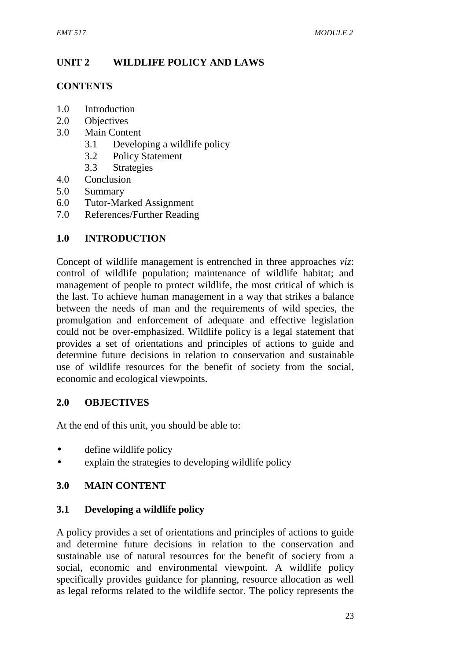# **UNIT 2 WILDLIFE POLICY AND LAWS**

#### **CONTENTS**

- 1.0 Introduction
- 2.0 Objectives
- 3.0 Main Content
	- 3.1 Developing a wildlife policy
	- 3.2 Policy Statement
	- 3.3 Strategies
- 4.0 Conclusion
- 5.0 Summary
- 6.0 Tutor-Marked Assignment
- 7.0 References/Further Reading

### **1.0 INTRODUCTION**

Concept of wildlife management is entrenched in three approaches *viz*: control of wildlife population; maintenance of wildlife habitat; and management of people to protect wildlife, the most critical of which is the last. To achieve human management in a way that strikes a balance between the needs of man and the requirements of wild species, the promulgation and enforcement of adequate and effective legislation could not be over-emphasized. Wildlife policy is a legal statement that provides a set of orientations and principles of actions to guide and determine future decisions in relation to conservation and sustainable use of wildlife resources for the benefit of society from the social, economic and ecological viewpoints.

### **2.0 OBJECTIVES**

At the end of this unit, you should be able to:

- define wildlife policy
- explain the strategies to developing wildlife policy

### **3.0 MAIN CONTENT**

### **3.1 Developing a wildlife policy**

A policy provides a set of orientations and principles of actions to guide and determine future decisions in relation to the conservation and sustainable use of natural resources for the benefit of society from a social, economic and environmental viewpoint. A wildlife policy specifically provides guidance for planning, resource allocation as well as legal reforms related to the wildlife sector. The policy represents the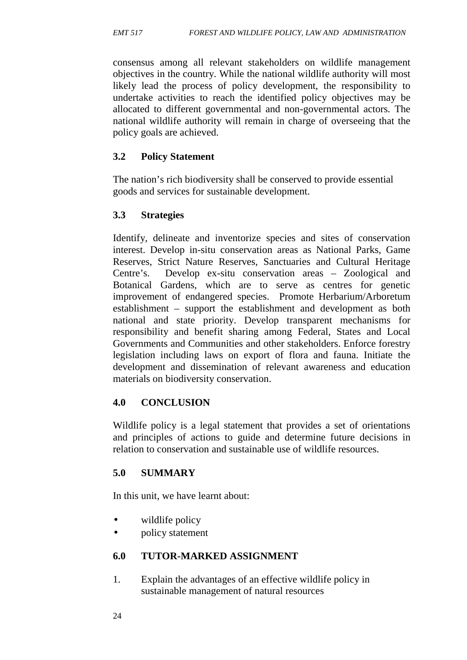consensus among all relevant stakeholders on wildlife management objectives in the country. While the national wildlife authority will most likely lead the process of policy development, the responsibility to undertake activities to reach the identified policy objectives may be allocated to different governmental and non-governmental actors. The national wildlife authority will remain in charge of overseeing that the policy goals are achieved.

### **3.2 Policy Statement**

The nation's rich biodiversity shall be conserved to provide essential goods and services for sustainable development.

### **3.3 Strategies**

Identify, delineate and inventorize species and sites of conservation interest. Develop in-situ conservation areas as National Parks, Game Reserves, Strict Nature Reserves, Sanctuaries and Cultural Heritage Centre's. Develop ex-situ conservation areas – Zoological and Botanical Gardens, which are to serve as centres for genetic improvement of endangered species. Promote Herbarium/Arboretum establishment – support the establishment and development as both national and state priority. Develop transparent mechanisms for responsibility and benefit sharing among Federal, States and Local Governments and Communities and other stakeholders. Enforce forestry legislation including laws on export of flora and fauna. Initiate the development and dissemination of relevant awareness and education materials on biodiversity conservation.

### **4.0 CONCLUSION**

Wildlife policy is a legal statement that provides a set of orientations and principles of actions to guide and determine future decisions in relation to conservation and sustainable use of wildlife resources.

### **5.0 SUMMARY**

In this unit, we have learnt about:

- wildlife policy
- policy statement

### **6.0 TUTOR-MARKED ASSIGNMENT**

1. Explain the advantages of an effective wildlife policy in sustainable management of natural resources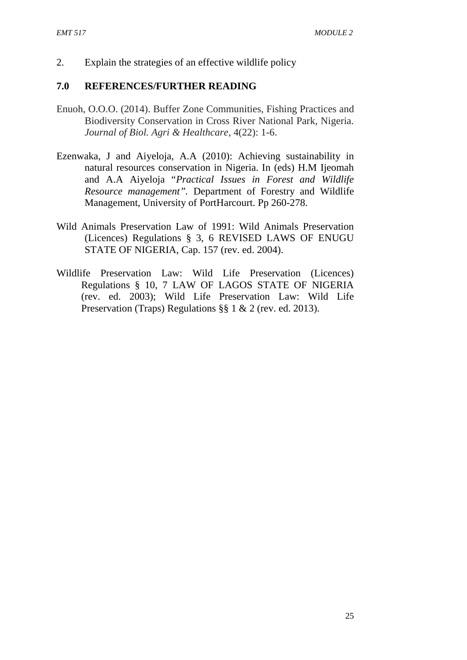2. Explain the strategies of an effective wildlife policy

- Enuoh, O.O.O. (2014). Buffer Zone Communities, Fishing Practices and Biodiversity Conservation in Cross River National Park, Nigeria. *Journal of Biol. Agri & Healthcare*, 4(22): 1-6.
- Ezenwaka, J and Aiyeloja, A.A (2010): Achieving sustainability in natural resources conservation in Nigeria. In (eds) H.M Ijeomah and A.A Aiyeloja "*Practical Issues in Forest and Wildlife Resource management".* Department of Forestry and Wildlife Management, University of PortHarcourt. Pp 260-278.
- Wild Animals Preservation Law of 1991: Wild Animals Preservation (Licences) Regulations § 3, 6 REVISED LAWS OF ENUGU STATE OF NIGERIA, Cap. 157 (rev. ed. 2004).
- Wildlife Preservation Law: Wild Life Preservation (Licences) Regulations § 10, 7 LAW OF LAGOS STATE OF NIGERIA (rev. ed. 2003); Wild Life Preservation Law: Wild Life Preservation (Traps) Regulations §§ 1 & 2 (rev. ed. 2013).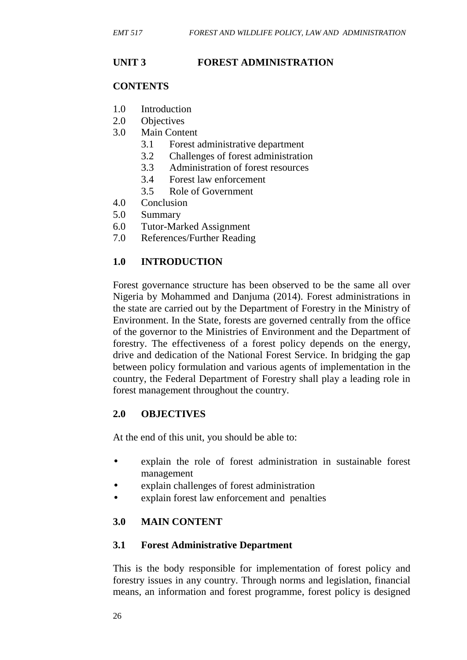# **UNIT 3 FOREST ADMINISTRATION**

#### **CONTENTS**

- 1.0 Introduction
- 2.0 Objectives
- 3.0 Main Content
	- 3.1 Forest administrative department
	- 3.2 Challenges of forest administration
	- 3.3 Administration of forest resources
	- 3.4 Forest law enforcement
	- 3.5 Role of Government
- 4.0 Conclusion
- 5.0 Summary
- 6.0 Tutor-Marked Assignment
- 7.0 References/Further Reading

# **1.0 INTRODUCTION**

Forest governance structure has been observed to be the same all over Nigeria by Mohammed and Danjuma (2014). Forest administrations in the state are carried out by the Department of Forestry in the Ministry of Environment. In the State, forests are governed centrally from the office of the governor to the Ministries of Environment and the Department of forestry. The effectiveness of a forest policy depends on the energy, drive and dedication of the National Forest Service. In bridging the gap between policy formulation and various agents of implementation in the country, the Federal Department of Forestry shall play a leading role in forest management throughout the country.

# **2.0 OBJECTIVES**

At the end of this unit, you should be able to:

- explain the role of forest administration in sustainable forest management
- explain challenges of forest administration
- explain forest law enforcement and penalties

# **3.0 MAIN CONTENT**

### **3.1 Forest Administrative Department**

This is the body responsible for implementation of forest policy and forestry issues in any country. Through norms and legislation, financial means, an information and forest programme, forest policy is designed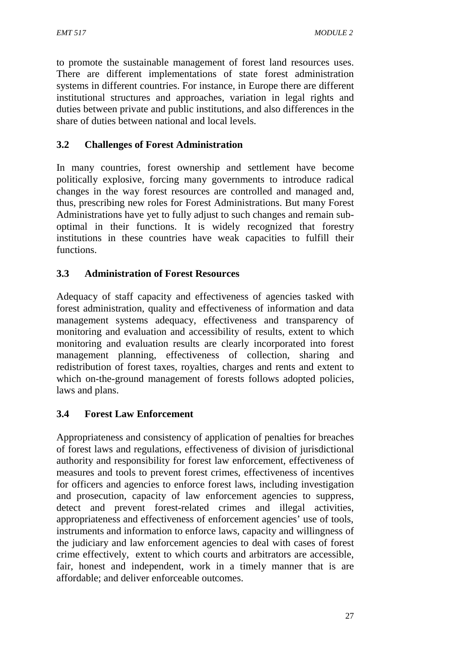to promote the sustainable management of forest land resources uses. There are different implementations of state forest administration systems in different countries. For instance, in Europe there are different institutional structures and approaches, variation in legal rights and duties between private and public institutions, and also differences in the share of duties between national and local levels.

# **3.2 Challenges of Forest Administration**

In many countries, forest ownership and settlement have become politically explosive, forcing many governments to introduce radical changes in the way forest resources are controlled and managed and, thus, prescribing new roles for Forest Administrations. But many Forest Administrations have yet to fully adjust to such changes and remain sub optimal in their functions. It is widely recognized that forestry institutions in these countries have weak capacities to fulfill their functions.

### **3.3 Administration of Forest Resources**

Adequacy of staff capacity and effectiveness of agencies tasked with forest administration, quality and effectiveness of information and data management systems adequacy, effectiveness and transparency of monitoring and evaluation and accessibility of results, extent to which monitoring and evaluation results are clearly incorporated into forest management planning, effectiveness of collection, sharing and redistribution of forest taxes, royalties, charges and rents and extent to which on-the-ground management of forests follows adopted policies, laws and plans.

# **3.4 Forest Law Enforcement**

Appropriateness and consistency of application of penalties for breaches of forest laws and regulations, effectiveness of division of jurisdictional authority and responsibility for forest law enforcement, effectiveness of measures and tools to prevent forest crimes, effectiveness of incentives for officers and agencies to enforce forest laws, including investigation and prosecution, capacity of law enforcement agencies to suppress, detect and prevent forest-related crimes and illegal activities, appropriateness and effectiveness of enforcement agencies' use of tools, instruments and information to enforce laws, capacity and willingness of the judiciary and law enforcement agencies to deal with cases of forest crime effectively, extent to which courts and arbitrators are accessible, fair, honest and independent, work in a timely manner that is are affordable; and deliver enforceable outcomes.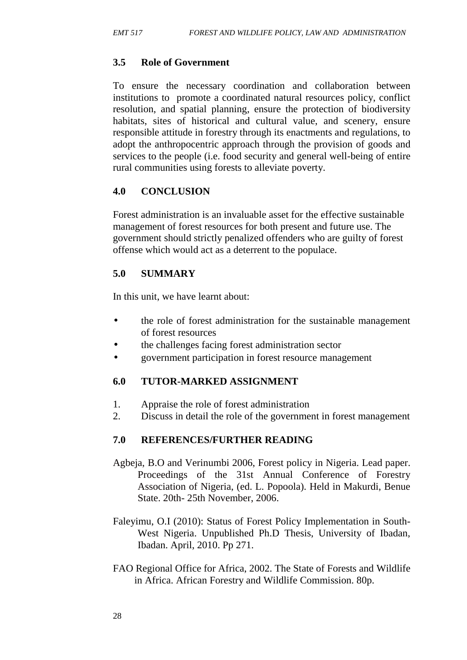# **3.5 Role of Government**

To ensure the necessary coordination and collaboration between institutions to promote a coordinated natural resources policy, conflict resolution, and spatial planning, ensure the protection of biodiversity habitats, sites of historical and cultural value, and scenery, ensure responsible attitude in forestry through its enactments and regulations, to adopt the anthropocentric approach through the provision of goods and services to the people (i.e. food security and general well-being of entire rural communities using forests to alleviate poverty.

### **4.0 CONCLUSION**

Forest administration is an invaluable asset for the effective sustainable management of forest resources for both present and future use. The government should strictly penalized offenders who are guilty of forest offense which would act as a deterrent to the populace.

### **5.0 SUMMARY**

In this unit, we have learnt about:

- the role of forest administration for the sustainable management of forest resources
- the challenges facing forest administration sector
- government participation in forest resource management

### **6.0 TUTOR-MARKED ASSIGNMENT**

- 1. Appraise the role of forest administration
- 2. Discuss in detail the role of the government in forest management

- Agbeja, B.O and Verinumbi 2006, Forest policy in Nigeria. Lead paper. Proceedings of the 31st Annual Conference of Forestry Association of Nigeria, (ed. L. Popoola). Held in Makurdi, Benue State. 20th- 25th November, 2006.
- Faleyimu, O.I (2010): Status of Forest Policy Implementation in South- West Nigeria. Unpublished Ph.D Thesis, University of Ibadan, Ibadan. April, 2010. Pp 271.
- FAO Regional Office for Africa, 2002. The State of Forests and Wildlife in Africa. African Forestry and Wildlife Commission. 80p.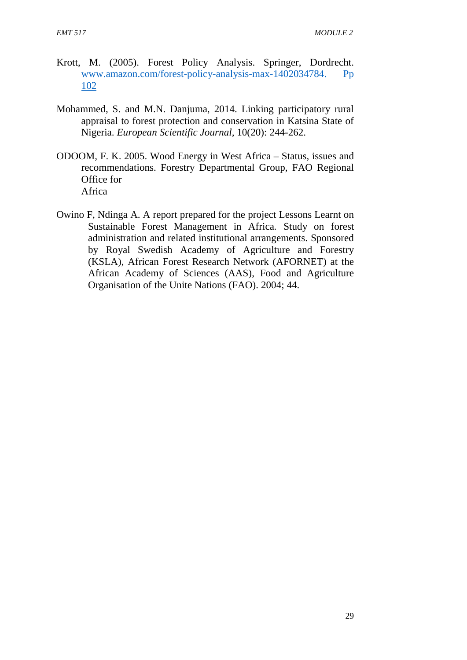- Krott, M. (2005). Forest Policy Analysis. Springer, Dordrecht. www.amazon.com/forest-policy-analysis-max-1402034784. Pp 102
- Mohammed, S. and M.N. Danjuma, 2014. Linking participatory rural appraisal to forest protection and conservation in Katsina State of Nigeria. *European Scientific Journal,* 10(20): 244-262.
- ODOOM, F. K. 2005. Wood Energy in West Africa Status, issues and recommendations. Forestry Departmental Group, FAO Regional Office for Africa
- Owino F, Ndinga A. A report prepared for the project Lessons Learnt on Sustainable Forest Management in Africa*.* Study on forest administration and related institutional arrangements. Sponsored by Royal Swedish Academy of Agriculture and Forestry (KSLA), African Forest Research Network (AFORNET) at the African Academy of Sciences (AAS), Food and Agriculture Organisation of the Unite Nations (FAO). 2004; 44.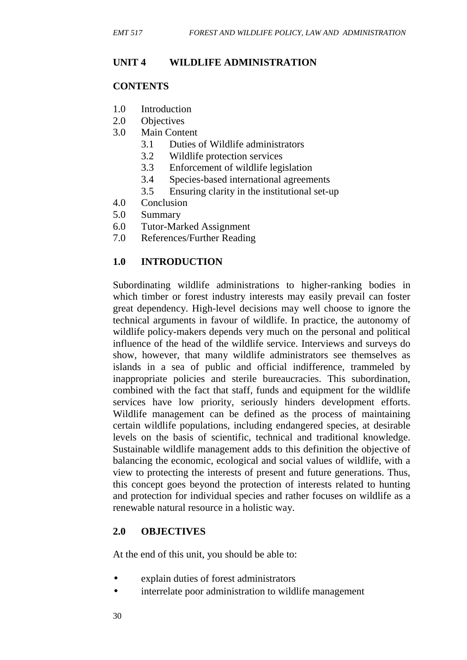### **UNIT 4 WILDLIFE ADMINISTRATION**

#### **CONTENTS**

- 1.0 Introduction
- 2.0 Objectives
- 3.0 Main Content
	- 3.1 Duties of Wildlife administrators
	- 3.2 Wildlife protection services
	- 3.3 Enforcement of wildlife legislation
	- 3.4 Species-based international agreements
	- 3.5 Ensuring clarity in the institutional set-up
- 4.0 Conclusion
- 5.0 Summary
- 6.0 Tutor-Marked Assignment
- 7.0 References/Further Reading

### **1.0 INTRODUCTION**

Subordinating wildlife administrations to higher-ranking bodies in which timber or forest industry interests may easily prevail can foster great dependency. High-level decisions may well choose to ignore the technical arguments in favour of wildlife. In practice, the autonomy of wildlife policy-makers depends very much on the personal and political influence of the head of the wildlife service. Interviews and surveys do show, however, that many wildlife administrators see themselves as islands in a sea of public and official indifference, trammeled by inappropriate policies and sterile bureaucracies. This subordination, combined with the fact that staff, funds and equipment for the wildlife services have low priority, seriously hinders development efforts. Wildlife management can be defined as the process of maintaining certain wildlife populations, including endangered species, at desirable levels on the basis of scientific, technical and traditional knowledge. Sustainable wildlife management adds to this definition the objective of balancing the economic, ecological and social values of wildlife, with a view to protecting the interests of present and future generations. Thus, this concept goes beyond the protection of interests related to hunting and protection for individual species and rather focuses on wildlife as a renewable natural resource in a holistic way.

### **2.0 OBJECTIVES**

At the end of this unit, you should be able to:

- explain duties of forest administrators
- interrelate poor administration to wildlife management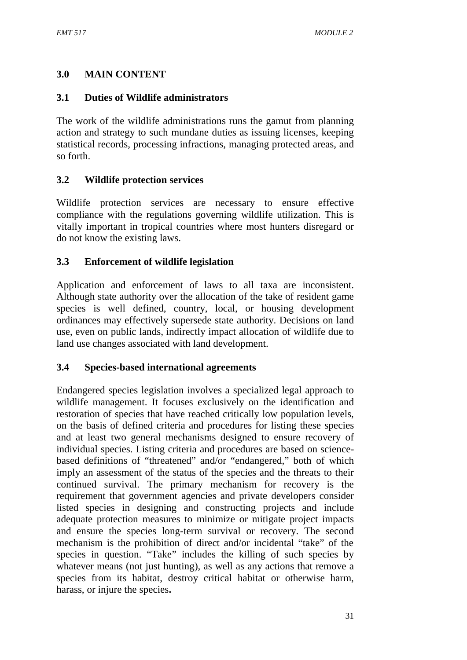# **3.0 MAIN CONTENT**

### **3.1 Duties of Wildlife administrators**

The work of the wildlife administrations runs the gamut from planning action and strategy to such mundane duties as issuing licenses, keeping statistical records, processing infractions, managing protected areas, and so forth.

### **3.2 Wildlife protection services**

Wildlife protection services are necessary to ensure effective compliance with the regulations governing wildlife utilization. This is vitally important in tropical countries where most hunters disregard or do not know the existing laws.

### **3.3 Enforcement of wildlife legislation**

Application and enforcement of laws to all taxa are inconsistent. Although state authority over the allocation of the take of resident game species is well defined, country, local, or housing development ordinances may effectively supersede state authority. Decisions on land use, even on public lands, indirectly impact allocation of wildlife due to land use changes associated with land development.

### **3.4 Species-based international agreements**

Endangered species legislation involves a specialized legal approach to wildlife management. It focuses exclusively on the identification and restoration of species that have reached critically low population levels, on the basis of defined criteria and procedures for listing these species and at least two general mechanisms designed to ensure recovery of individual species. Listing criteria and procedures are based on science based definitions of "threatened" and/or "endangered," both of which imply an assessment of the status of the species and the threats to their continued survival. The primary mechanism for recovery is the requirement that government agencies and private developers consider listed species in designing and constructing projects and include adequate protection measures to minimize or mitigate project impacts and ensure the species long-term survival or recovery. The second mechanism is the prohibition of direct and/or incidental "take" of the species in question. "Take" includes the killing of such species by whatever means (not just hunting), as well as any actions that remove a species from its habitat, destroy critical habitat or otherwise harm, harass, or injure the species**.**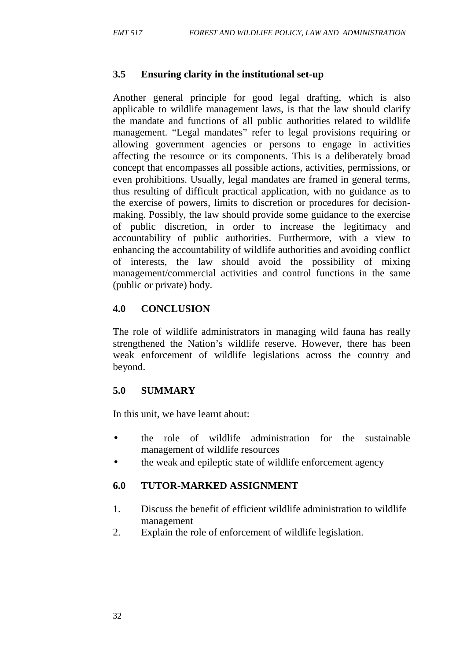### **3.5 Ensuring clarity in the institutional set-up**

Another general principle for good legal drafting, which is also applicable to wildlife management laws, is that the law should clarify the mandate and functions of all public authorities related to wildlife management. "Legal mandates" refer to legal provisions requiring or allowing government agencies or persons to engage in activities affecting the resource or its components. This is a deliberately broad concept that encompasses all possible actions, activities, permissions, or even prohibitions. Usually, legal mandates are framed in general terms, thus resulting of difficult practical application, with no guidance as to the exercise of powers, limits to discretion or procedures for decision making. Possibly, the law should provide some guidance to the exercise of public discretion, in order to increase the legitimacy and accountability of public authorities. Furthermore, with a view to enhancing the accountability of wildlife authorities and avoiding conflict of interests, the law should avoid the possibility of mixing management/commercial activities and control functions in the same (public or private) body.

### **4.0 CONCLUSION**

The role of wildlife administrators in managing wild fauna has really strengthened the Nation's wildlife reserve. However, there has been weak enforcement of wildlife legislations across the country and beyond.

### **5.0 SUMMARY**

In this unit, we have learnt about:

- the role of wildlife administration for the sustainable management of wildlife resources
- the weak and epileptic state of wildlife enforcement agency

# **6.0 TUTOR-MARKED ASSIGNMENT**

- 1. Discuss the benefit of efficient wildlife administration to wildlife management
- 2. Explain the role of enforcement of wildlife legislation.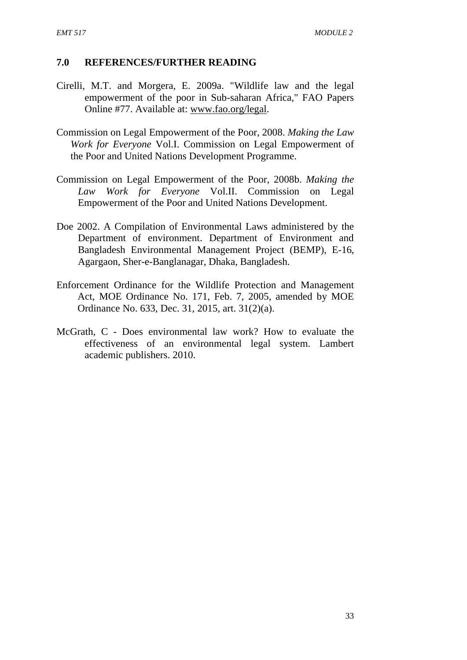- Cirelli, M.T. and Morgera, E. 2009a. "Wildlife law and the legal empowerment of the poor in Sub-saharan Africa," FAO Papers Online #77. Available at: www.fao.org/legal.
- Commission on Legal Empowerment of the Poor, 2008. *Making the Law Work for Everyone* Vol.I. Commission on Legal Empowerment of the Poor and United Nations Development Programme.
- Commission on Legal Empowerment of the Poor, 2008b. *Making the Law Work for Everyone* Vol.II. Commission on Legal Empowerment of the Poor and United Nations Development.
- Doe 2002. A Compilation of Environmental Laws administered by the Department of environment. Department of Environment and Bangladesh Environmental Management Project (BEMP), E-16, Agargaon, Sher-e-Banglanagar, Dhaka, Bangladesh.
- Enforcement Ordinance for the Wildlife Protection and Management Act, MOE Ordinance No. 171, Feb. 7, 2005, amended by MOE Ordinance No. 633, Dec. 31, 2015, art. 31(2)(a).
- McGrath, C Does environmental law work? How to evaluate the effectiveness of an environmental legal system. Lambert academic publishers. 2010.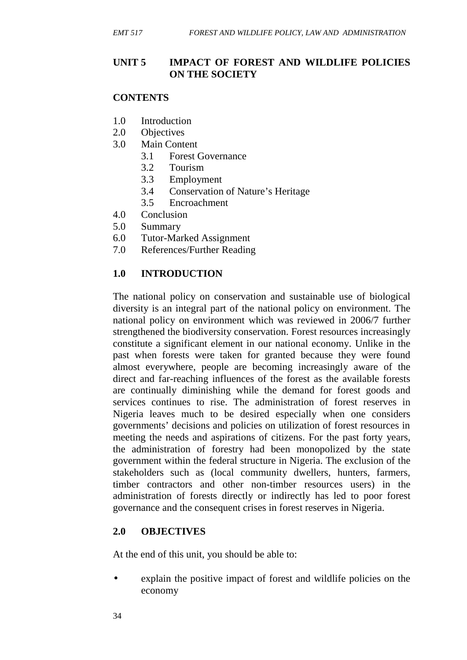### **UNIT 5 IMPACT OF FOREST AND WILDLIFE POLICIES ON THE SOCIETY**

#### **CONTENTS**

- 1.0 Introduction
- 2.0 Objectives
- 3.0 Main Content
	- 3.1 Forest Governance
	- 3.2 Tourism
	- 3.3 Employment
	- 3.4 Conservation of Nature's Heritage
	- 3.5 Encroachment
- 4.0 Conclusion
- 5.0 Summary
- 6.0 Tutor-Marked Assignment
- 7.0 References/Further Reading

#### **1.0 INTRODUCTION**

The national policy on conservation and sustainable use of biological diversity is an integral part of the national policy on environment. The national policy on environment which was reviewed in 2006/7 further strengthened the biodiversity conservation. Forest resources increasingly constitute a significant element in our national economy. Unlike in the past when forests were taken for granted because they were found almost everywhere, people are becoming increasingly aware of the direct and far-reaching influences of the forest as the available forests are continually diminishing while the demand for forest goods and services continues to rise. The administration of forest reserves in Nigeria leaves much to be desired especially when one considers governments' decisions and policies on utilization of forest resources in meeting the needs and aspirations of citizens. For the past forty years, the administration of forestry had been monopolized by the state government within the federal structure in Nigeria. The exclusion of the stakeholders such as (local community dwellers, hunters, farmers, timber contractors and other non-timber resources users) in the administration of forests directly or indirectly has led to poor forest governance and the consequent crises in forest reserves in Nigeria.

### **2.0 OBJECTIVES**

At the end of this unit, you should be able to:

 explain the positive impact of forest and wildlife policies on the economy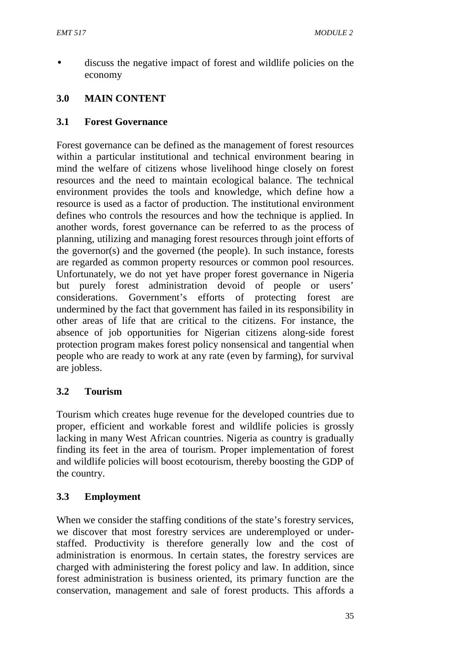discuss the negative impact of forest and wildlife policies on the economy

# **3.0 MAIN CONTENT**

### **3.1 Forest Governance**

Forest governance can be defined as the management of forest resources within a particular institutional and technical environment bearing in mind the welfare of citizens whose livelihood hinge closely on forest resources and the need to maintain ecological balance. The technical environment provides the tools and knowledge, which define how a resource is used as a factor of production. The institutional environment defines who controls the resources and how the technique is applied. In another words, forest governance can be referred to as the process of planning, utilizing and managing forest resources through joint efforts of the governor(s) and the governed (the people). In such instance, forests are regarded as common property resources or common pool resources. Unfortunately, we do not yet have proper forest governance in Nigeria but purely forest administration devoid of people or users' considerations. Government's efforts of protecting forest are undermined by the fact that government has failed in its responsibility in other areas of life that are critical to the citizens. For instance, the absence of job opportunities for Nigerian citizens along-side forest protection program makes forest policy nonsensical and tangential when people who are ready to work at any rate (even by farming), for survival are jobless.

### **3.2 Tourism**

Tourism which creates huge revenue for the developed countries due to proper, efficient and workable forest and wildlife policies is grossly lacking in many West African countries. Nigeria as country is gradually finding its feet in the area of tourism. Proper implementation of forest and wildlife policies will boost ecotourism, thereby boosting the GDP of the country.

### **3.3 Employment**

When we consider the staffing conditions of the state's forestry services, we discover that most forestry services are underemployed or under staffed. Productivity is therefore generally low and the cost of administration is enormous. In certain states, the forestry services are charged with administering the forest policy and law. In addition, since forest administration is business oriented, its primary function are the conservation, management and sale of forest products. This affords a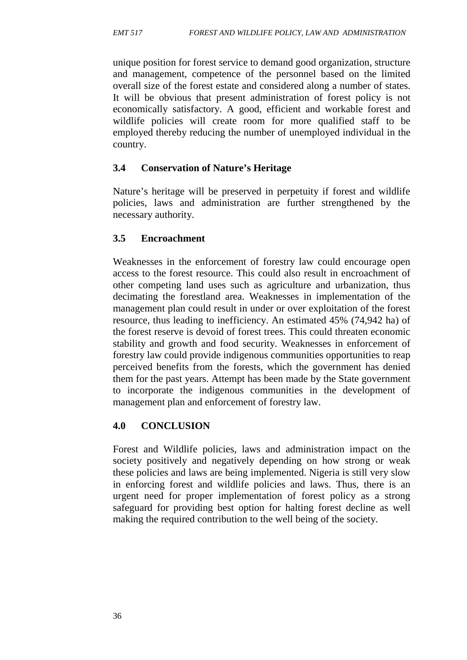unique position for forest service to demand good organization, structure and management, competence of the personnel based on the limited overall size of the forest estate and considered along a number of states. It will be obvious that present administration of forest policy is not economically satisfactory. A good, efficient and workable forest and wildlife policies will create room for more qualified staff to be employed thereby reducing the number of unemployed individual in the country.

# **3.4 Conservation of Nature's Heritage**

Nature's heritage will be preserved in perpetuity if forest and wildlife policies, laws and administration are further strengthened by the necessary authority.

# **3.5 Encroachment**

Weaknesses in the enforcement of forestry law could encourage open access to the forest resource. This could also result in encroachment of other competing land uses such as agriculture and urbanization, thus decimating the forestland area. Weaknesses in implementation of the management plan could result in under or over exploitation of the forest resource, thus leading to inefficiency. An estimated 45% (74,942 ha) of the forest reserve is devoid of forest trees. This could threaten economic stability and growth and food security. Weaknesses in enforcement of forestry law could provide indigenous communities opportunities to reap perceived benefits from the forests, which the government has denied them for the past years. Attempt has been made by the State government to incorporate the indigenous communities in the development of management plan and enforcement of forestry law.

# **4.0 CONCLUSION**

Forest and Wildlife policies, laws and administration impact on the society positively and negatively depending on how strong or weak these policies and laws are being implemented. Nigeria is still very slow in enforcing forest and wildlife policies and laws. Thus, there is an urgent need for proper implementation of forest policy as a strong safeguard for providing best option for halting forest decline as well making the required contribution to the well being of the society.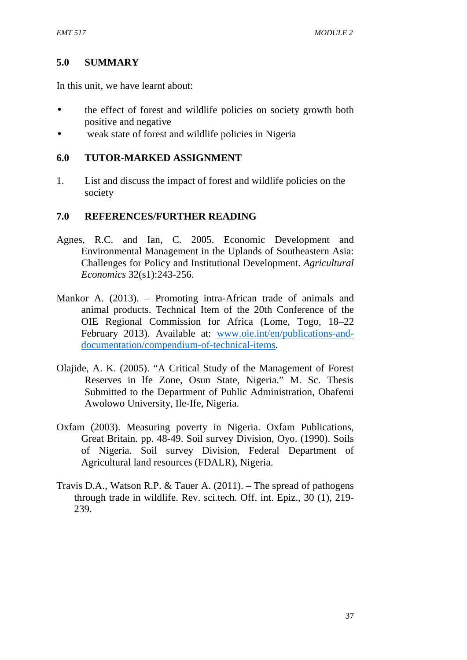### **5.0 SUMMARY**

In this unit, we have learnt about:

- the effect of forest and wildlife policies on society growth both positive and negative
- weak state of forest and wildlife policies in Nigeria

#### **6.0 TUTOR-MARKED ASSIGNMENT**

1. List and discuss the impact of forest and wildlife policies on the society

- Agnes, R.C. and Ian, C. 2005. Economic Development and Environmental Management in the Uplands of Southeastern Asia: Challenges for Policy and Institutional Development. *Agricultural Economics* 32(s1):243-256.
- Mankor A. (2013). Promoting intra-African trade of animals and animal products. Technical Item of the 20th Conference of the OIE Regional Commission for Africa (Lome, Togo, 18–22 February 2013). Available at: www.oie.int/en/publications-anddocumentation/compendium-of-technical-items.
- Olajide, A. K. (2005). "A Critical Study of the Management of Forest Reserves in lfe Zone, Osun State, Nigeria." M. Sc. Thesis Submitted to the Department of Public Administration, Obafemi Awolowo University, Ile-Ife, Nigeria.
- Oxfam (2003). Measuring poverty in Nigeria. Oxfam Publications, Great Britain. pp. 48-49. Soil survey Division, Oyo. (1990). Soils of Nigeria. Soil survey Division, Federal Department of Agricultural land resources (FDALR), Nigeria.
- Travis D.A., Watson R.P. & Tauer A. (2011). The spread of pathogens through trade in wildlife. Rev. sci.tech. Off. int. Epiz., 30 (1), 219- 239.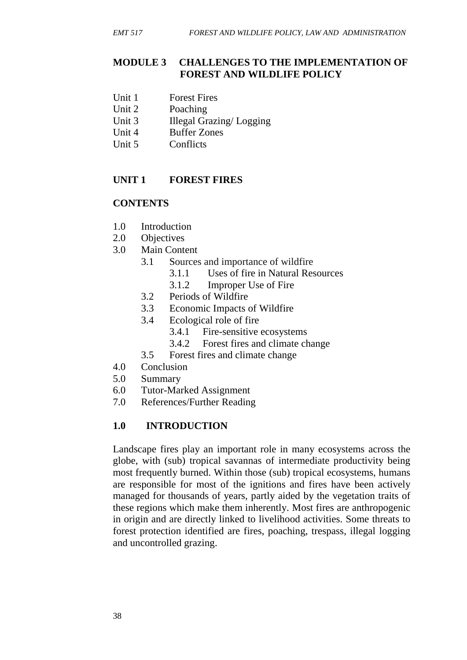#### **MODULE 3 CHALLENGES TO THE IMPLEMENTATION OF FOREST AND WILDLIFE POLICY**

- Unit 1 Forest Fires
- Unit 2 Poaching
- Unit 3 Illegal Grazing/ Logging
- Unit 4 Buffer Zones
- Unit 5 Conflicts

### **UNIT 1 FOREST FIRES**

### **CONTENTS**

- 1.0 Introduction
- 2.0 Objectives
- 3.0 Main Content
	- 3.1 Sources and importance of wildfire
		- 3.1.1 Uses of fire in Natural Resources
		- 3.1.2 Improper Use of Fire
	- 3.2 Periods of Wildfire
	- 3.3 Economic Impacts of Wildfire
	- 3.4 Ecological role of fire
		- 3.4.1 Fire-sensitive ecosystems
		- 3.4.2 Forest fires and climate change
	- 3.5 Forest fires and climate change
- 4.0 Conclusion
- 5.0 Summary
- 6.0 Tutor-Marked Assignment
- 7.0 References/Further Reading

# **1.0 INTRODUCTION**

Landscape fires play an important role in many ecosystems across the globe, with (sub) tropical savannas of intermediate productivity being most frequently burned. Within those (sub) tropical ecosystems, humans are responsible for most of the ignitions and fires have been actively managed for thousands of years, partly aided by the vegetation traits of these regions which make them inherently. Most fires are anthropogenic in origin and are directly linked to livelihood activities. Some threats to forest protection identified are fires, poaching, trespass, illegal logging and uncontrolled grazing.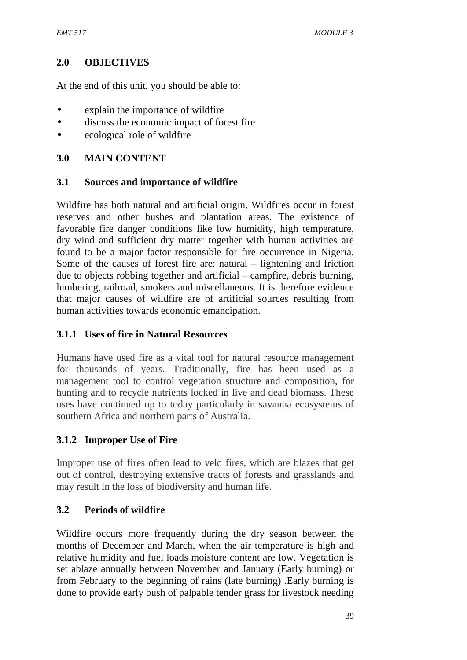### **2.0 OBJECTIVES**

At the end of this unit, you should be able to:

- explain the importance of wildfire
- discuss the economic impact of forest fire
- ecological role of wildfire

### **3.0 MAIN CONTENT**

### **3.1 Sources and importance of wildfire**

Wildfire has both natural and artificial origin. Wildfires occur in forest reserves and other bushes and plantation areas. The existence of favorable fire danger conditions like low humidity, high temperature, dry wind and sufficient dry matter together with human activities are found to be a major factor responsible for fire occurrence in Nigeria. Some of the causes of forest fire are: natural – lightening and friction due to objects robbing together and artificial – campfire, debris burning, lumbering, railroad, smokers and miscellaneous. It is therefore evidence that major causes of wildfire are of artificial sources resulting from human activities towards economic emancipation.

# **3.1.1 Uses of fire in Natural Resources**

Humans have used fire as a vital tool for natural resource management for thousands of years. Traditionally, fire has been used as a management tool to control vegetation structure and composition, for hunting and to recycle nutrients locked in live and dead biomass. These uses have continued up to today particularly in savanna ecosystems of southern Africa and northern parts of Australia.

# **3.1.2 Improper Use of Fire**

Improper use of fires often lead to veld fires, which are blazes that get out of control, destroying extensive tracts of forests and grasslands and may result in the loss of biodiversity and human life.

# **3.2 Periods of wildfire**

Wildfire occurs more frequently during the dry season between the months of December and March, when the air temperature is high and relative humidity and fuel loads moisture content are low. Vegetation is set ablaze annually between November and January (Early burning) or from February to the beginning of rains (late burning) .Early burning is done to provide early bush of palpable tender grass for livestock needing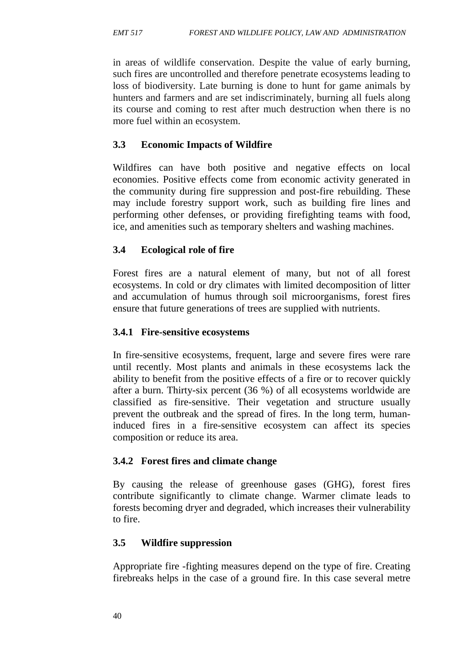in areas of wildlife conservation. Despite the value of early burning, such fires are uncontrolled and therefore penetrate ecosystems leading to loss of biodiversity. Late burning is done to hunt for game animals by hunters and farmers and are set indiscriminately, burning all fuels along its course and coming to rest after much destruction when there is no more fuel within an ecosystem.

### **3.3 Economic Impacts of Wildfire**

Wildfires can have both positive and negative effects on local economies. Positive effects come from economic activity generated in the community during fire suppression and post-fire rebuilding. These may include forestry support work, such as building fire lines and performing other defenses, or providing firefighting teams with food, ice, and amenities such as temporary shelters and washing machines.

### **3.4 Ecological role of fire**

Forest fires are a natural element of many, but not of all forest ecosystems. In cold or dry climates with limited decomposition of litter and accumulation of humus through soil microorganisms, forest fires ensure that future generations of trees are supplied with nutrients.

#### **3.4.1 Fire-sensitive ecosystems**

In fire-sensitive ecosystems, frequent, large and severe fires were rare until recently. Most plants and animals in these ecosystems lack the ability to benefit from the positive effects of a fire or to recover quickly after a burn. Thirty-six percent (36 %) of all ecosystems worldwide are classified as fire-sensitive. Their vegetation and structure usually prevent the outbreak and the spread of fires. In the long term, humaninduced fires in a fire-sensitive ecosystem can affect its species composition or reduce its area.

### **3.4.2 Forest fires and climate change**

By causing the release of greenhouse gases (GHG), forest fires contribute significantly to climate change. Warmer climate leads to forests becoming dryer and degraded, which increases their vulnerability to fire.

#### **3.5 Wildfire suppression**

Appropriate fire -fighting measures depend on the type of fire. Creating firebreaks helps in the case of a ground fire. In this case several metre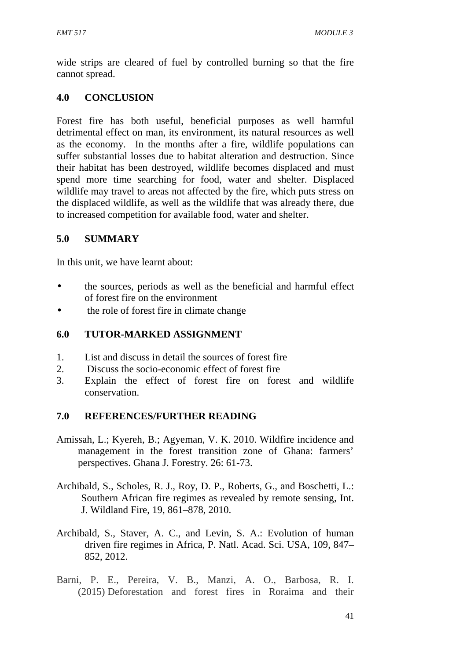wide strips are cleared of fuel by controlled burning so that the fire cannot spread.

# **4.0 CONCLUSION**

Forest fire has both useful, beneficial purposes as well harmful detrimental effect on man, its environment, its natural resources as well as the economy. In the months after a fire, wildlife populations can suffer substantial losses due to habitat alteration and destruction. Since their habitat has been destroyed, wildlife becomes displaced and must spend more time searching for food, water and shelter. Displaced wildlife may travel to areas not affected by the fire, which puts stress on the displaced wildlife, as well as the wildlife that was already there, due to increased competition for available food, water and shelter.

# **5.0 SUMMARY**

In this unit, we have learnt about:

- the sources, periods as well as the beneficial and harmful effect of forest fire on the environment
- the role of forest fire in climate change

### **6.0 TUTOR-MARKED ASSIGNMENT**

- 1. List and discuss in detail the sources of forest fire
- 2. Discuss the socio-economic effect of forest fire
- 3. Explain the effect of forest fire on forest and wildlife conservation.

- Amissah, L.; Kyereh, B.; Agyeman, V. K. 2010. Wildfire incidence and management in the forest transition zone of Ghana: farmers' perspectives. Ghana J. Forestry. 26: 61-73.
- Archibald, S., Scholes, R. J., Roy, D. P., Roberts, G., and Boschetti, L.: Southern African fire regimes as revealed by remote sensing, Int. J. Wildland Fire, 19, 861–878, 2010.
- Archibald, S., Staver, A. C., and Levin, S. A.: Evolution of human driven fire regimes in Africa, P. Natl. Acad. Sci. USA, 109, 847– 852, 2012.
- Barni, P. E., Pereira, V. B., Manzi, A. O., Barbosa, R. I. (2015) Deforestation and forest fires in Roraima and their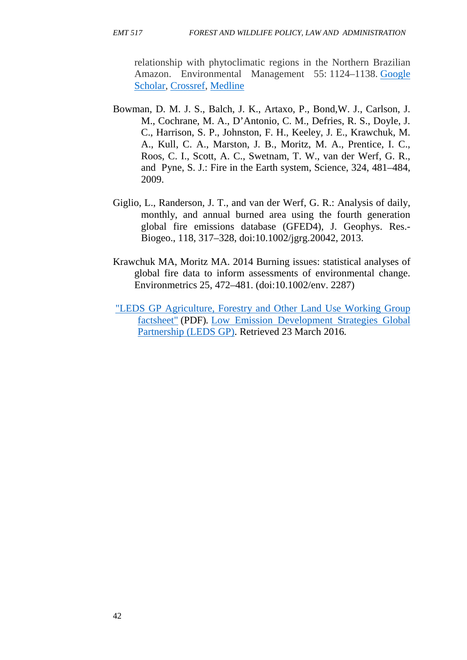relationship with phytoclimatic regions in the Northern Brazilian Amazon. Environmental Management 55: 1124–1138. Google Scholar, Crossref, Medline

- Bowman, D. M. J. S., Balch, J. K., Artaxo, P., Bond,W. J., Carlson, J. M., Cochrane, M. A., D'Antonio, C. M., Defries, R. S., Doyle, J. C., Harrison, S. P., Johnston, F. H., Keeley, J. E., Krawchuk, M. A., Kull, C. A., Marston, J. B., Moritz, M. A., Prentice, I. C., Roos, C. I., Scott, A. C., Swetnam, T. W., van der Werf, G. R., and Pyne, S. J.: Fire in the Earth system, Science, 324, 481–484, 2009.
- Giglio, L., Randerson, J. T., and van der Werf, G. R.: Analysis of daily, monthly, and annual burned area using the fourth generation global fire emissions database (GFED4), J. Geophys. Res.- Biogeo., 118, 317–328, doi:10.1002/jgrg.20042, 2013.
- Krawchuk MA, Moritz MA. 2014 Burning issues: statistical analyses of global fire data to inform assessments of environmental change. Environmetrics 25, 472–481. (doi:10.1002/env. 2287)
- "LEDS GP Agriculture, Forestry and Other Land Use Working Group factsheet" (PDF)*.* Low Emission Development Strategies Global Partnership (LEDS GP). Retrieved 23 March 2016*.*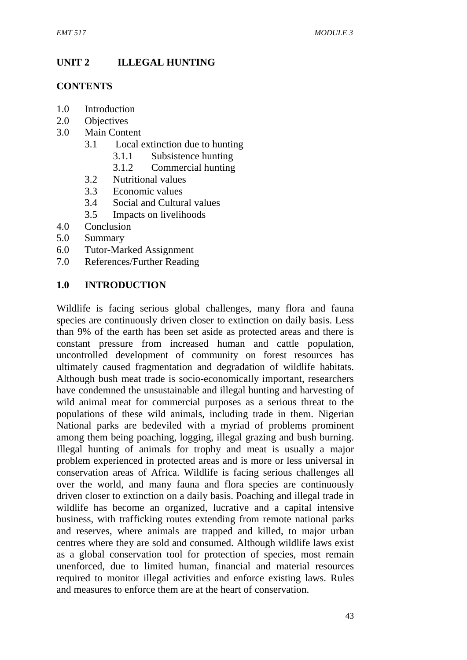# **UNIT 2 ILLEGAL HUNTING**

### **CONTENTS**

- 1.0 Introduction
- 2.0 Objectives
- 3.0 Main Content
	- 3.1 Local extinction due to hunting
		- 3.1.1 Subsistence hunting
		- 3.1.2 Commercial hunting
	- 3.2 Nutritional values
	- 3.3 Economic values
	- 3.4 Social and Cultural values
	- 3.5 Impacts on livelihoods
- 4.0 Conclusion
- 5.0 Summary
- 6.0 Tutor-Marked Assignment
- 7.0 References/Further Reading

### **1.0 INTRODUCTION**

Wildlife is facing serious global challenges, many flora and fauna species are continuously driven closer to extinction on daily basis. Less than 9% of the earth has been set aside as protected areas and there is constant pressure from increased human and cattle population, uncontrolled development of community on forest resources has ultimately caused fragmentation and degradation of wildlife habitats. Although bush meat trade is socio-economically important, researchers have condemned the unsustainable and illegal hunting and harvesting of wild animal meat for commercial purposes as a serious threat to the populations of these wild animals, including trade in them. Nigerian National parks are bedeviled with a myriad of problems prominent among them being poaching, logging, illegal grazing and bush burning. Illegal hunting of animals for trophy and meat is usually a major problem experienced in protected areas and is more or less universal in conservation areas of Africa. Wildlife is facing serious challenges all over the world, and many fauna and flora species are continuously driven closer to extinction on a daily basis. Poaching and illegal trade in wildlife has become an organized, lucrative and a capital intensive business, with trafficking routes extending from remote national parks and reserves, where animals are trapped and killed, to major urban centres where they are sold and consumed. Although wildlife laws exist as a global conservation tool for protection of species, most remain unenforced, due to limited human, financial and material resources required to monitor illegal activities and enforce existing laws. Rules and measures to enforce them are at the heart of conservation.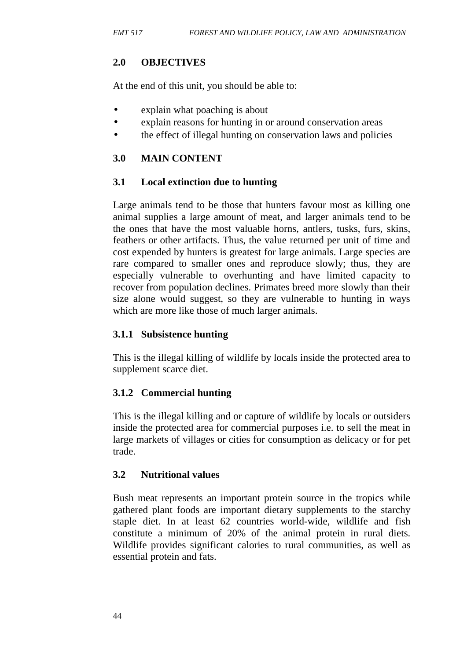# **2.0 OBJECTIVES**

At the end of this unit, you should be able to:

- explain what poaching is about
- explain reasons for hunting in or around conservation areas
- the effect of illegal hunting on conservation laws and policies

### **3.0 MAIN CONTENT**

### **3.1 Local extinction due to hunting**

Large animals tend to be those that hunters favour most as killing one animal supplies a large amount of meat, and larger animals tend to be the ones that have the most valuable horns, antlers, tusks, furs, skins, feathers or other artifacts. Thus, the value returned per unit of time and cost expended by hunters is greatest for large animals. Large species are rare compared to smaller ones and reproduce slowly; thus, they are especially vulnerable to overhunting and have limited capacity to recover from population declines. Primates breed more slowly than their size alone would suggest, so they are vulnerable to hunting in ways which are more like those of much larger animals.

### **3.1.1 Subsistence hunting**

This is the illegal killing of wildlife by locals inside the protected area to supplement scarce diet.

# **3.1.2 Commercial hunting**

This is the illegal killing and or capture of wildlife by locals or outsiders inside the protected area for commercial purposes i.e. to sell the meat in large markets of villages or cities for consumption as delicacy or for pet trade.

### **3.2 Nutritional values**

Bush meat represents an important protein source in the tropics while gathered plant foods are important dietary supplements to the starchy staple diet. In at least 62 countries world-wide, wildlife and fish constitute a minimum of 20% of the animal protein in rural diets. Wildlife provides significant calories to rural communities, as well as essential protein and fats.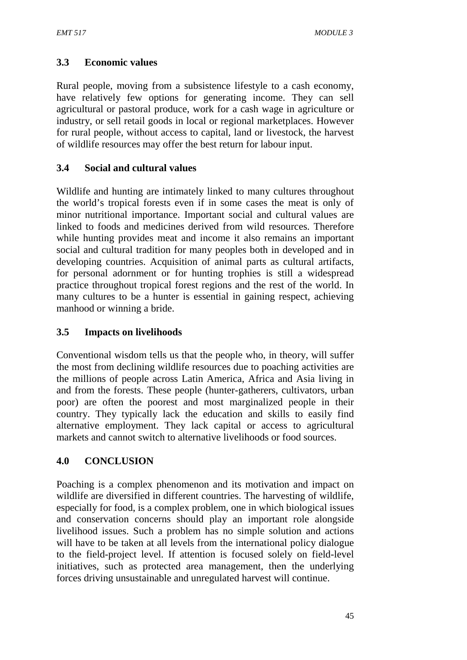# **3.3 Economic values**

Rural people, moving from a subsistence lifestyle to a cash economy, have relatively few options for generating income. They can sell agricultural or pastoral produce, work for a cash wage in agriculture or industry, or sell retail goods in local or regional marketplaces. However for rural people, without access to capital, land or livestock, the harvest of wildlife resources may offer the best return for labour input.

### **3.4 Social and cultural values**

Wildlife and hunting are intimately linked to many cultures throughout the world's tropical forests even if in some cases the meat is only of minor nutritional importance. Important social and cultural values are linked to foods and medicines derived from wild resources. Therefore while hunting provides meat and income it also remains an important social and cultural tradition for many peoples both in developed and in developing countries. Acquisition of animal parts as cultural artifacts, for personal adornment or for hunting trophies is still a widespread practice throughout tropical forest regions and the rest of the world. In many cultures to be a hunter is essential in gaining respect, achieving manhood or winning a bride.

### **3.5 Impacts on livelihoods**

Conventional wisdom tells us that the people who, in theory, will suffer the most from declining wildlife resources due to poaching activities are the millions of people across Latin America, Africa and Asia living in and from the forests. These people (hunter-gatherers, cultivators, urban poor) are often the poorest and most marginalized people in their country. They typically lack the education and skills to easily find alternative employment. They lack capital or access to agricultural markets and cannot switch to alternative livelihoods or food sources.

### **4.0 CONCLUSION**

Poaching is a complex phenomenon and its motivation and impact on wildlife are diversified in different countries. The harvesting of wildlife, especially for food, is a complex problem, one in which biological issues and conservation concerns should play an important role alongside livelihood issues. Such a problem has no simple solution and actions will have to be taken at all levels from the international policy dialogue to the field-project level. If attention is focused solely on field-level initiatives, such as protected area management, then the underlying forces driving unsustainable and unregulated harvest will continue.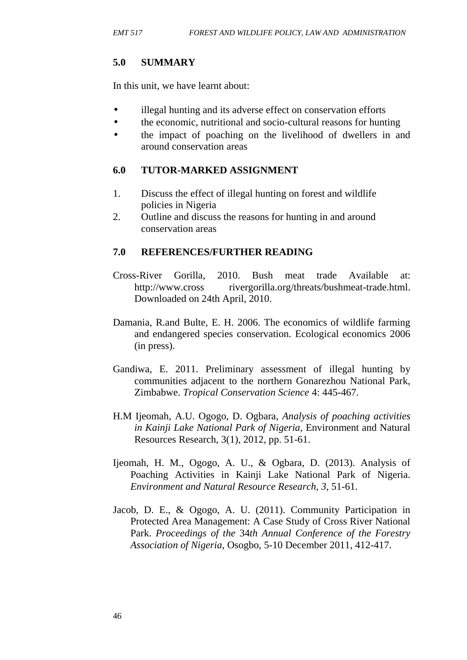# **5.0 SUMMARY**

In this unit, we have learnt about:

- illegal hunting and its adverse effect on conservation efforts
- the economic, nutritional and socio-cultural reasons for hunting
- the impact of poaching on the livelihood of dwellers in and around conservation areas

# **6.0 TUTOR-MARKED ASSIGNMENT**

- 1. Discuss the effect of illegal hunting on forest and wildlife policies in Nigeria
- 2. Outline and discuss the reasons for hunting in and around conservation areas

- Cross-River Gorilla, 2010. Bush meat trade Available at: http://www.cross rivergorilla.org/threats/bushmeat-trade.html. Downloaded on 24th April, 2010.
- Damania, R.and Bulte, E. H. 2006. The economics of wildlife farming and endangered species conservation. Ecological economics 2006 (in press).
- Gandiwa, E. 2011. Preliminary assessment of illegal hunting by communities adjacent to the northern Gonarezhou National Park, Zimbabwe. *Tropical Conservation Science* 4: 445-467.
- H.M Ijeomah, A.U. Ogogo, D. Ogbara, *Analysis of poaching activities in Kainji Lake National Park of Nigeria,* Environment and Natural Resources Research, 3(1), 2012, pp. 51-61.
- Ijeomah, H. M., Ogogo, A. U., & Ogbara, D. (2013). Analysis of Poaching Activities in Kainji Lake National Park of Nigeria. *Environment and Natural Resource Research, 3,* 51-61.
- Jacob, D. E., & Ogogo, A. U. (2011). Community Participation in Protected Area Management: A Case Study of Cross River National Park. *Proceedings of the* 34*th Annual Conference of the Forestry Association of Nigeria*, Osogbo, 5-10 December 2011, 412-417.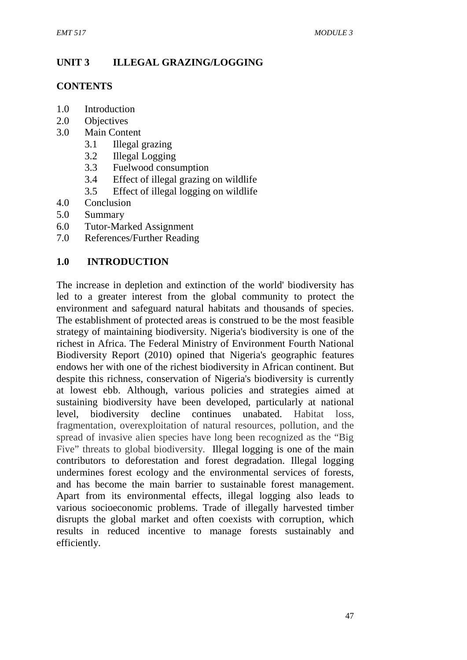# **UNIT 3 ILLEGAL GRAZING/LOGGING**

#### **CONTENTS**

- 1.0 Introduction
- 2.0 Objectives
- 3.0 Main Content
	- 3.1 Illegal grazing
	- 3.2 Illegal Logging
	- 3.3 Fuelwood consumption
	- 3.4 Effect of illegal grazing on wildlife
	- 3.5 Effect of illegal logging on wildlife
- 4.0 Conclusion
- 5.0 Summary
- 6.0 Tutor-Marked Assignment
- 7.0 References/Further Reading

### **1.0 INTRODUCTION**

The increase in depletion and extinction of the world' biodiversity has led to a greater interest from the global community to protect the environment and safeguard natural habitats and thousands of species. The establishment of protected areas is construed to be the most feasible strategy of maintaining biodiversity. Nigeria's biodiversity is one of the richest in Africa. The Federal Ministry of Environment Fourth National Biodiversity Report (2010) opined that Nigeria's geographic features endows her with one of the richest biodiversity in African continent. But despite this richness, conservation of Nigeria's biodiversity is currently at lowest ebb. Although, various policies and strategies aimed at sustaining biodiversity have been developed, particularly at national level, biodiversity decline continues unabated. Habitat loss, fragmentation, overexploitation of natural resources, pollution, and the spread of invasive alien species have long been recognized as the "Big Five" threats to global biodiversity. Illegal logging is one of the main contributors to deforestation and forest degradation. Illegal logging undermines forest ecology and the environmental services of forests, and has become the main barrier to sustainable forest management. Apart from its environmental effects, illegal logging also leads to various socioeconomic problems. Trade of illegally harvested timber disrupts the global market and often coexists with corruption, which results in reduced incentive to manage forests sustainably and efficiently.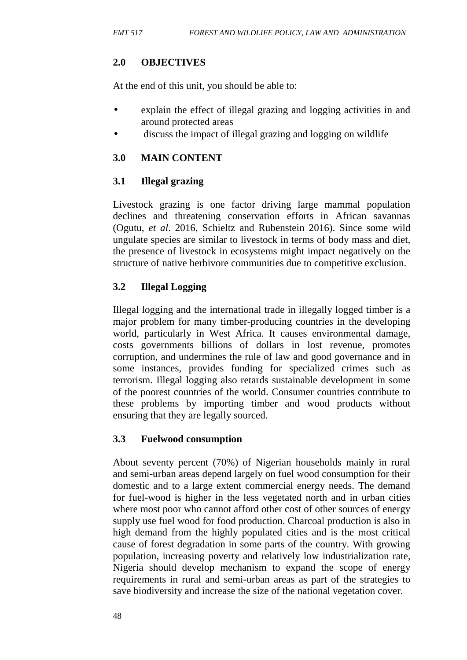# **2.0 OBJECTIVES**

At the end of this unit, you should be able to:

- explain the effect of illegal grazing and logging activities in and around protected areas
- discuss the impact of illegal grazing and logging on wildlife

### **3.0 MAIN CONTENT**

### **3.1 Illegal grazing**

Livestock grazing is one factor driving large mammal population declines and threatening conservation efforts in African savannas (Ogutu, *et al*. 2016, Schieltz and Rubenstein 2016). Since some wild ungulate species are similar to livestock in terms of body mass and diet, the presence of livestock in ecosystems might impact negatively on the structure of native herbivore communities due to competitive exclusion.

### **3.2 Illegal Logging**

Illegal logging and the international trade in illegally logged timber is a major problem for many timber-producing countries in the developing world, particularly in West Africa. It causes environmental damage, costs governments billions of dollars in lost revenue, promotes corruption, and undermines the rule of law and good governance and in some instances, provides funding for specialized crimes such as terrorism. Illegal logging also retards sustainable development in some of the poorest countries of the world. Consumer countries contribute to these problems by importing timber and wood products without ensuring that they are legally sourced.

### **3.3 Fuelwood consumption**

About seventy percent (70%) of Nigerian households mainly in rural and semi-urban areas depend largely on fuel wood consumption for their domestic and to a large extent commercial energy needs. The demand for fuel-wood is higher in the less vegetated north and in urban cities where most poor who cannot afford other cost of other sources of energy supply use fuel wood for food production. Charcoal production is also in high demand from the highly populated cities and is the most critical cause of forest degradation in some parts of the country. With growing population, increasing poverty and relatively low industrialization rate, Nigeria should develop mechanism to expand the scope of energy requirements in rural and semi-urban areas as part of the strategies to save biodiversity and increase the size of the national vegetation cover.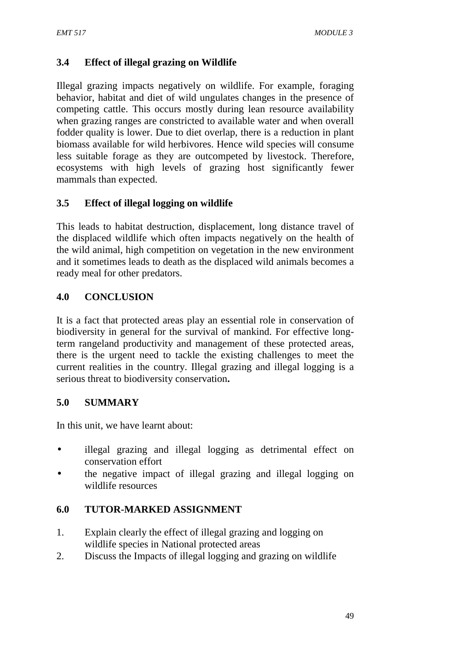# **3.4 Effect of illegal grazing on Wildlife**

Illegal grazing impacts negatively on wildlife. For example, foraging behavior, habitat and diet of wild ungulates changes in the presence of competing cattle. This occurs mostly during lean resource availability when grazing ranges are constricted to available water and when overall fodder quality is lower. Due to diet overlap, there is a reduction in plant biomass available for wild herbivores. Hence wild species will consume less suitable forage as they are outcompeted by livestock. Therefore, ecosystems with high levels of grazing host significantly fewer mammals than expected.

### **3.5 Effect of illegal logging on wildlife**

This leads to habitat destruction, displacement, long distance travel of the displaced wildlife which often impacts negatively on the health of the wild animal, high competition on vegetation in the new environment and it sometimes leads to death as the displaced wild animals becomes a ready meal for other predators.

### **4.0 CONCLUSION**

It is a fact that protected areas play an essential role in conservation of biodiversity in general for the survival of mankind. For effective longterm rangeland productivity and management of these protected areas, there is the urgent need to tackle the existing challenges to meet the current realities in the country. Illegal grazing and illegal logging is a serious threat to biodiversity conservation**.**

### **5.0 SUMMARY**

In this unit, we have learnt about:

- illegal grazing and illegal logging as detrimental effect on conservation effort
- the negative impact of illegal grazing and illegal logging on wildlife resources

### **6.0 TUTOR-MARKED ASSIGNMENT**

- 1. Explain clearly the effect of illegal grazing and logging on wildlife species in National protected areas
- 2. Discuss the Impacts of illegal logging and grazing on wildlife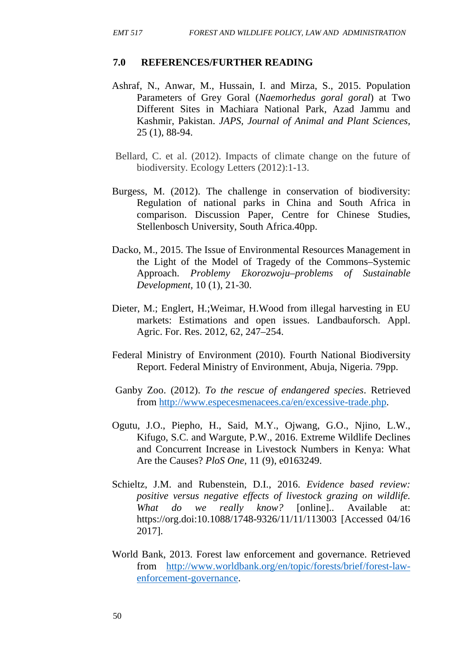- Ashraf, N., Anwar, M., Hussain, I. and Mirza, S., 2015. Population Parameters of Grey Goral (*Naemorhedus goral goral*) at Two Different Sites in Machiara National Park, Azad Jammu and Kashmir, Pakistan. *JAPS, Journal of Animal and Plant Sciences,* 25 (1), 88-94.
- Bellard, C. et al. (2012). Impacts of climate change on the future of biodiversity. Ecology Letters (2012):1-13.
- Burgess, M. (2012). The challenge in conservation of biodiversity: Regulation of national parks in China and South Africa in comparison. Discussion Paper, Centre for Chinese Studies, Stellenbosch University, South Africa.40pp.
- Dacko, M., 2015. The Issue of Environmental Resources Management in the Light of the Model of Tragedy of the Commons–Systemic Approach. *Problemy Ekorozwoju–problems of Sustainable Development,* 10 (1), 21-30.
- Dieter, M.; Englert, H.;Weimar, H.Wood from illegal harvesting in EU markets: Estimations and open issues. Landbauforsch. Appl. Agric. For. Res. 2012, 62, 247–254.
- Federal Ministry of Environment (2010). Fourth National Biodiversity Report. Federal Ministry of Environment, Abuja, Nigeria. 79pp.
- Ganby Zoo. (2012). *To the rescue of endangered species*. Retrieved from http://www.especesmenacees.ca/en/excessive-trade.php.
- Ogutu, J.O., Piepho, H., Said, M.Y., Ojwang, G.O., Njino, L.W., Kifugo, S.C. and Wargute, P.W., 2016. Extreme Wildlife Declines and Concurrent Increase in Livestock Numbers in Kenya: What Are the Causes? *PloS One,* 11 (9), e0163249.
- Schieltz, J.M. and Rubenstein, D.I., 2016. *Evidence based review: positive versus negative effects of livestock grazing on wildlife. What do we really know?* [online].. Available at: https://org.doi:10.1088/1748-9326/11/11/113003 [Accessed 04/16 2017].
- World Bank, 2013. Forest law enforcement and governance. Retrieved from http://www.worldbank.org/en/topic/forests/brief/forest-law enforcement-governance.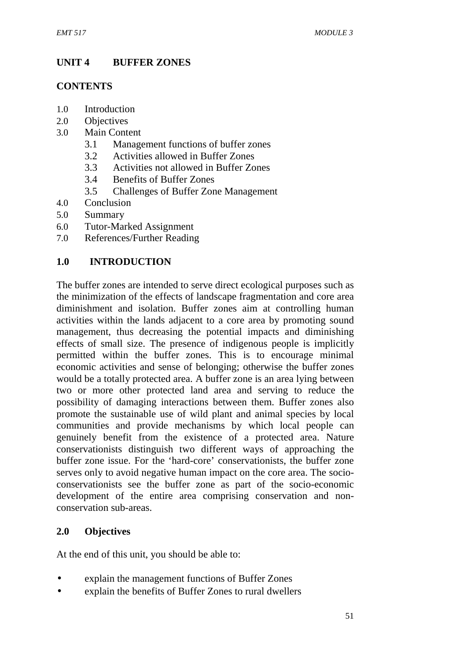# **UNIT 4 BUFFER ZONES**

### **CONTENTS**

- 1.0 Introduction
- 2.0 Objectives
- 3.0 Main Content
	- 3.1 Management functions of buffer zones
	- 3.2 Activities allowed in Buffer Zones
	- 3.3 Activities not allowed in Buffer Zones
	- 3.4 Benefits of Buffer Zones
	- 3.5 Challenges of Buffer Zone Management
- 4.0 Conclusion
- 5.0 Summary
- 6.0 Tutor-Marked Assignment
- 7.0 References/Further Reading

# **1.0 INTRODUCTION**

The buffer zones are intended to serve direct ecological purposes such as the minimization of the effects of landscape fragmentation and core area diminishment and isolation. Buffer zones aim at controlling human activities within the lands adjacent to a core area by promoting sound management, thus decreasing the potential impacts and diminishing effects of small size. The presence of indigenous people is implicitly permitted within the buffer zones. This is to encourage minimal economic activities and sense of belonging; otherwise the buffer zones would be a totally protected area. A buffer zone is an area lying between two or more other protected land area and serving to reduce the possibility of damaging interactions between them. Buffer zones also promote the sustainable use of wild plant and animal species by local communities and provide mechanisms by which local people can genuinely benefit from the existence of a protected area. Nature conservationists distinguish two different ways of approaching the buffer zone issue. For the 'hard-core' conservationists, the buffer zone serves only to avoid negative human impact on the core area. The socio conservationists see the buffer zone as part of the socio-economic development of the entire area comprising conservation and non conservation sub-areas.

### **2.0 Objectives**

At the end of this unit, you should be able to:

- explain the management functions of Buffer Zones
- explain the benefits of Buffer Zones to rural dwellers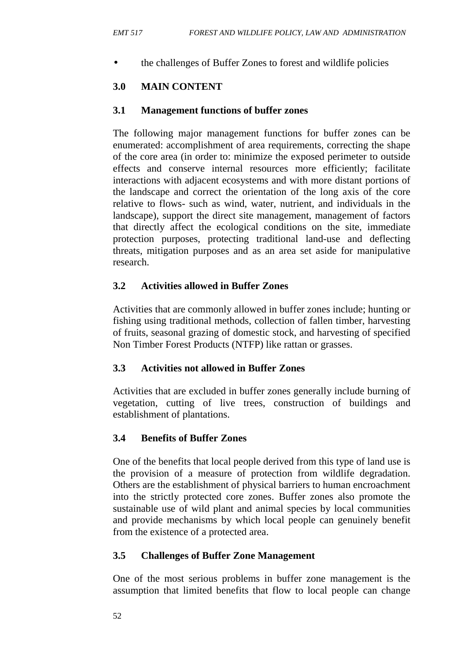the challenges of Buffer Zones to forest and wildlife policies

# **3.0 MAIN CONTENT**

#### **3.1 Management functions of buffer zones**

The following major management functions for buffer zones can be enumerated: accomplishment of area requirements, correcting the shape of the core area (in order to: minimize the exposed perimeter to outside effects and conserve internal resources more efficiently; facilitate interactions with adjacent ecosystems and with more distant portions of the landscape and correct the orientation of the long axis of the core relative to flows- such as wind, water, nutrient, and individuals in the landscape), support the direct site management, management of factors that directly affect the ecological conditions on the site, immediate protection purposes, protecting traditional land-use and deflecting threats, mitigation purposes and as an area set aside for manipulative research.

### **3.2 Activities allowed in Buffer Zones**

Activities that are commonly allowed in buffer zones include; hunting or fishing using traditional methods, collection of fallen timber, harvesting of fruits, seasonal grazing of domestic stock, and harvesting of specified Non Timber Forest Products (NTFP) like rattan or grasses.

### **3.3 Activities not allowed in Buffer Zones**

Activities that are excluded in buffer zones generally include burning of vegetation, cutting of live trees, construction of buildings and establishment of plantations.

### **3.4 Benefits of Buffer Zones**

One of the benefits that local people derived from this type of land use is the provision of a measure of protection from wildlife degradation. Others are the establishment of physical barriers to human encroachment into the strictly protected core zones. Buffer zones also promote the sustainable use of wild plant and animal species by local communities and provide mechanisms by which local people can genuinely benefit from the existence of a protected area.

### **3.5 Challenges of Buffer Zone Management**

One of the most serious problems in buffer zone management is the assumption that limited benefits that flow to local people can change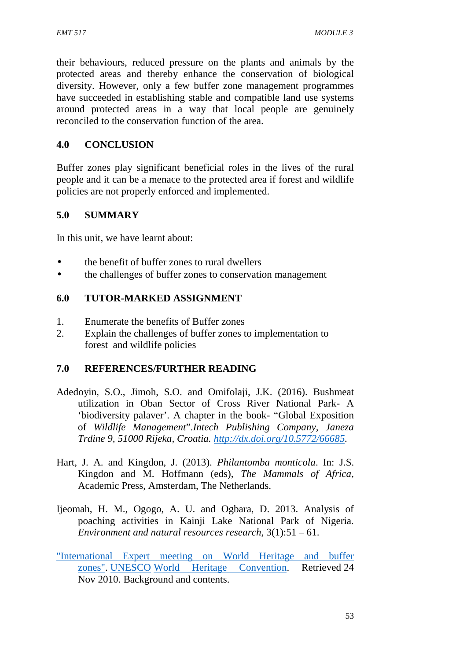their behaviours, reduced pressure on the plants and animals by the protected areas and thereby enhance the conservation of biological diversity. However, only a few buffer zone management programmes have succeeded in establishing stable and compatible land use systems around protected areas in a way that local people are genuinely reconciled to the conservation function of the area.

### **4.0 CONCLUSION**

Buffer zones play significant beneficial roles in the lives of the rural people and it can be a menace to the protected area if forest and wildlife policies are not properly enforced and implemented.

### **5.0 SUMMARY**

In this unit, we have learnt about:

- the benefit of buffer zones to rural dwellers
- the challenges of buffer zones to conservation management

### **6.0 TUTOR-MARKED ASSIGNMENT**

- 1. Enumerate the benefits of Buffer zones
- 2. Explain the challenges of buffer zones to implementation to forest and wildlife policies

- Adedoyin, S.O., Jimoh, S.O. and Omifolaji, J.K. (2016). Bushmeat utilization in Oban Sector of Cross River National Park- A 'biodiversity palaver'. A chapter in the book- "Global Exposition of *Wildlife Management*".*Intech Publishing Company, Janeza Trdine 9, 51000 Rijeka, Croatia. http://dx.doi.org/10.5772/66685.*
- Hart, J. A. and Kingdon, J. (2013). *Philantomba monticola*. In: J.S. Kingdon and M. Hoffmann (eds), *The Mammals of Africa*, Academic Press, Amsterdam, The Netherlands.
- Ijeomah, H. M., Ogogo, A. U. and Ogbara, D. 2013. Analysis of poaching activities in Kainji Lake National Park of Nigeria. *Environment and natural resources research,* 3(1):51 – 61.
- "International Expert meeting on World Heritage and buffer zones". UNESCO World Heritage Convention. Retrieved 24 Nov 2010. Background and contents.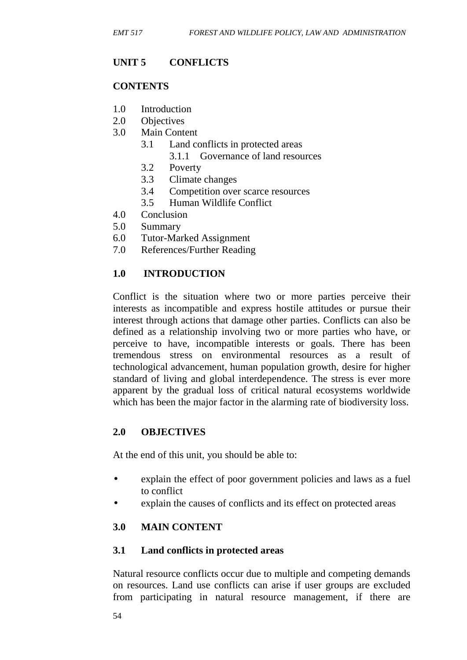# **UNIT 5 CONFLICTS**

#### **CONTENTS**

- 1.0 Introduction
- 2.0 Objectives
- 3.0 Main Content
	- 3.1 Land conflicts in protected areas
		- 3.1.1 Governance of land resources
	- 3.2 Poverty
	- 3.3 Climate changes
	- 3.4 Competition over scarce resources
	- 3.5 Human Wildlife Conflict
- 4.0 Conclusion
- 5.0 Summary
- 6.0 Tutor-Marked Assignment
- 7.0 References/Further Reading

### **1.0 INTRODUCTION**

Conflict is the situation where two or more parties perceive their interests as incompatible and express hostile attitudes or pursue their interest through actions that damage other parties. Conflicts can also be defined as a relationship involving two or more parties who have, or perceive to have, incompatible interests or goals. There has been tremendous stress on environmental resources as a result of technological advancement, human population growth, desire for higher standard of living and global interdependence. The stress is ever more apparent by the gradual loss of critical natural ecosystems worldwide which has been the major factor in the alarming rate of biodiversity loss.

### **2.0 OBJECTIVES**

At the end of this unit, you should be able to:

- explain the effect of poor government policies and laws as a fuel to conflict
- explain the causes of conflicts and its effect on protected areas

# **3.0 MAIN CONTENT**

### **3.1 Land conflicts in protected areas**

Natural resource conflicts occur due to multiple and competing demands on resources. Land use conflicts can arise if user groups are excluded from participating in natural resource management, if there are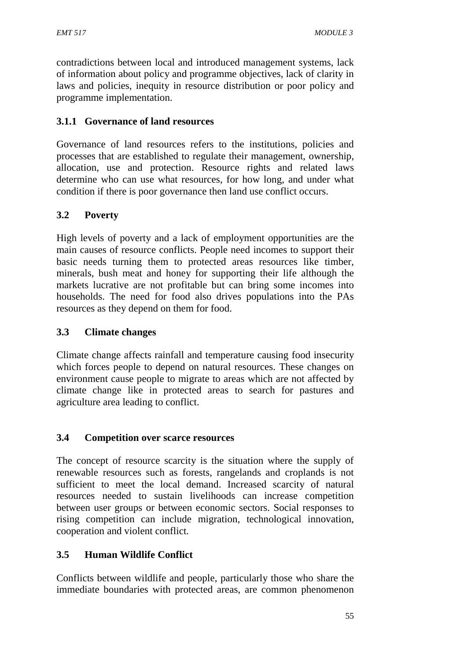contradictions between local and introduced management systems, lack of information about policy and programme objectives, lack of clarity in laws and policies, inequity in resource distribution or poor policy and programme implementation.

### **3.1.1 Governance of land resources**

Governance of land resources refers to the institutions, policies and processes that are established to regulate their management, ownership, allocation, use and protection. Resource rights and related laws determine who can use what resources, for how long, and under what condition if there is poor governance then land use conflict occurs.

### **3.2 Poverty**

High levels of poverty and a lack of employment opportunities are the main causes of resource conflicts. People need incomes to support their basic needs turning them to protected areas resources like timber, minerals, bush meat and honey for supporting their life although the markets lucrative are not profitable but can bring some incomes into households. The need for food also drives populations into the PAs resources as they depend on them for food.

### **3.3 Climate changes**

Climate change affects rainfall and temperature causing food insecurity which forces people to depend on natural resources. These changes on environment cause people to migrate to areas which are not affected by climate change like in protected areas to search for pastures and agriculture area leading to conflict.

### **3.4 Competition over scarce resources**

The concept of resource scarcity is the situation where the supply of renewable resources such as forests, rangelands and croplands is not sufficient to meet the local demand. Increased scarcity of natural resources needed to sustain livelihoods can increase competition between user groups or between economic sectors. Social responses to rising competition can include migration, technological innovation, cooperation and violent conflict.

# **3.5 Human Wildlife Conflict**

Conflicts between wildlife and people, particularly those who share the immediate boundaries with protected areas, are common phenomenon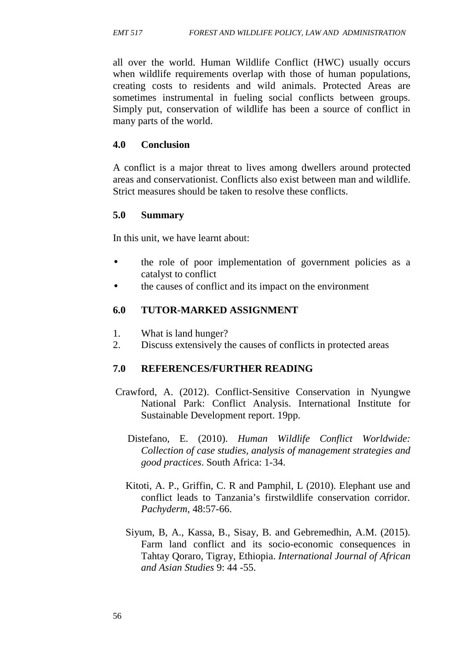all over the world. Human Wildlife Conflict (HWC) usually occurs when wildlife requirements overlap with those of human populations, creating costs to residents and wild animals. Protected Areas are sometimes instrumental in fueling social conflicts between groups. Simply put, conservation of wildlife has been a source of conflict in many parts of the world.

#### **4.0 Conclusion**

A conflict is a major threat to lives among dwellers around protected areas and conservationist. Conflicts also exist between man and wildlife. Strict measures should be taken to resolve these conflicts.

#### **5.0 Summary**

In this unit, we have learnt about:

- the role of poor implementation of government policies as a catalyst to conflict
- the causes of conflict and its impact on the environment

### **6.0 TUTOR-MARKED ASSIGNMENT**

- 1. What is land hunger?
- 2. Discuss extensively the causes of conflicts in protected areas

- Crawford, A. (2012). Conflict-Sensitive Conservation in Nyungwe National Park: Conflict Analysis. International Institute for Sustainable Development report. 19pp.
	- Distefano, E. (2010). *Human Wildlife Conflict Worldwide: Collection of case studies, analysis of management strategies and good practices*. South Africa: 1-34.
	- Kitoti, A. P., Griffin, C. R and Pamphil, L (2010). Elephant use and conflict leads to Tanzania's firstwildlife conservation corridor. *Pachyderm,* 48:57-66.
	- Siyum, B, A., Kassa, B., Sisay, B. and Gebremedhin, A.M. (2015). Farm land conflict and its socio-economic consequences in Tahtay Qoraro, Tigray, Ethiopia. *International Journal of African and Asian Studies* 9: 44 -55.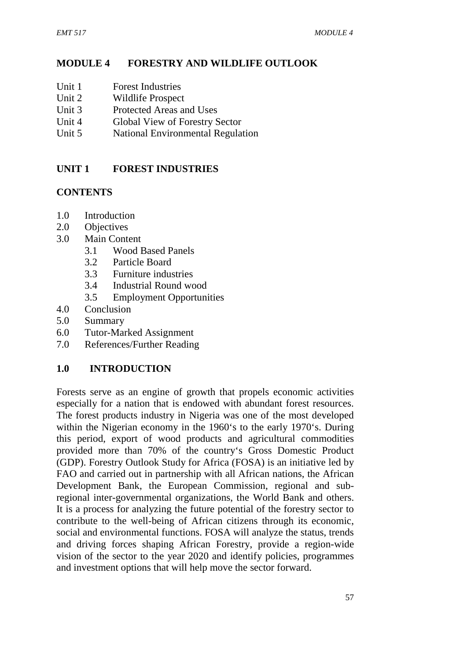# **MODULE 4 FORESTRY AND WILDLIFE OUTLOOK**

- Unit 1 Forest Industries
- Unit 2 Wildlife Prospect
- Unit 3 Protected Areas and Uses
- Unit 4 Global View of Forestry Sector
- Unit 5 National Environmental Regulation

# **UNIT 1 FOREST INDUSTRIES**

# **CONTENTS**

- 1.0 Introduction
- 2.0 Objectives
- 3.0 Main Content
	- 3.1 Wood Based Panels
	- 3.2 Particle Board
	- 3.3 Furniture industries
	- 3.4 Industrial Round wood
	- 3.5 Employment Opportunities
- 4.0 Conclusion
- 5.0 Summary
- 6.0 Tutor-Marked Assignment
- 7.0 References/Further Reading

# **1.0 INTRODUCTION**

Forests serve as an engine of growth that propels economic activities especially for a nation that is endowed with abundant forest resources. The forest products industry in Nigeria was one of the most developed within the Nigerian economy in the 1960's to the early 1970's. During this period, export of wood products and agricultural commodities provided more than 70% of the country's Gross Domestic Product (GDP). Forestry Outlook Study for Africa (FOSA) is an initiative led by FAO and carried out in partnership with all African nations, the African Development Bank, the European Commission, regional and subregional inter-governmental organizations, the World Bank and others. It is a process for analyzing the future potential of the forestry sector to contribute to the well-being of African citizens through its economic, social and environmental functions. FOSA will analyze the status, trends and driving forces shaping African Forestry, provide a region-wide vision of the sector to the year 2020 and identify policies, programmes and investment options that will help move the sector forward.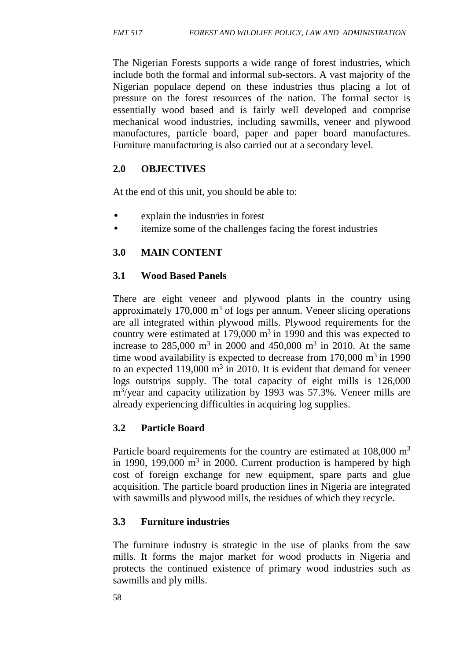The Nigerian Forests supports a wide range of forest industries, which include both the formal and informal sub-sectors. A vast majority of the Nigerian populace depend on these industries thus placing a lot of pressure on the forest resources of the nation. The formal sector is essentially wood based and is fairly well developed and comprise mechanical wood industries, including sawmills, veneer and plywood manufactures, particle board, paper and paper board manufactures. Furniture manufacturing is also carried out at a secondary level.

# **2.0 OBJECTIVES**

At the end of this unit, you should be able to:

- explain the industries in forest
- itemize some of the challenges facing the forest industries

# **3.0 MAIN CONTENT**

# **3.1 Wood Based Panels**

There are eight veneer and plywood plants in the country using approximately  $170,000 \text{ m}^3$  of logs per annum. Veneer slicing operations are all integrated within plywood mills. Plywood requirements for the country were estimated at  $179,000 \text{ m}^3$  in 1990 and this was expected to increase to  $285,000 \text{ m}^3$  in  $2000$  and  $450,000 \text{ m}^3$  in  $2010$ . At the same time wood availability is expected to decrease from  $170,000$  m<sup>3</sup> in 1990 to an expected  $119,000 \text{ m}^3$  in 2010. It is evident that demand for veneer logs outstrips supply. The total capacity of eight mills is 126,000 m<sup>3</sup> /year and capacity utilization by 1993 was 57.3%. Veneer mills are already experiencing difficulties in acquiring log supplies.

# **3.2 Particle Board**

Particle board requirements for the country are estimated at 108,000 m<sup>3</sup> in 1990, 199,000  $m^3$  in 2000. Current production is hampered by high cost of foreign exchange for new equipment, spare parts and glue acquisition. The particle board production lines in Nigeria are integrated with sawmills and plywood mills, the residues of which they recycle.

# **3.3 Furniture industries**

The furniture industry is strategic in the use of planks from the saw mills. It forms the major market for wood products in Nigeria and protects the continued existence of primary wood industries such as sawmills and ply mills.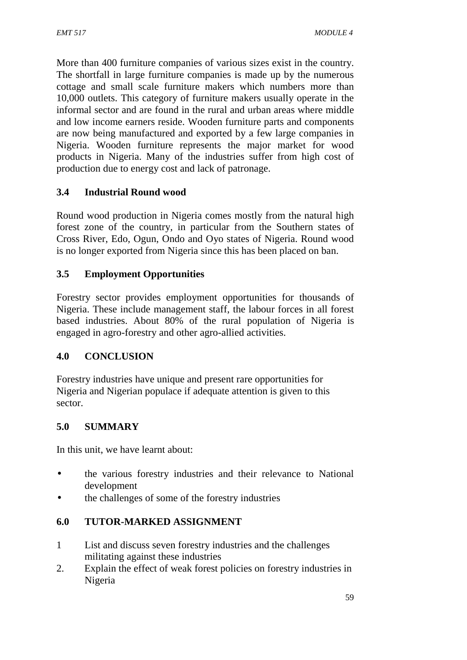More than 400 furniture companies of various sizes exist in the country. The shortfall in large furniture companies is made up by the numerous cottage and small scale furniture makers which numbers more than 10,000 outlets. This category of furniture makers usually operate in the informal sector and are found in the rural and urban areas where middle and low income earners reside. Wooden furniture parts and components are now being manufactured and exported by a few large companies in Nigeria. Wooden furniture represents the major market for wood products in Nigeria. Many of the industries suffer from high cost of production due to energy cost and lack of patronage.

# **3.4 Industrial Round wood**

Round wood production in Nigeria comes mostly from the natural high forest zone of the country, in particular from the Southern states of Cross River, Edo, Ogun, Ondo and Oyo states of Nigeria. Round wood is no longer exported from Nigeria since this has been placed on ban.

## **3.5 Employment Opportunities**

Forestry sector provides employment opportunities for thousands of Nigeria. These include management staff, the labour forces in all forest based industries. About 80% of the rural population of Nigeria is engaged in agro-forestry and other agro-allied activities.

## **4.0 CONCLUSION**

Forestry industries have unique and present rare opportunities for Nigeria and Nigerian populace if adequate attention is given to this sector.

## **5.0 SUMMARY**

In this unit, we have learnt about:

- the various forestry industries and their relevance to National development
- the challenges of some of the forestry industries

## **6.0 TUTOR-MARKED ASSIGNMENT**

- 1 List and discuss seven forestry industries and the challenges militating against these industries
- 2. Explain the effect of weak forest policies on forestry industries in Nigeria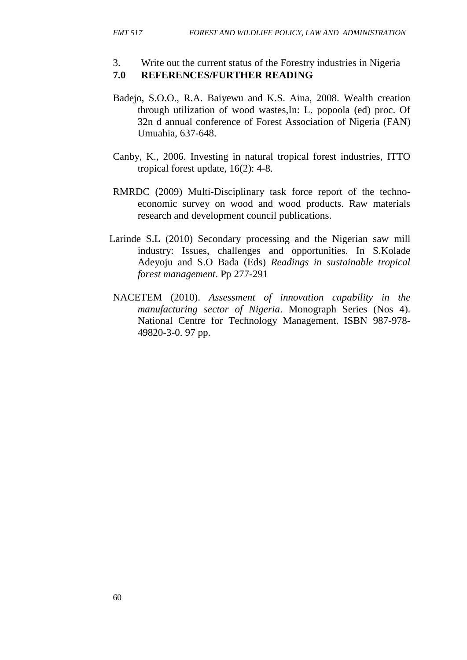- 3. Write out the current status of the Forestry industries in Nigeria **7.0 REFERENCES/FURTHER READING**
- Badejo, S.O.O., R.A. Baiyewu and K.S. Aina, 2008. Wealth creation through utilization of wood wastes,In: L. popoola (ed) proc. Of 32n d annual conference of Forest Association of Nigeria (FAN) Umuahia, 637-648.
- Canby, K., 2006. Investing in natural tropical forest industries, ITTO tropical forest update, 16(2): 4-8.
- RMRDC (2009) Multi-Disciplinary task force report of the techno economic survey on wood and wood products. Raw materials research and development council publications.
- Larinde S.L (2010) Secondary processing and the Nigerian saw mill industry: Issues, challenges and opportunities. In S.Kolade Adeyoju and S.O Bada (Eds) *Readings in sustainable tropical forest management*. Pp 277-291
- NACETEM (2010). *Assessment of innovation capability in the manufacturing sector of Nigeria*. Monograph Series (Nos 4). National Centre for Technology Management. ISBN 987-978- 49820-3-0. 97 pp.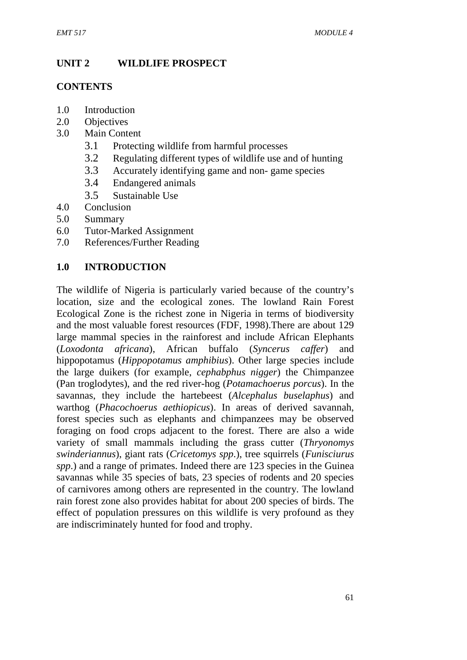# **UNIT 2 WILDLIFE PROSPECT**

# **CONTENTS**

- 1.0 Introduction
- 2.0 Objectives
- 3.0 Main Content
	- 3.1 Protecting wildlife from harmful processes
	- 3.2 Regulating different types of wildlife use and of hunting
	- 3.3 Accurately identifying game and non- game species
	- 3.4 Endangered animals
	- 3.5 Sustainable Use
- 4.0 Conclusion
- 5.0 Summary
- 6.0 Tutor-Marked Assignment
- 7.0 References/Further Reading

# **1.0 INTRODUCTION**

The wildlife of Nigeria is particularly varied because of the country's location, size and the ecological zones. The lowland Rain Forest Ecological Zone is the richest zone in Nigeria in terms of biodiversity and the most valuable forest resources (FDF, 1998).There are about 129 large mammal species in the rainforest and include African Elephants (*Loxodonta africana*), African buffalo (*Syncerus caffer*) and hippopotamus (*Hippopotamus amphibius*). Other large species include the large duikers (for example, *cephabphus nigger*) the Chimpanzee (Pan troglodytes), and the red river-hog (*Potamachoerus porcus*). In the savannas, they include the hartebeest (*Alcephalus buselaphus*) and warthog (*Phacochoerus aethiopicus*). In areas of derived savannah, forest species such as elephants and chimpanzees may be observed foraging on food crops adjacent to the forest. There are also a wide variety of small mammals including the grass cutter (*Thryonomys swinderiannus*), giant rats (*Cricetomys spp*.), tree squirrels (*Funisciurus spp*.) and a range of primates. Indeed there are 123 species in the Guinea savannas while 35 species of bats, 23 species of rodents and 20 species of carnivores among others are represented in the country. The lowland rain forest zone also provides habitat for about 200 species of birds. The effect of population pressures on this wildlife is very profound as they are indiscriminately hunted for food and trophy.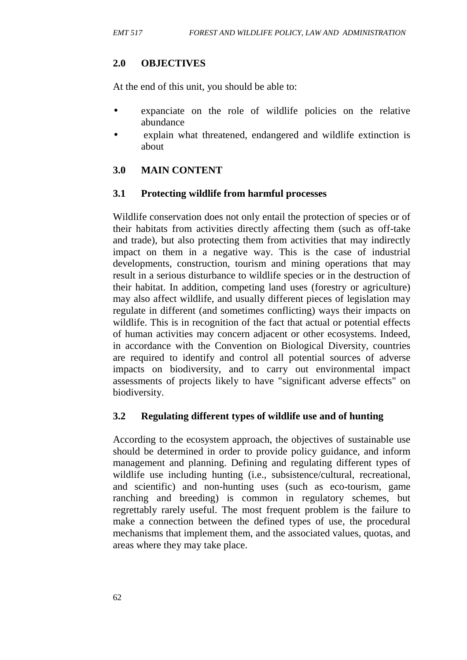# **2.0 OBJECTIVES**

At the end of this unit, you should be able to:

- expanciate on the role of wildlife policies on the relative abundance
- explain what threatened, endangered and wildlife extinction is about

# **3.0 MAIN CONTENT**

## **3.1 Protecting wildlife from harmful processes**

Wildlife conservation does not only entail the protection of species or of their habitats from activities directly affecting them (such as off-take and trade), but also protecting them from activities that may indirectly impact on them in a negative way. This is the case of industrial developments, construction, tourism and mining operations that may result in a serious disturbance to wildlife species or in the destruction of their habitat. In addition, competing land uses (forestry or agriculture) may also affect wildlife, and usually different pieces of legislation may regulate in different (and sometimes conflicting) ways their impacts on wildlife. This is in recognition of the fact that actual or potential effects of human activities may concern adjacent or other ecosystems. Indeed, in accordance with the Convention on Biological Diversity, countries are required to identify and control all potential sources of adverse impacts on biodiversity, and to carry out environmental impact assessments of projects likely to have "significant adverse effects" on biodiversity.

## **3.2 Regulating different types of wildlife use and of hunting**

According to the ecosystem approach, the objectives of sustainable use should be determined in order to provide policy guidance, and inform management and planning. Defining and regulating different types of wildlife use including hunting (i.e., subsistence/cultural, recreational, and scientific) and non-hunting uses (such as eco-tourism, game ranching and breeding) is common in regulatory schemes, but regrettably rarely useful. The most frequent problem is the failure to make a connection between the defined types of use, the procedural mechanisms that implement them, and the associated values, quotas, and areas where they may take place.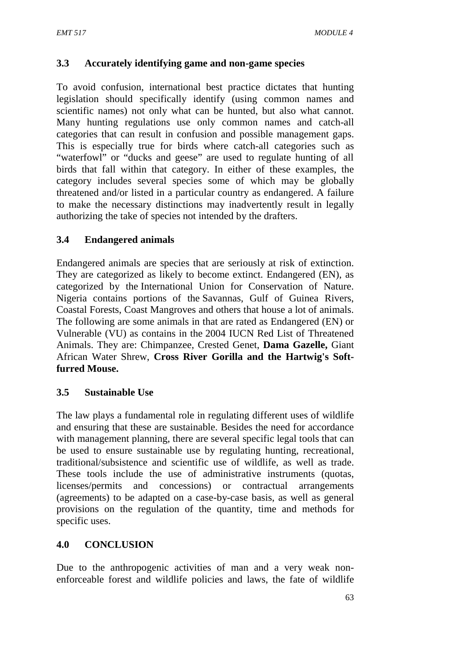## **3.3 Accurately identifying game and non-game species**

To avoid confusion, international best practice dictates that hunting legislation should specifically identify (using common names and scientific names) not only what can be hunted, but also what cannot. Many hunting regulations use only common names and catch-all categories that can result in confusion and possible management gaps. This is especially true for birds where catch-all categories such as "waterfowl" or "ducks and geese" are used to regulate hunting of all birds that fall within that category. In either of these examples, the category includes several species some of which may be globally threatened and/or listed in a particular country as endangered. A failure to make the necessary distinctions may inadvertently result in legally authorizing the take of species not intended by the drafters.

#### **3.4 Endangered animals**

Endangered animals are species that are seriously at risk of extinction. They are categorized as likely to become extinct. Endangered (EN), as categorized by the International Union for Conservation of Nature. Nigeria contains portions of the Savannas, Gulf of Guinea Rivers, Coastal Forests, Coast Mangroves and others that house a lot of animals. The following are some animals in that are rated as Endangered (EN) or Vulnerable (VU) as contains in the 2004 IUCN Red List of Threatened Animals. They are: Chimpanzee, Crested Genet, **Dama Gazelle,** Giant African Water Shrew, **Cross River Gorilla and the Hartwig's Softfurred Mouse.**

#### **3.5 Sustainable Use**

The law plays a fundamental role in regulating different uses of wildlife and ensuring that these are sustainable. Besides the need for accordance with management planning, there are several specific legal tools that can be used to ensure sustainable use by regulating hunting, recreational, traditional/subsistence and scientific use of wildlife, as well as trade. These tools include the use of administrative instruments (quotas, licenses/permits and concessions) or contractual arrangements (agreements) to be adapted on a case-by-case basis, as well as general provisions on the regulation of the quantity, time and methods for specific uses.

## **4.0 CONCLUSION**

Due to the anthropogenic activities of man and a very weak non enforceable forest and wildlife policies and laws, the fate of wildlife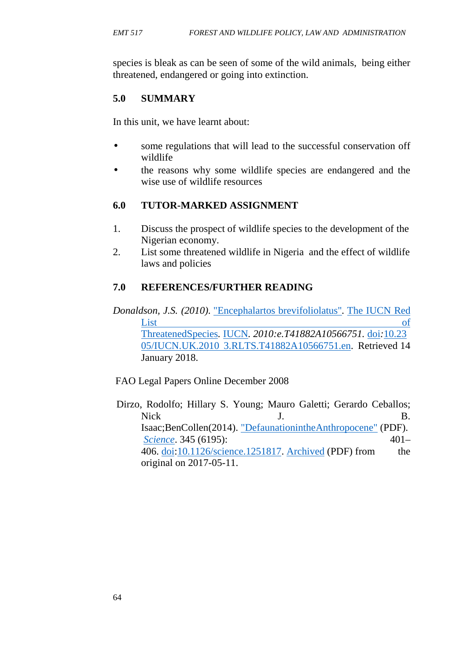species is bleak as can be seen of some of the wild animals, being either threatened, endangered or going into extinction.

# **5.0 SUMMARY**

In this unit, we have learnt about:

- some regulations that will lead to the successful conservation off wildlife
- the reasons why some wildlife species are endangered and the wise use of wildlife resources

# **6.0 TUTOR-MARKED ASSIGNMENT**

- 1. Discuss the prospect of wildlife species to the development of the Nigerian economy.
- 2. List some threatened wildlife in Nigeria and the effect of wildlife laws and policies

# **7.0 REFERENCES/FURTHER READING**

*Donaldson, J.S. (2010).* "Encephalartos brevifoliolatus"*.* The IUCN Red <u>List of</u> ThreatenedSpecies*.* IUCN*. 2010:e.T41882A10566751.* doi*:*10.23 05/IUCN.UK.2010 3.RLTS.T41882A10566751.en. Retrieved 14 January 2018.

FAO Legal Papers Online December 2008

Dirzo, Rodolfo; Hillary S. Young; Mauro Galetti; Gerardo Ceballos; Nick J. B. Isaac;BenCollen(2014). "DefaunationintheAnthropocene" (PDF). *Science*. 345 (6195): 401– 406. doi:10.1126/science.1251817. Archived (PDF) from the original on 2017-05-11.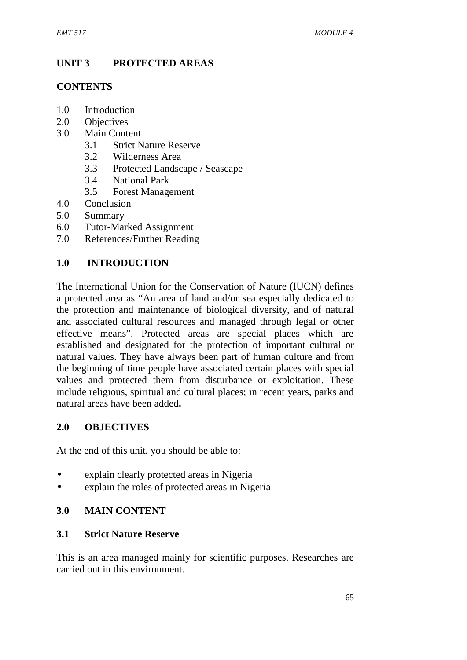# **UNIT 3 PROTECTED AREAS**

# **CONTENTS**

- 1.0 Introduction
- 2.0 Objectives
- 3.0 Main Content
	- 3.1 Strict Nature Reserve
	- 3.2 Wilderness Area
	- 3.3 Protected Landscape / Seascape
	- 3.4 National Park
	- 3.5 Forest Management
- 4.0 Conclusion
- 5.0 Summary
- 6.0 Tutor-Marked Assignment
- 7.0 References/Further Reading

# **1.0 INTRODUCTION**

The International Union for the Conservation of Nature (IUCN) defines a protected area as "An area of land and/or sea especially dedicated to the protection and maintenance of biological diversity, and of natural and associated cultural resources and managed through legal or other effective means". Protected areas are special places which are established and designated for the protection of important cultural or natural values. They have always been part of human culture and from the beginning of time people have associated certain places with special values and protected them from disturbance or exploitation. These include religious, spiritual and cultural places; in recent years, parks and natural areas have been added**.**

## **2.0 OBJECTIVES**

At the end of this unit, you should be able to:

- explain clearly protected areas in Nigeria
- explain the roles of protected areas in Nigeria

# **3.0 MAIN CONTENT**

## **3.1 Strict Nature Reserve**

This is an area managed mainly for scientific purposes. Researches are carried out in this environment.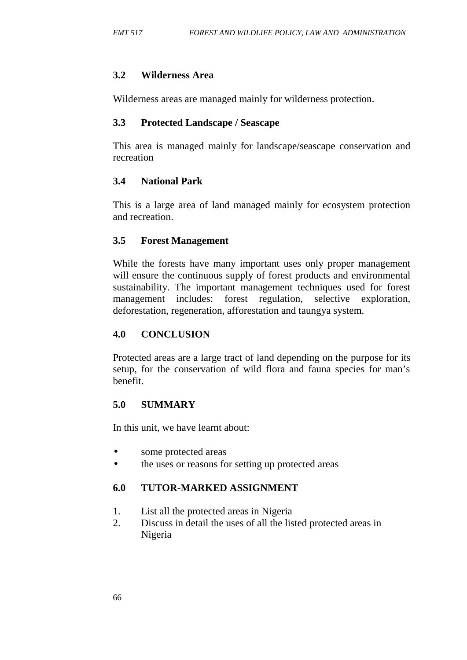#### **3.2 Wilderness Area**

Wilderness areas are managed mainly for wilderness protection.

#### **3.3 Protected Landscape / Seascape**

This area is managed mainly for landscape/seascape conservation and recreation

## **3.4 National Park**

This is a large area of land managed mainly for ecosystem protection and recreation.

#### **3.5 Forest Management**

While the forests have many important uses only proper management will ensure the continuous supply of forest products and environmental sustainability. The important management techniques used for forest management includes: forest regulation, selective exploration, deforestation, regeneration, afforestation and taungya system.

#### **4.0 CONCLUSION**

Protected areas are a large tract of land depending on the purpose for its setup, for the conservation of wild flora and fauna species for man's benefit.

## **5.0 SUMMARY**

In this unit, we have learnt about:

- some protected areas
- the uses or reasons for setting up protected areas

## **6.0 TUTOR-MARKED ASSIGNMENT**

- 1. List all the protected areas in Nigeria
- 2. Discuss in detail the uses of all the listed protected areas in Nigeria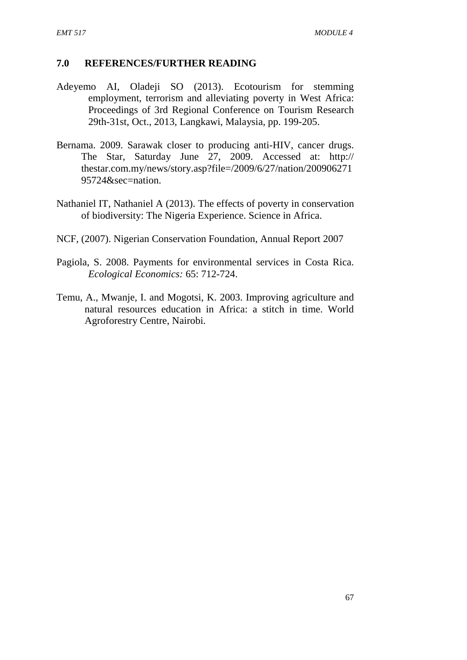#### **7.0 REFERENCES/FURTHER READING**

- Adeyemo AI, Oladeji SO (2013). Ecotourism for stemming employment, terrorism and alleviating poverty in West Africa: Proceedings of 3rd Regional Conference on Tourism Research 29th-31st, Oct., 2013, Langkawi, Malaysia, pp. 199-205.
- Bernama. 2009. Sarawak closer to producing anti-HIV, cancer drugs. The Star, Saturday June 27, 2009. Accessed at: http:// thestar.com.my/news/story.asp?file=/2009/6/27/nation/200906271 95724&sec=nation.
- Nathaniel IT, Nathaniel A (2013). The effects of poverty in conservation of biodiversity: The Nigeria Experience. Science in Africa.
- NCF, (2007). Nigerian Conservation Foundation, Annual Report 2007
- Pagiola, S. 2008. Payments for environmental services in Costa Rica. *Ecological Economics:* 65: 712-724.
- Temu, A., Mwanje, I. and Mogotsi, K. 2003. Improving agriculture and natural resources education in Africa: a stitch in time. World Agroforestry Centre, Nairobi.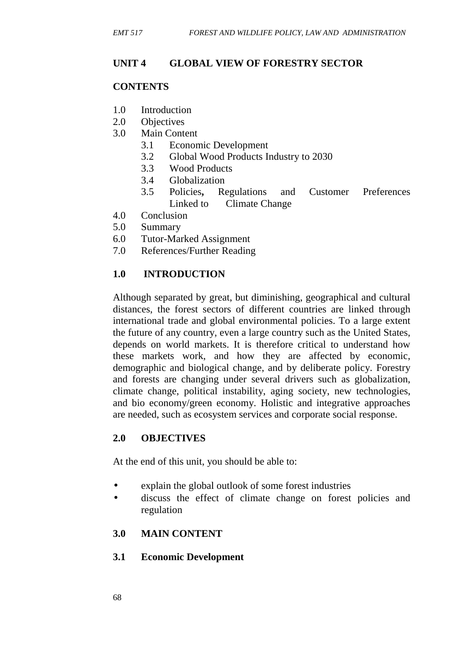## **UNIT 4 GLOBAL VIEW OF FORESTRY SECTOR**

# **CONTENTS**

- 1.0 Introduction
- 2.0 Objectives
- 3.0 Main Content
	- 3.1 Economic Development
	- 3.2 Global Wood Products Industry to 2030
	- 3.3 Wood Products
	- 3.4 Globalization
	- 3.5 Policies**,** Regulations and Customer Preferences Linked to Climate Change
- 4.0 Conclusion
- 5.0 Summary
- 6.0 Tutor-Marked Assignment
- 7.0 References/Further Reading

# **1.0 INTRODUCTION**

Although separated by great, but diminishing, geographical and cultural distances, the forest sectors of different countries are linked through international trade and global environmental policies. To a large extent the future of any country, even a large country such as the United States, depends on world markets. It is therefore critical to understand how these markets work, and how they are affected by economic, demographic and biological change, and by deliberate policy. Forestry and forests are changing under several drivers such as globalization, climate change, political instability, aging society, new technologies, and bio economy/green economy. Holistic and integrative approaches are needed, such as ecosystem services and corporate social response.

## **2.0 OBJECTIVES**

At the end of this unit, you should be able to:

- explain the global outlook of some forest industries
- discuss the effect of climate change on forest policies and regulation

## **3.0 MAIN CONTENT**

## **3.1 Economic Development**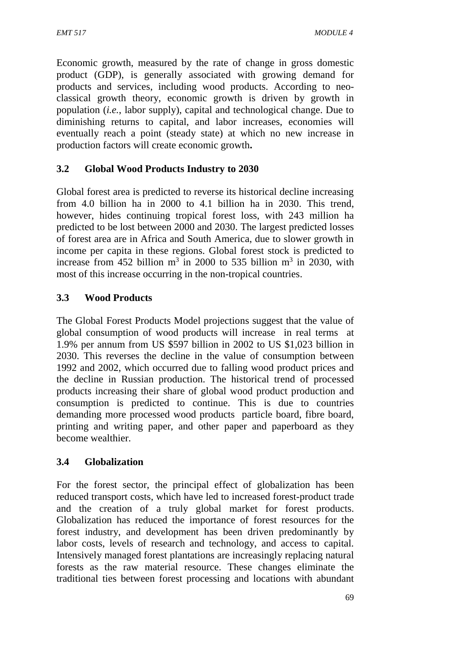Economic growth, measured by the rate of change in gross domestic product (GDP), is generally associated with growing demand for products and services, including wood products. According to neo classical growth theory, economic growth is driven by growth in population (*i.e.*, labor supply), capital and technological change. Due to diminishing returns to capital, and labor increases, economies will eventually reach a point (steady state) at which no new increase in production factors will create economic growth**.**

# **3.2 Global Wood Products Industry to 2030**

Global forest area is predicted to reverse its historical decline increasing from 4.0 billion ha in 2000 to 4.1 billion ha in 2030. This trend, however, hides continuing tropical forest loss, with 243 million ha predicted to be lost between 2000 and 2030. The largest predicted losses of forest area are in Africa and South America, due to slower growth in income per capita in these regions. Global forest stock is predicted to increase from 452 billion  $m^3$  in 2000 to 535 billion  $m^3$  in 2030, with most of this increase occurring in the non-tropical countries.

## **3.3 Wood Products**

The Global Forest Products Model projections suggest that the value of global consumption of wood products will increase in real terms at 1.9% per annum from US \$597 billion in 2002 to US \$1,023 billion in 2030. This reverses the decline in the value of consumption between 1992 and 2002, which occurred due to falling wood product prices and the decline in Russian production. The historical trend of processed products increasing their share of global wood product production and consumption is predicted to continue. This is due to countries demanding more processed wood products particle board, fibre board, printing and writing paper, and other paper and paperboard as they become wealthier.

## **3.4 Globalization**

For the forest sector, the principal effect of globalization has been reduced transport costs, which have led to increased forest-product trade and the creation of a truly global market for forest products. Globalization has reduced the importance of forest resources for the forest industry, and development has been driven predominantly by labor costs, levels of research and technology, and access to capital. Intensively managed forest plantations are increasingly replacing natural forests as the raw material resource. These changes eliminate the traditional ties between forest processing and locations with abundant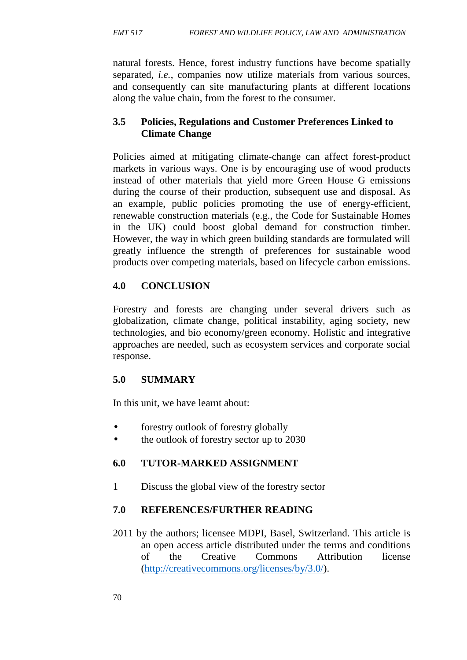natural forests. Hence, forest industry functions have become spatially separated, *i.e.*, companies now utilize materials from various sources, and consequently can site manufacturing plants at different locations along the value chain, from the forest to the consumer.

# **3.5 Policies, Regulations and Customer Preferences Linked to Climate Change**

Policies aimed at mitigating climate-change can affect forest-product markets in various ways. One is by encouraging use of wood products instead of other materials that yield more Green House G emissions during the course of their production, subsequent use and disposal. As an example, public policies promoting the use of energy-efficient, renewable construction materials (e.g., the Code for Sustainable Homes in the UK) could boost global demand for construction timber. However, the way in which green building standards are formulated will greatly influence the strength of preferences for sustainable wood products over competing materials, based on lifecycle carbon emissions.

# **4.0 CONCLUSION**

Forestry and forests are changing under several drivers such as globalization, climate change, political instability, aging society, new technologies, and bio economy/green economy. Holistic and integrative approaches are needed, such as ecosystem services and corporate social response.

# **5.0 SUMMARY**

In this unit, we have learnt about:

- forestry outlook of forestry globally
- the outlook of forestry sector up to 2030

# **6.0 TUTOR-MARKED ASSIGNMENT**

1 Discuss the global view of the forestry sector

# **7.0 REFERENCES/FURTHER READING**

2011 by the authors; licensee MDPI, Basel, Switzerland. This article is an open access article distributed under the terms and conditions of the Creative Commons Attribution license (http://creativecommons.org/licenses/by/3.0/).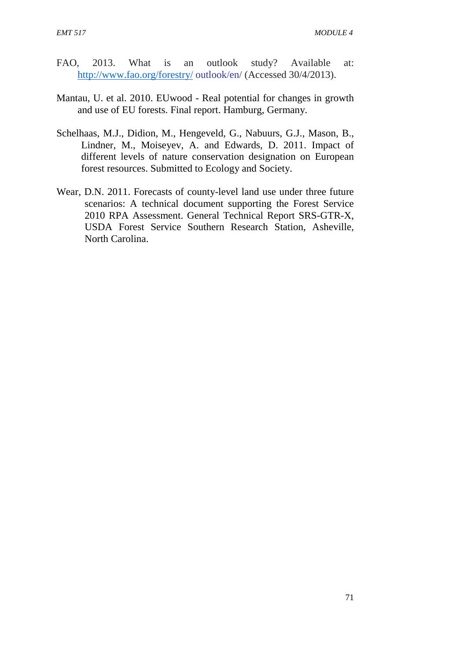- FAO, 2013. What is an outlook study? Available at: http://www.fao.org/forestry/ outlook/en/ (Accessed 30/4/2013).
- Mantau, U. et al. 2010. EUwood Real potential for changes in growth and use of EU forests. Final report. Hamburg, Germany.
- Schelhaas, M.J., Didion, M., Hengeveld, G., Nabuurs, G.J., Mason, B., Lindner, M., Moiseyev, A. and Edwards, D. 2011. Impact of different levels of nature conservation designation on European forest resources. Submitted to Ecology and Society.
- Wear, D.N. 2011. Forecasts of county-level land use under three future scenarios: A technical document supporting the Forest Service 2010 RPA Assessment. General Technical Report SRS-GTR-X, USDA Forest Service Southern Research Station, Asheville, North Carolina.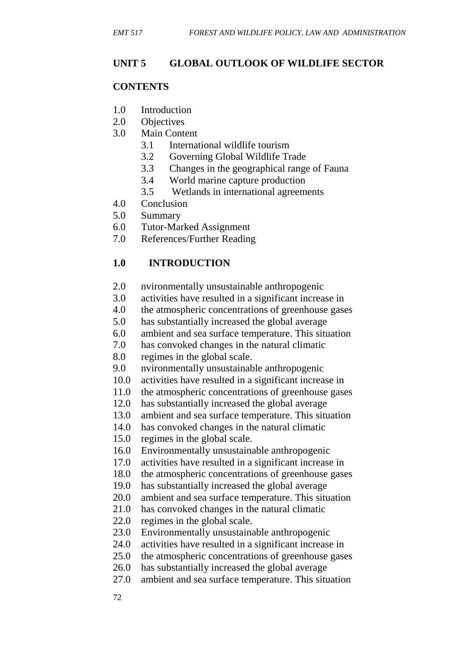# **UNIT 5 GLOBAL OUTLOOK OF WILDLIFE SECTOR**

## **CONTENTS**

- 1.0 Introduction
- 2.0 Objectives
- 3.0 Main Content
	- 3.1 International wildlife tourism
	- 3.2 Governing Global Wildlife Trade
	- 3.3 Changes in the geographical range of Fauna
	- 3.4 World marine capture production
	- 3.5 Wetlands in international agreements
- 4.0 Conclusion
- 5.0 Summary
- 6.0 Tutor-Marked Assignment
- 7.0 References/Further Reading

# **1.0 INTRODUCTION**

- 2.0 nvironmentally unsustainable anthropogenic
- 3.0 activities have resulted in a significant increase in
- 4.0 the atmospheric concentrations of greenhouse gases
- 5.0 has substantially increased the global average
- 6.0 ambient and sea surface temperature. This situation
- 7.0 has convoked changes in the natural climatic
- 8.0 regimes in the global scale.
- 9.0 nvironmentally unsustainable anthropogenic
- 10.0 activities have resulted in a significant increase in
- 11.0 the atmospheric concentrations of greenhouse gases
- 12.0 has substantially increased the global average
- 13.0 ambient and sea surface temperature. This situation
- 14.0 has convoked changes in the natural climatic
- 15.0 regimes in the global scale.
- 16.0 Environmentally unsustainable anthropogenic
- 17.0 activities have resulted in a significant increase in
- 18.0 the atmospheric concentrations of greenhouse gases
- 19.0 has substantially increased the global average
- 20.0 ambient and sea surface temperature. This situation
- 21.0 has convoked changes in the natural climatic
- 22.0 regimes in the global scale.
- 23.0 Environmentally unsustainable anthropogenic
- 24.0 activities have resulted in a significant increase in
- 25.0 the atmospheric concentrations of greenhouse gases
- 26.0 has substantially increased the global average
- 27.0 ambient and sea surface temperature. This situation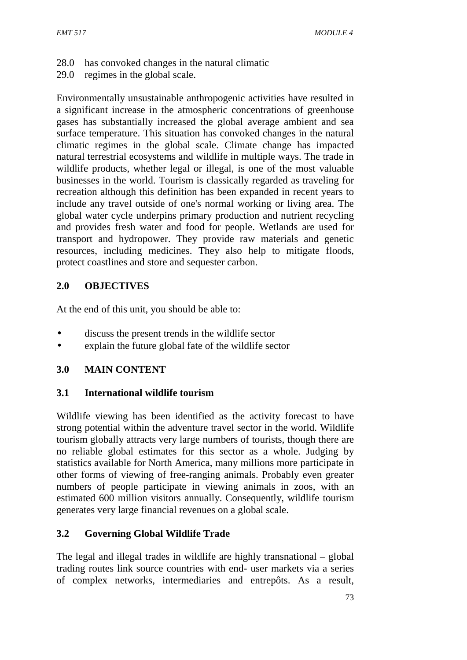- 28.0 has convoked changes in the natural climatic
- 29.0 regimes in the global scale.

Environmentally unsustainable anthropogenic activities have resulted in a significant increase in the atmospheric concentrations of greenhouse gases has substantially increased the global average ambient and sea surface temperature. This situation has convoked changes in the natural climatic regimes in the global scale. Climate change has impacted natural terrestrial ecosystems and wildlife in multiple ways. The trade in wildlife products, whether legal or illegal, is one of the most valuable businesses in the world. Tourism is classically regarded as traveling for recreation although this definition has been expanded in recent years to include any travel outside of one's normal working or living area. The global water cycle underpins primary production and nutrient recycling and provides fresh water and food for people. Wetlands are used for transport and hydropower. They provide raw materials and genetic resources, including medicines. They also help to mitigate floods, protect coastlines and store and sequester carbon.

# **2.0 OBJECTIVES**

At the end of this unit, you should be able to:

- discuss the present trends in the wildlife sector
- explain the future global fate of the wildlife sector

# **3.0 MAIN CONTENT**

## **3.1 International wildlife tourism**

Wildlife viewing has been identified as the activity forecast to have strong potential within the adventure travel sector in the world. Wildlife tourism globally attracts very large numbers of tourists, though there are no reliable global estimates for this sector as a whole. Judging by statistics available for North America, many millions more participate in other forms of viewing of free-ranging animals. Probably even greater numbers of people participate in viewing animals in zoos, with an estimated 600 million visitors annually. Consequently, wildlife tourism generates very large financial revenues on a global scale.

# **3.2 Governing Global Wildlife Trade**

The legal and illegal trades in wildlife are highly transnational – global trading routes link source countries with end- user markets via a series of complex networks, intermediaries and entrepôts. As a result,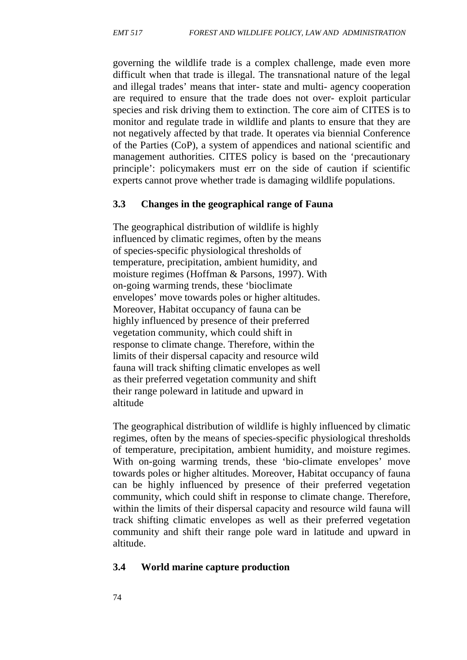governing the wildlife trade is a complex challenge, made even more difficult when that trade is illegal. The transnational nature of the legal and illegal trades' means that inter- state and multi- agency cooperation are required to ensure that the trade does not over- exploit particular species and risk driving them to extinction. The core aim of CITES is to monitor and regulate trade in wildlife and plants to ensure that they are not negatively affected by that trade. It operates via biennial Conference of the Parties (CoP), a system of appendices and national scientific and management authorities. CITES policy is based on the 'precautionary principle': policymakers must err on the side of caution if scientific experts cannot prove whether trade is damaging wildlife populations.

#### **3.3 Changes in the geographical range of Fauna**

The geographical distribution of wildlife is highly influenced by climatic regimes, often by the means of species-specific physiological thresholds of temperature, precipitation, ambient humidity, and moisture regimes (Hoffman & Parsons, 1997). With on-going warming trends, these 'bioclimate envelopes' move towards poles or higher altitudes. Moreover, Habitat occupancy of fauna can be highly influenced by presence of their preferred vegetation community, which could shift in response to climate change. Therefore, within the limits of their dispersal capacity and resource wild fauna will track shifting climatic envelopes as well as their preferred vegetation community and shift their range poleward in latitude and upward in altitude

The geographical distribution of wildlife is highly influenced by climatic regimes, often by the means of species-specific physiological thresholds of temperature, precipitation, ambient humidity, and moisture regimes. With on-going warming trends, these 'bio-climate envelopes' move towards poles or higher altitudes. Moreover, Habitat occupancy of fauna can be highly influenced by presence of their preferred vegetation community, which could shift in response to climate change. Therefore, within the limits of their dispersal capacity and resource wild fauna will track shifting climatic envelopes as well as their preferred vegetation community and shift their range pole ward in latitude and upward in altitude.

#### **3.4 World marine capture production**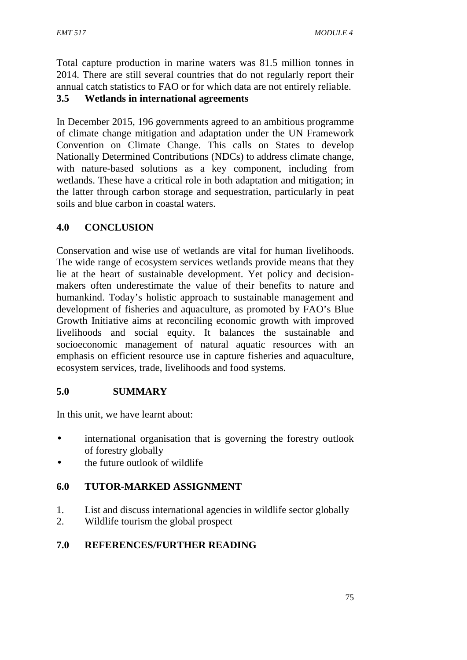Total capture production in marine waters was 81.5 million tonnes in 2014. There are still several countries that do not regularly report their annual catch statistics to FAO or for which data are not entirely reliable.

## **3.5 Wetlands in international agreements**

In December 2015, 196 governments agreed to an ambitious programme of climate change mitigation and adaptation under the UN Framework Convention on Climate Change. This calls on States to develop Nationally Determined Contributions (NDCs) to address climate change, with nature-based solutions as a key component, including from wetlands. These have a critical role in both adaptation and mitigation; in the latter through carbon storage and sequestration, particularly in peat soils and blue carbon in coastal waters.

# **4.0 CONCLUSION**

Conservation and wise use of wetlands are vital for human livelihoods. The wide range of ecosystem services wetlands provide means that they lie at the heart of sustainable development. Yet policy and decision makers often underestimate the value of their benefits to nature and humankind. Today's holistic approach to sustainable management and development of fisheries and aquaculture, as promoted by FAO's Blue Growth Initiative aims at reconciling economic growth with improved livelihoods and social equity. It balances the sustainable and socioeconomic management of natural aquatic resources with an emphasis on efficient resource use in capture fisheries and aquaculture, ecosystem services, trade, livelihoods and food systems.

# **5.0 SUMMARY**

In this unit, we have learnt about:

- international organisation that is governing the forestry outlook of forestry globally
- the future outlook of wildlife

# **6.0 TUTOR-MARKED ASSIGNMENT**

- 1. List and discuss international agencies in wildlife sector globally
- 2. Wildlife tourism the global prospect

## **7.0 REFERENCES/FURTHER READING**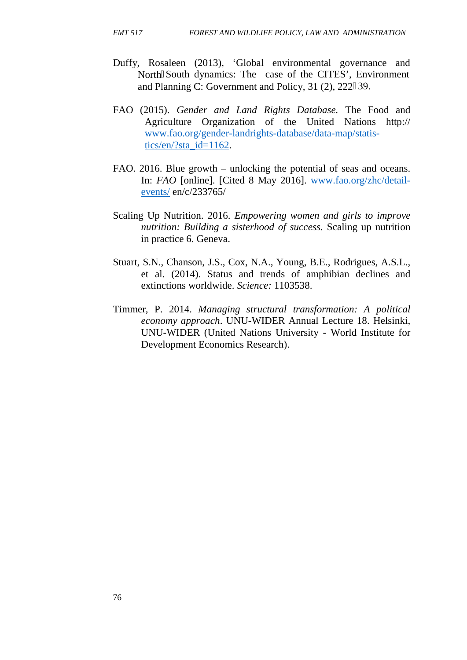- Duffy, Rosaleen (2013), 'Global environmental governance and North South dynamics: The case of the CITES', Environment and Planning C: Government and Policy, 31 (2), 222–39.
- FAO (2015). *Gender and Land Rights Database.* The Food and Agriculture Organization of the United Nations http:// www.fao.org/gender-landrights-database/data-map/statistics/en/?sta\_id=1162.
- FAO. 2016. Blue growth unlocking the potential of seas and oceans. In: *FAO* [online]. [Cited 8 May 2016]. www.fao.org/zhc/detail events/ en/c/233765/
- Scaling Up Nutrition. 2016. *Empowering women and girls to improve nutrition: Building a sisterhood of success.* Scaling up nutrition in practice 6. Geneva.
- Stuart, S.N., Chanson, J.S., Cox, N.A., Young, B.E., Rodrigues, A.S.L., et al. (2014). Status and trends of amphibian declines and extinctions worldwide. *Science:* 1103538.
- Timmer, P. 2014. *Managing structural transformation: A political economy approach*. UNU-WIDER Annual Lecture 18. Helsinki, UNU-WIDER (United Nations University - World Institute for Development Economics Research).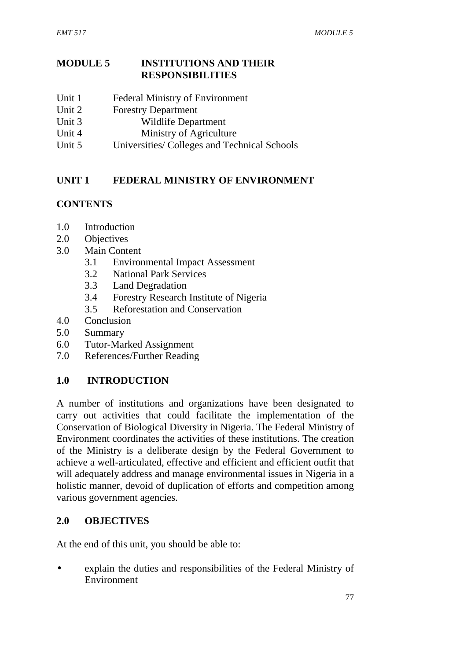## **MODULE 5 INSTITUTIONS AND THEIR RESPONSIBILITIES**

- Unit 1 Federal Ministry of Environment
- Unit 2 Forestry Department
- Unit 3 Wildlife Department
- Unit 4 Ministry of Agriculture
- Unit 5 Universities/ Colleges and Technical Schools

# **UNIT 1 FEDERAL MINISTRY OF ENVIRONMENT**

# **CONTENTS**

- 1.0 Introduction
- 2.0 Objectives
- 3.0 Main Content
	- 3.1 Environmental Impact Assessment
	- 3.2 National Park Services
	- 3.3 Land Degradation
	- 3.4 Forestry Research Institute of Nigeria
	- 3.5 Reforestation and Conservation
- 4.0 Conclusion
- 5.0 Summary
- 6.0 Tutor-Marked Assignment
- 7.0 References/Further Reading

# **1.0 INTRODUCTION**

A number of institutions and organizations have been designated to carry out activities that could facilitate the implementation of the Conservation of Biological Diversity in Nigeria. The Federal Ministry of Environment coordinates the activities of these institutions. The creation of the Ministry is a deliberate design by the Federal Government to achieve a well-articulated, effective and efficient and efficient outfit that will adequately address and manage environmental issues in Nigeria in a holistic manner, devoid of duplication of efforts and competition among various government agencies.

## **2.0 OBJECTIVES**

At the end of this unit, you should be able to:

 explain the duties and responsibilities of the Federal Ministry of Environment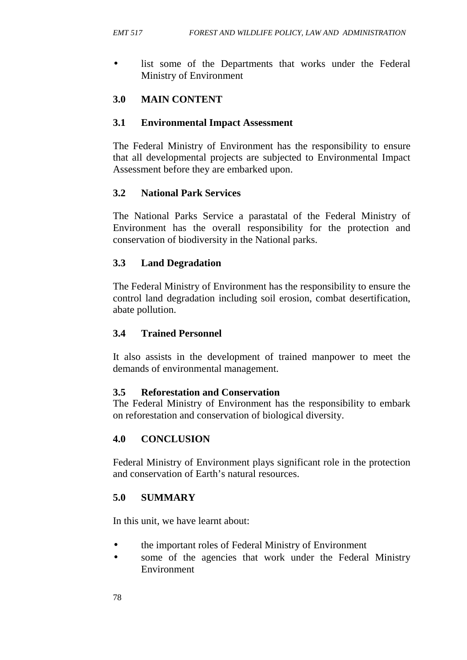list some of the Departments that works under the Federal Ministry of Environment

## **3.0 MAIN CONTENT**

#### **3.1 Environmental Impact Assessment**

The Federal Ministry of Environment has the responsibility to ensure that all developmental projects are subjected to Environmental Impact Assessment before they are embarked upon.

## **3.2 National Park Services**

The National Parks Service a parastatal of the Federal Ministry of Environment has the overall responsibility for the protection and conservation of biodiversity in the National parks.

#### **3.3 Land Degradation**

The Federal Ministry of Environment has the responsibility to ensure the control land degradation including soil erosion, combat desertification, abate pollution.

#### **3.4 Trained Personnel**

It also assists in the development of trained manpower to meet the demands of environmental management.

#### **3.5 Reforestation and Conservation**

The Federal Ministry of Environment has the responsibility to embark on reforestation and conservation of biological diversity.

## **4.0 CONCLUSION**

Federal Ministry of Environment plays significant role in the protection and conservation of Earth's natural resources.

#### **5.0 SUMMARY**

In this unit, we have learnt about:

- the important roles of Federal Ministry of Environment
- some of the agencies that work under the Federal Ministry Environment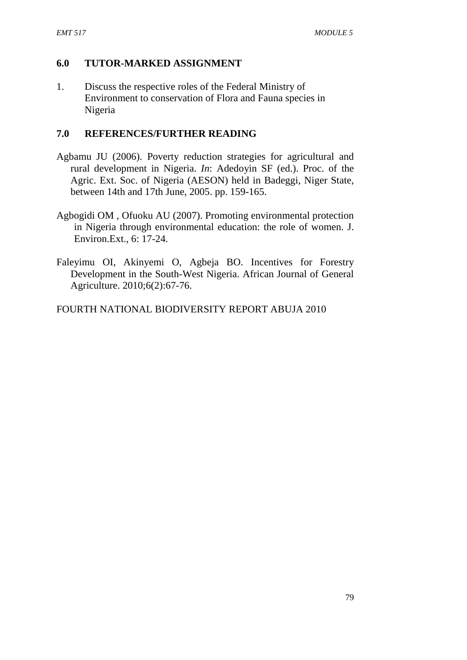## **6.0 TUTOR-MARKED ASSIGNMENT**

1. Discuss the respective roles of the Federal Ministry of Environment to conservation of Flora and Fauna species in Nigeria

## **7.0 REFERENCES/FURTHER READING**

- Agbamu JU (2006). Poverty reduction strategies for agricultural and rural development in Nigeria. *In*: Adedoyin SF (ed.). Proc. of the Agric. Ext. Soc. of Nigeria (AESON) held in Badeggi, Niger State, between 14th and 17th June, 2005. pp. 159-165.
- Agbogidi OM , Ofuoku AU (2007). Promoting environmental protection in Nigeria through environmental education: the role of women. J. Environ.Ext., 6: 17-24.
- Faleyimu OI, Akinyemi O, Agbeja BO. Incentives for Forestry Development in the South-West Nigeria. African Journal of General Agriculture. 2010;6(2):67-76.

FOURTH NATIONAL BIODIVERSITY REPORT ABUJA 2010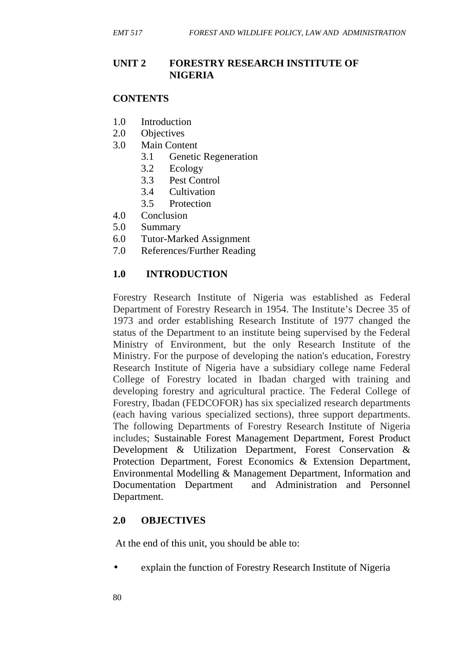## **UNIT 2 FORESTRY RESEARCH INSTITUTE OF NIGERIA**

#### **CONTENTS**

- 1.0 Introduction
- 2.0 Objectives
- 3.0 Main Content
	- 3.1 Genetic Regeneration
	- 3.2 Ecology
	- 3.3 Pest Control
	- 3.4 Cultivation
	- 3.5 Protection
- 4.0 Conclusion
- 5.0 Summary
- 6.0 Tutor-Marked Assignment
- 7.0 References/Further Reading

## **1.0 INTRODUCTION**

Forestry Research Institute of Nigeria was established as Federal Department of Forestry Research in 1954. The Institute's Decree 35 of 1973 and order establishing Research Institute of 1977 changed the status of the Department to an institute being supervised by the Federal Ministry of Environment, but the only Research Institute of the Ministry. For the purpose of developing the nation's education, Forestry Research Institute of Nigeria have a subsidiary college name Federal College of Forestry located in Ibadan charged with training and developing forestry and agricultural practice. The Federal College of Forestry, Ibadan (FEDCOFOR) has six specialized research departments (each having various specialized sections), three support departments. The following Departments of Forestry Research Institute of Nigeria includes; Sustainable Forest Management Department, Forest Product Development & Utilization Department, Forest Conservation & Protection Department, Forest Economics & Extension Department, Environmental Modelling & Management Department, Information and Documentation Department and Administration and Personnel Department.

## **2.0 OBJECTIVES**

At the end of this unit, you should be able to:

explain the function of Forestry Research Institute of Nigeria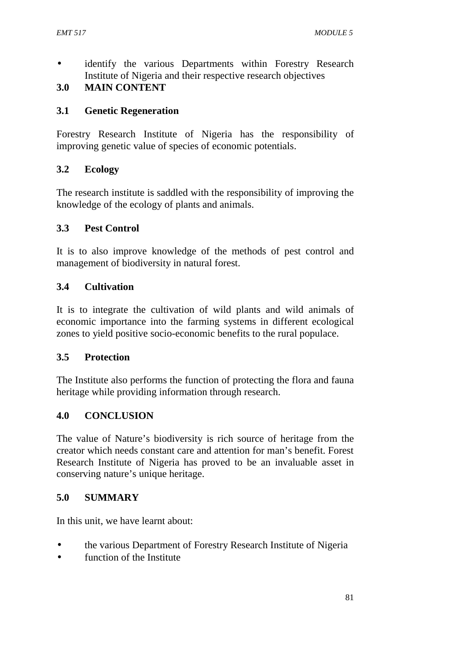identify the various Departments within Forestry Research Institute of Nigeria and their respective research objectives

# **3.0 MAIN CONTENT**

## **3.1 Genetic Regeneration**

Forestry Research Institute of Nigeria has the responsibility of improving genetic value of species of economic potentials.

# **3.2 Ecology**

The research institute is saddled with the responsibility of improving the knowledge of the ecology of plants and animals.

# **3.3 Pest Control**

It is to also improve knowledge of the methods of pest control and management of biodiversity in natural forest.

# **3.4 Cultivation**

It is to integrate the cultivation of wild plants and wild animals of economic importance into the farming systems in different ecological zones to yield positive socio-economic benefits to the rural populace.

## **3.5 Protection**

The Institute also performs the function of protecting the flora and fauna heritage while providing information through research.

## **4.0 CONCLUSION**

The value of Nature's biodiversity is rich source of heritage from the creator which needs constant care and attention for man's benefit. Forest Research Institute of Nigeria has proved to be an invaluable asset in conserving nature's unique heritage.

## **5.0 SUMMARY**

In this unit, we have learnt about:

- the various Department of Forestry Research Institute of Nigeria
- function of the Institute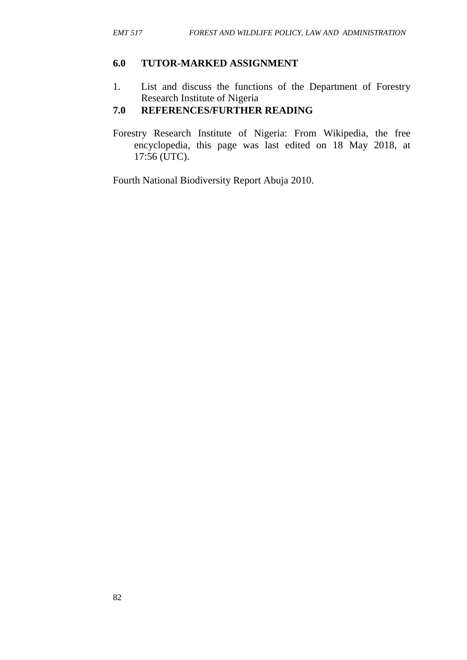#### **6.0 TUTOR-MARKED ASSIGNMENT**

1. List and discuss the functions of the Department of Forestry Research Institute of Nigeria

# **7.0 REFERENCES/FURTHER READING**

Forestry Research Institute of Nigeria: From Wikipedia, the free encyclopedia, this page was last edited on 18 May 2018, at 17:56 (UTC).

Fourth National Biodiversity Report Abuja 2010.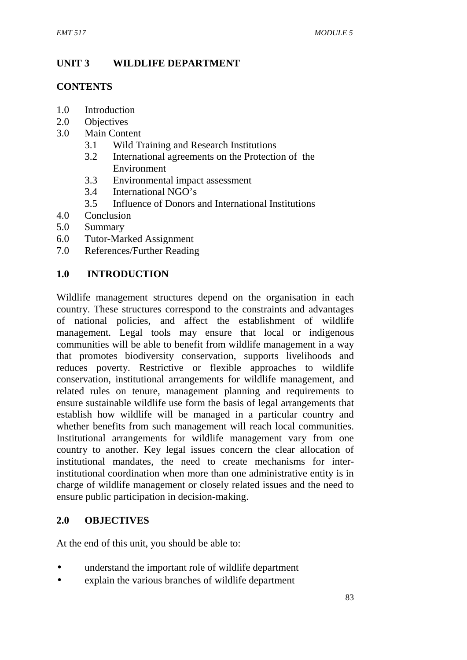# **UNIT 3 WILDLIFE DEPARTMENT**

## **CONTENTS**

- 1.0 Introduction
- 2.0 Objectives
- 3.0 Main Content
	- 3.1 Wild Training and Research Institutions
	- 3.2 International agreements on the Protection of the Environment
	- 3.3 Environmental impact assessment
	- 3.4 International NGO's
	- 3.5 Influence of Donors and International Institutions
- 4.0 Conclusion
- 5.0 Summary
- 6.0 Tutor-Marked Assignment
- 7.0 References/Further Reading

# **1.0 INTRODUCTION**

Wildlife management structures depend on the organisation in each country. These structures correspond to the constraints and advantages of national policies, and affect the establishment of wildlife management. Legal tools may ensure that local or indigenous communities will be able to benefit from wildlife management in a way that promotes biodiversity conservation, supports livelihoods and reduces poverty. Restrictive or flexible approaches to wildlife conservation, institutional arrangements for wildlife management, and related rules on tenure, management planning and requirements to ensure sustainable wildlife use form the basis of legal arrangements that establish how wildlife will be managed in a particular country and whether benefits from such management will reach local communities. Institutional arrangements for wildlife management vary from one country to another. Key legal issues concern the clear allocation of institutional mandates, the need to create mechanisms for interinstitutional coordination when more than one administrative entity is in charge of wildlife management or closely related issues and the need to ensure public participation in decision-making.

## **2.0 OBJECTIVES**

At the end of this unit, you should be able to:

- understand the important role of wildlife department
- explain the various branches of wildlife department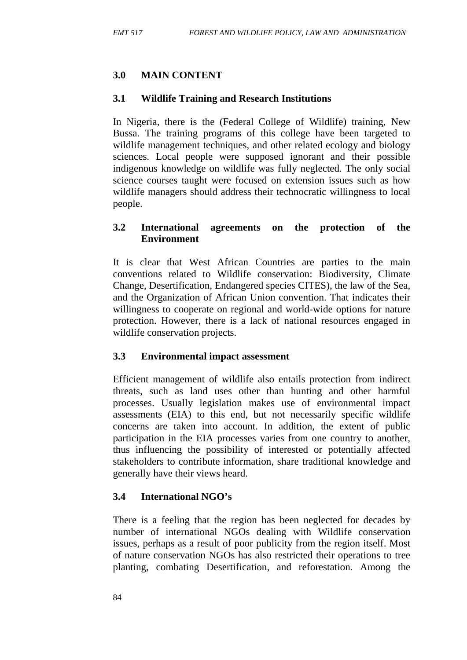# **3.0 MAIN CONTENT**

## **3.1 Wildlife Training and Research Institutions**

In Nigeria, there is the (Federal College of Wildlife) training, New Bussa. The training programs of this college have been targeted to wildlife management techniques, and other related ecology and biology sciences. Local people were supposed ignorant and their possible indigenous knowledge on wildlife was fully neglected. The only social science courses taught were focused on extension issues such as how wildlife managers should address their technocratic willingness to local people.

#### **3.2 International agreements on the protection of the Environment**

It is clear that West African Countries are parties to the main conventions related to Wildlife conservation: Biodiversity, Climate Change, Desertification, Endangered species CITES), the law of the Sea, and the Organization of African Union convention. That indicates their willingness to cooperate on regional and world-wide options for nature protection. However, there is a lack of national resources engaged in wildlife conservation projects.

## **3.3 Environmental impact assessment**

Efficient management of wildlife also entails protection from indirect threats, such as land uses other than hunting and other harmful processes. Usually legislation makes use of environmental impact assessments (EIA) to this end, but not necessarily specific wildlife concerns are taken into account. In addition, the extent of public participation in the EIA processes varies from one country to another, thus influencing the possibility of interested or potentially affected stakeholders to contribute information, share traditional knowledge and generally have their views heard.

## **3.4 International NGO's**

There is a feeling that the region has been neglected for decades by number of international NGOs dealing with Wildlife conservation issues, perhaps as a result of poor publicity from the region itself. Most of nature conservation NGOs has also restricted their operations to tree planting, combating Desertification, and reforestation. Among the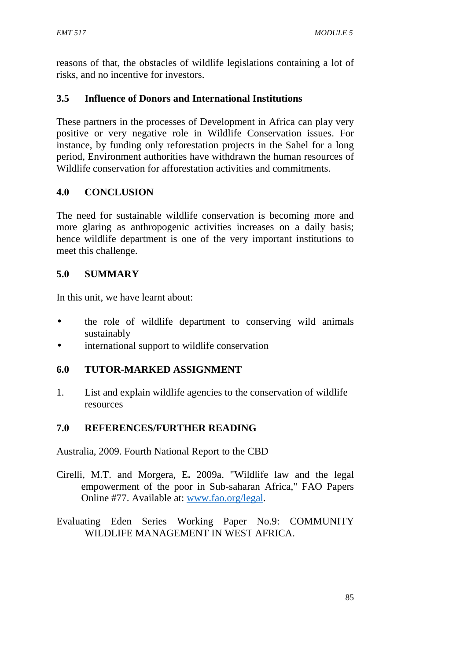reasons of that, the obstacles of wildlife legislations containing a lot of risks, and no incentive for investors.

# **3.5 Influence of Donors and International Institutions**

These partners in the processes of Development in Africa can play very positive or very negative role in Wildlife Conservation issues. For instance, by funding only reforestation projects in the Sahel for a long period, Environment authorities have withdrawn the human resources of Wildlife conservation for afforestation activities and commitments.

# **4.0 CONCLUSION**

The need for sustainable wildlife conservation is becoming more and more glaring as anthropogenic activities increases on a daily basis; hence wildlife department is one of the very important institutions to meet this challenge.

# **5.0 SUMMARY**

In this unit, we have learnt about:

- the role of wildlife department to conserving wild animals sustainably
- international support to wildlife conservation

## **6.0 TUTOR-MARKED ASSIGNMENT**

1. List and explain wildlife agencies to the conservation of wildlife resources

## **7.0 REFERENCES/FURTHER READING**

Australia, 2009. Fourth National Report to the CBD

- Cirelli, M.T. and Morgera, E**.** 2009a. "Wildlife law and the legal empowerment of the poor in Sub-saharan Africa," FAO Papers Online #77. Available at: www.fao.org/legal.
- Evaluating Eden Series Working Paper No.9: COMMUNITY WILDLIFE MANAGEMENT IN WEST AFRICA.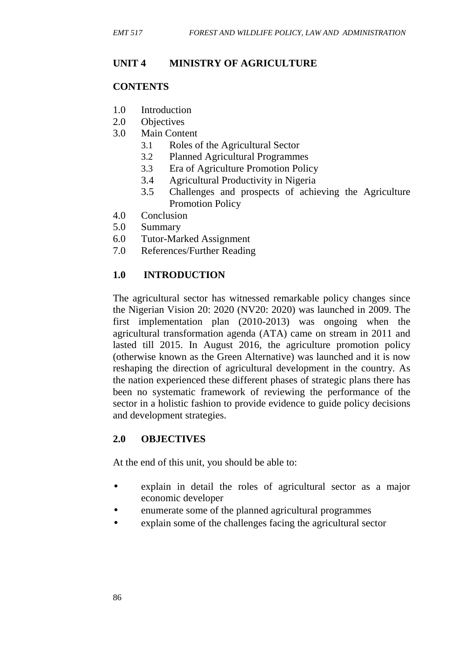## **UNIT 4 MINISTRY OF AGRICULTURE**

## **CONTENTS**

- 1.0 Introduction
- 2.0 Objectives
- 3.0 Main Content
	- 3.1 Roles of the Agricultural Sector
	- 3.2 Planned Agricultural Programmes
	- 3.3 Era of Agriculture Promotion Policy
	- 3.4 Agricultural Productivity in Nigeria
	- 3.5 Challenges and prospects of achieving the Agriculture Promotion Policy
- 4.0 Conclusion
- 5.0 Summary
- 6.0 Tutor-Marked Assignment
- 7.0 References/Further Reading

# **1.0 INTRODUCTION**

The agricultural sector has witnessed remarkable policy changes since the Nigerian Vision 20: 2020 (NV20: 2020) was launched in 2009. The first implementation plan (2010-2013) was ongoing when the agricultural transformation agenda (ATA) came on stream in 2011 and lasted till 2015. In August 2016, the agriculture promotion policy (otherwise known as the Green Alternative) was launched and it is now reshaping the direction of agricultural development in the country. As the nation experienced these different phases of strategic plans there has been no systematic framework of reviewing the performance of the sector in a holistic fashion to provide evidence to guide policy decisions and development strategies.

## **2.0 OBJECTIVES**

At the end of this unit, you should be able to:

- explain in detail the roles of agricultural sector as a major economic developer
- enumerate some of the planned agricultural programmes
- explain some of the challenges facing the agricultural sector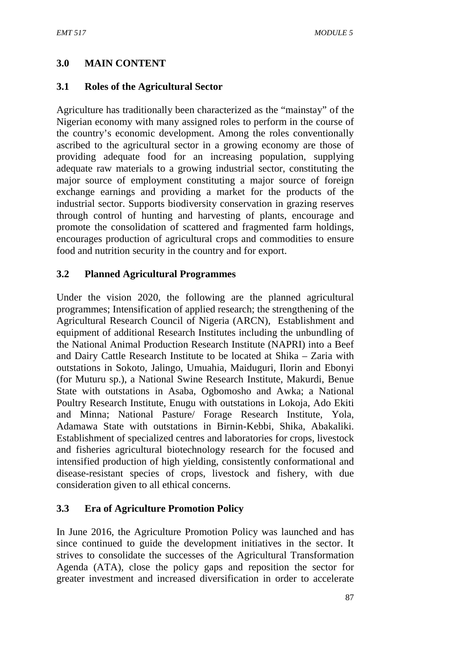## **3.0 MAIN CONTENT**

#### **3.1 Roles of the Agricultural Sector**

Agriculture has traditionally been characterized as the "mainstay" of the Nigerian economy with many assigned roles to perform in the course of the country's economic development. Among the roles conventionally ascribed to the agricultural sector in a growing economy are those of providing adequate food for an increasing population, supplying adequate raw materials to a growing industrial sector, constituting the major source of employment constituting a major source of foreign exchange earnings and providing a market for the products of the industrial sector. Supports biodiversity conservation in grazing reserves through control of hunting and harvesting of plants, encourage and promote the consolidation of scattered and fragmented farm holdings, encourages production of agricultural crops and commodities to ensure food and nutrition security in the country and for export.

#### **3.2 Planned Agricultural Programmes**

Under the vision 2020, the following are the planned agricultural programmes; Intensification of applied research; the strengthening of the Agricultural Research Council of Nigeria (ARCN), Establishment and equipment of additional Research Institutes including the unbundling of the National Animal Production Research Institute (NAPRI) into a Beef and Dairy Cattle Research Institute to be located at Shika – Zaria with outstations in Sokoto, Jalingo, Umuahia, Maiduguri, Ilorin and Ebonyi (for Muturu sp.), a National Swine Research Institute, Makurdi, Benue State with outstations in Asaba, Ogbomosho and Awka; a National Poultry Research Institute, Enugu with outstations in Lokoja, Ado Ekiti and Minna; National Pasture/ Forage Research Institute, Yola, Adamawa State with outstations in Birnin-Kebbi, Shika, Abakaliki. Establishment of specialized centres and laboratories for crops, livestock and fisheries agricultural biotechnology research for the focused and intensified production of high yielding, consistently conformational and disease-resistant species of crops, livestock and fishery, with due consideration given to all ethical concerns.

## **3.3 Era of Agriculture Promotion Policy**

In June 2016, the Agriculture Promotion Policy was launched and has since continued to guide the development initiatives in the sector. It strives to consolidate the successes of the Agricultural Transformation Agenda (ATA), close the policy gaps and reposition the sector for greater investment and increased diversification in order to accelerate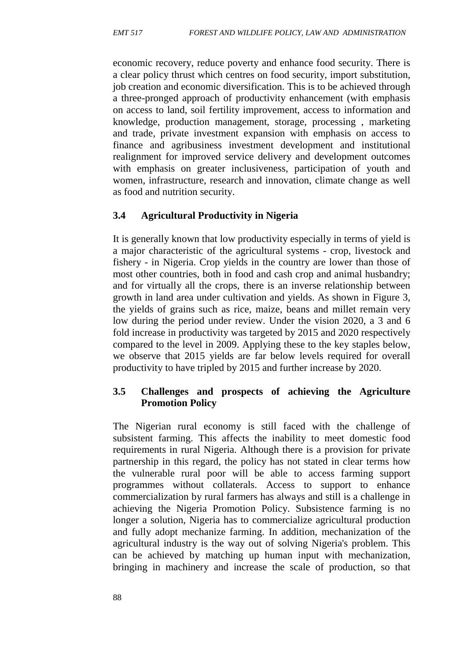economic recovery, reduce poverty and enhance food security. There is a clear policy thrust which centres on food security, import substitution, job creation and economic diversification. This is to be achieved through a three-pronged approach of productivity enhancement (with emphasis on access to land, soil fertility improvement, access to information and knowledge, production management, storage, processing , marketing and trade, private investment expansion with emphasis on access to finance and agribusiness investment development and institutional realignment for improved service delivery and development outcomes with emphasis on greater inclusiveness, participation of youth and women, infrastructure, research and innovation, climate change as well as food and nutrition security.

#### **3.4 Agricultural Productivity in Nigeria**

It is generally known that low productivity especially in terms of yield is a major characteristic of the agricultural systems - crop, livestock and fishery - in Nigeria. Crop yields in the country are lower than those of most other countries, both in food and cash crop and animal husbandry; and for virtually all the crops, there is an inverse relationship between growth in land area under cultivation and yields. As shown in Figure 3, the yields of grains such as rice, maize, beans and millet remain very low during the period under review. Under the vision 2020, a 3 and 6 fold increase in productivity was targeted by 2015 and 2020 respectively compared to the level in 2009. Applying these to the key staples below, we observe that 2015 yields are far below levels required for overall productivity to have tripled by 2015 and further increase by 2020.

#### **3.5 Challenges and prospects of achieving the Agriculture Promotion Policy**

The Nigerian rural economy is still faced with the challenge of subsistent farming. This affects the inability to meet domestic food requirements in rural Nigeria. Although there is a provision for private partnership in this regard, the policy has not stated in clear terms how the vulnerable rural poor will be able to access farming support programmes without collaterals. Access to support to enhance commercialization by rural farmers has always and still is a challenge in achieving the Nigeria Promotion Policy. Subsistence farming is no longer a solution, Nigeria has to commercialize agricultural production and fully adopt mechanize farming. In addition, mechanization of the agricultural industry is the way out of solving Nigeria's problem. This can be achieved by matching up human input with mechanization, bringing in machinery and increase the scale of production, so that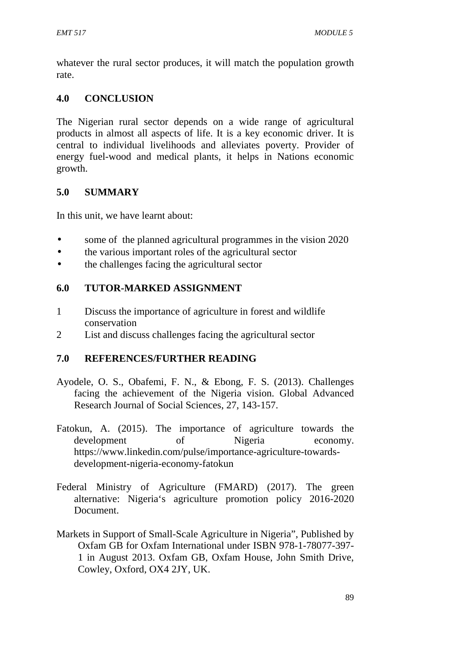whatever the rural sector produces, it will match the population growth rate.

# **4.0 CONCLUSION**

The Nigerian rural sector depends on a wide range of agricultural products in almost all aspects of life. It is a key economic driver. It is central to individual livelihoods and alleviates poverty. Provider of energy fuel-wood and medical plants, it helps in Nations economic growth.

# **5.0 SUMMARY**

In this unit, we have learnt about:

- some of the planned agricultural programmes in the vision 2020
- the various important roles of the agricultural sector
- the challenges facing the agricultural sector

# **6.0 TUTOR-MARKED ASSIGNMENT**

- 1 Discuss the importance of agriculture in forest and wildlife conservation
- 2 List and discuss challenges facing the agricultural sector

## **7.0 REFERENCES/FURTHER READING**

- Ayodele, O. S., Obafemi, F. N., & Ebong, F. S. (2013). Challenges facing the achievement of the Nigeria vision. Global Advanced Research Journal of Social Sciences, 27, 143-157.
- Fatokun, A. (2015). The importance of agriculture towards the development of Nigeria economy. https://www.linkedin.com/pulse/importance-agriculture-towards development-nigeria-economy-fatokun
- Federal Ministry of Agriculture (FMARD) (2017). The green alternative: Nigeria's agriculture promotion policy 2016-2020 Document.
- Markets in Support of Small-Scale Agriculture in Nigeria", Published by Oxfam GB for Oxfam International under ISBN 978-1-78077-397- 1 in August 2013. Oxfam GB, Oxfam House, John Smith Drive, Cowley, Oxford, OX4 2JY, UK.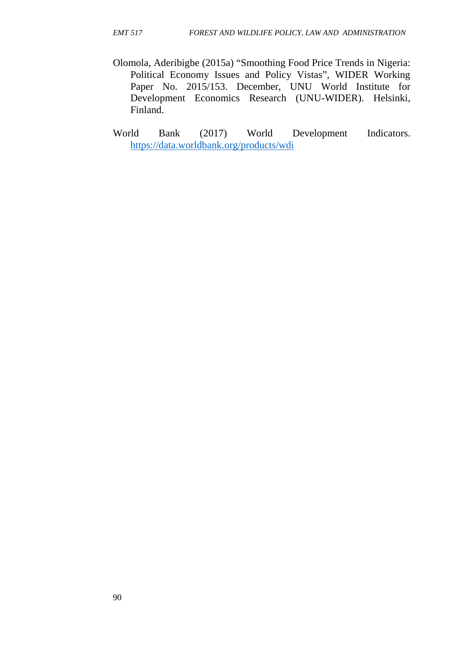- Olomola, Aderibigbe (2015a) "Smoothing Food Price Trends in Nigeria: Political Economy Issues and Policy Vistas", WIDER Working Paper No. 2015/153. December, UNU World Institute for Development Economics Research (UNU-WIDER). Helsinki, Finland.
- World Bank (2017) World Development Indicators. https://data.worldbank.org/products/wdi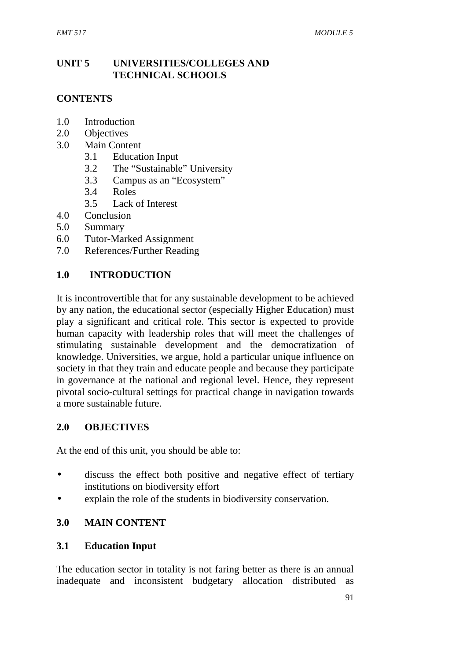## **UNIT 5 UNIVERSITIES/COLLEGES AND TECHNICAL SCHOOLS**

## **CONTENTS**

- 1.0 Introduction
- 2.0 Objectives
- 3.0 Main Content
	- 3.1 Education Input
	- 3.2 The "Sustainable" University
	- 3.3 Campus as an "Ecosystem"
	- 3.4 Roles
	- 3.5 Lack of Interest
- 4.0 Conclusion
- 5.0 Summary
- 6.0 Tutor-Marked Assignment
- 7.0 References/Further Reading

#### **1.0 INTRODUCTION**

It is incontrovertible that for any sustainable development to be achieved by any nation, the educational sector (especially Higher Education) must play a significant and critical role. This sector is expected to provide human capacity with leadership roles that will meet the challenges of stimulating sustainable development and the democratization of knowledge. Universities, we argue, hold a particular unique influence on society in that they train and educate people and because they participate in governance at the national and regional level. Hence, they represent pivotal socio-cultural settings for practical change in navigation towards a more sustainable future.

#### **2.0 OBJECTIVES**

At the end of this unit, you should be able to:

- discuss the effect both positive and negative effect of tertiary institutions on biodiversity effort
- explain the role of the students in biodiversity conservation.

#### **3.0 MAIN CONTENT**

#### **3.1 Education Input**

The education sector in totality is not faring better as there is an annual inadequate and inconsistent budgetary allocation distributed as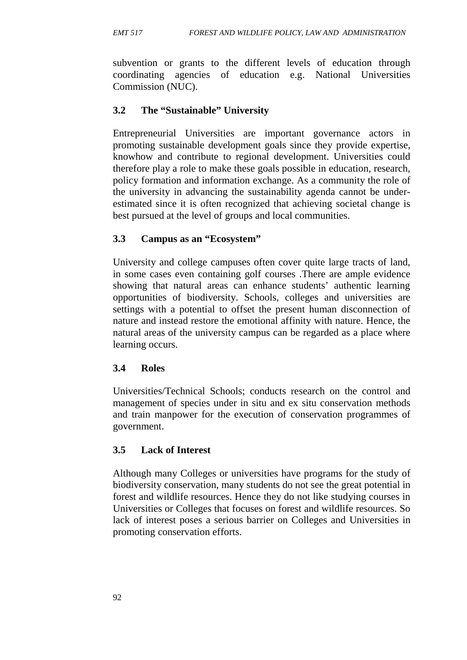subvention or grants to the different levels of education through coordinating agencies of education e.g. National Universities Commission (NUC).

## **3.2 The "Sustainable" University**

Entrepreneurial Universities are important governance actors in promoting sustainable development goals since they provide expertise, knowhow and contribute to regional development. Universities could therefore play a role to make these goals possible in education, research, policy formation and information exchange. As a community the role of the university in advancing the sustainability agenda cannot be under estimated since it is often recognized that achieving societal change is best pursued at the level of groups and local communities.

## **3.3 Campus as an "Ecosystem"**

University and college campuses often cover quite large tracts of land, in some cases even containing golf courses .There are ample evidence showing that natural areas can enhance students' authentic learning opportunities of biodiversity. Schools, colleges and universities are settings with a potential to offset the present human disconnection of nature and instead restore the emotional affinity with nature. Hence, the natural areas of the university campus can be regarded as a place where learning occurs.

## **3.4 Roles**

Universities/Technical Schools; conducts research on the control and management of species under in situ and ex situ conservation methods and train manpower for the execution of conservation programmes of government.

## **3.5 Lack of Interest**

Although many Colleges or universities have programs for the study of biodiversity conservation, many students do not see the great potential in forest and wildlife resources. Hence they do not like studying courses in Universities or Colleges that focuses on forest and wildlife resources. So lack of interest poses a serious barrier on Colleges and Universities in promoting conservation efforts.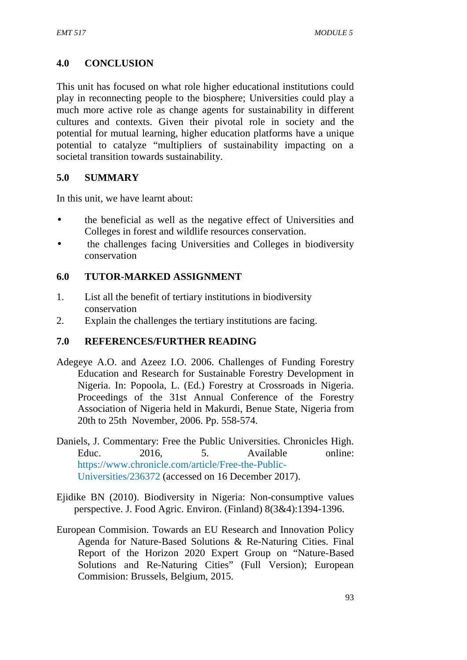## **4.0 CONCLUSION**

This unit has focused on what role higher educational institutions could play in reconnecting people to the biosphere; Universities could play a much more active role as change agents for sustainability in different cultures and contexts. Given their pivotal role in society and the potential for mutual learning, higher education platforms have a unique potential to catalyze "multipliers of sustainability impacting on a societal transition towards sustainability.

## **5.0 SUMMARY**

In this unit, we have learnt about:

- the beneficial as well as the negative effect of Universities and Colleges in forest and wildlife resources conservation.
- the challenges facing Universities and Colleges in biodiversity conservation

## **6.0 TUTOR-MARKED ASSIGNMENT**

- 1. List all the benefit of tertiary institutions in biodiversity conservation
- 2. Explain the challenges the tertiary institutions are facing.

## **7.0 REFERENCES/FURTHER READING**

- Adegeye A.O. and Azeez I.O. 2006. Challenges of Funding Forestry Education and Research for Sustainable Forestry Development in Nigeria. In: Popoola, L. (Ed.) Forestry at Crossroads in Nigeria. Proceedings of the 31st Annual Conference of the Forestry Association of Nigeria held in Makurdi, Benue State, Nigeria from 20th to 25th November, 2006. Pp. 558-574.
- Daniels, J. Commentary: Free the Public Universities. Chronicles High. Educ. 2016 5 Available online: https://www.chronicle.com/article/Free-the-Public- Universities/236372 (accessed on 16 December 2017).
- Ejidike BN (2010). Biodiversity in Nigeria: Non-consumptive values perspective. J. Food Agric. Environ. (Finland) 8(3&4):1394-1396.
- European Commision. Towards an EU Research and Innovation Policy Agenda for Nature-Based Solutions & Re-Naturing Cities. Final Report of the Horizon 2020 Expert Group on "Nature-Based Solutions and Re-Naturing Cities" (Full Version); European Commision: Brussels, Belgium, 2015.